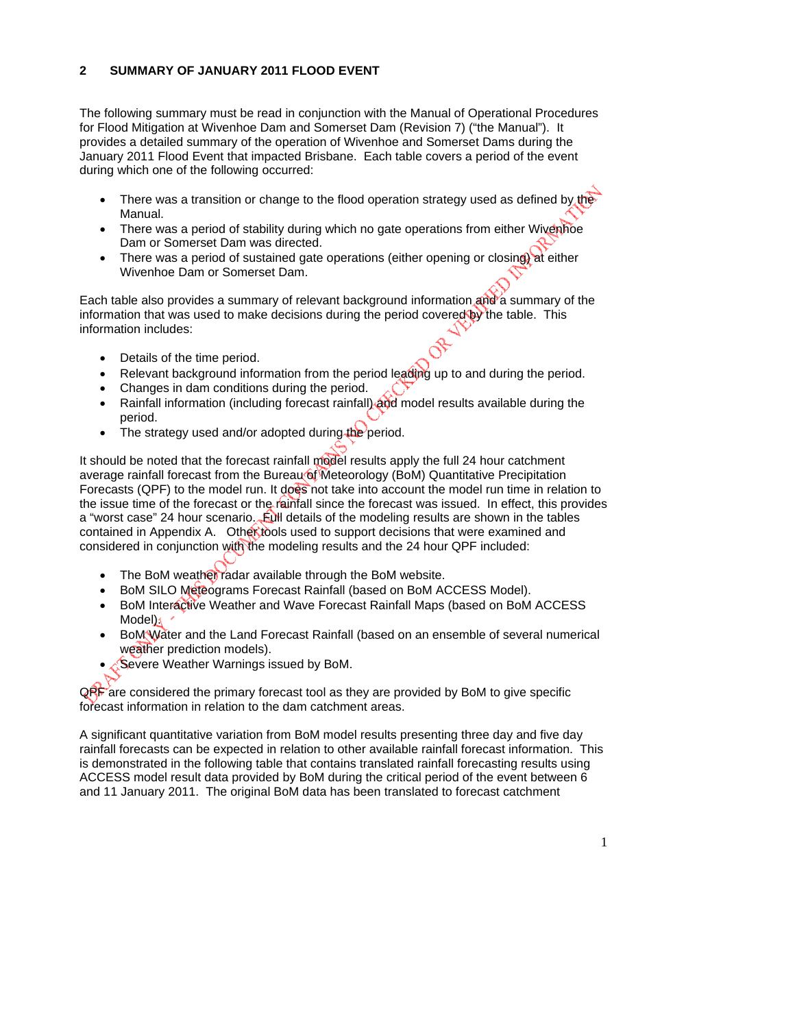## **2 SUMMARY OF JANUARY 2011 FLOOD EVENT**

The following summary must be read in conjunction with the Manual of Operational Procedures for Flood Mitigation at Wivenhoe Dam and Somerset Dam (Revision 7) ("the Manual"). It provides a detailed summary of the operation of Wivenhoe and Somerset Dams during the January 2011 Flood Event that impacted Brisbane. Each table covers a period of the event during which one of the following occurred:

- There was a transition or change to the flood operation strategy used as defined by the Manual.
- There was a period of stability during which no gate operations from either Wivenhoe Dam or Somerset Dam was directed.
- There was a period of sustained gate operations (either opening or closing) at either Wivenhoe Dam or Somerset Dam.

Each table also provides a summary of relevant background information and a summary of the information that was used to make decisions during the period covered by the table. This information includes:

- Details of the time period.
- Relevant background information from the period leading up to and during the period.
- Changes in dam conditions during the period.
- Rainfall information (including forecast rainfall) and model results available during the period.
- $\bullet$  The strategy used and/or adopted during the period.

It should be noted that the forecast rainfall model results apply the full 24 hour catchment average rainfall forecast from the Bureau of Meteorology (BoM) Quantitative Precipitation Forecasts (QPF) to the model run. It does not take into account the model run time in relation to the issue time of the forecast or the rainfall since the forecast was issued. In effect, this provides a "worst case" 24 hour scenario. Full details of the modeling results are shown in the tables contained in Appendix A. Other tools used to support decisions that were examined and considered in conjunction with the modeling results and the 24 hour QPF included:

- The BoM weather radar available through the BoM website.
- BoM SILO Meteograms Forecast Rainfall (based on BoM ACCESS Model).
- BoM Interactive Weather and Wave Forecast Rainfall Maps (based on BoM ACCESS Model);
- BoM Water and the Land Forecast Rainfall (based on an ensemble of several numerical weather prediction models).
- Severe Weather Warnings issued by BoM.

 $QRF$  are considered the primary forecast tool as they are provided by BoM to give specific forecast information in relation to the dam catchment areas.

A significant quantitative variation from BoM model results presenting three day and five day rainfall forecasts can be expected in relation to other available rainfall forecast information. This is demonstrated in the following table that contains translated rainfall forecasting results using ACCESS model result data provided by BoM during the critical period of the event between 6 and 11 January 2011. The original BoM data has been translated to forecast catchment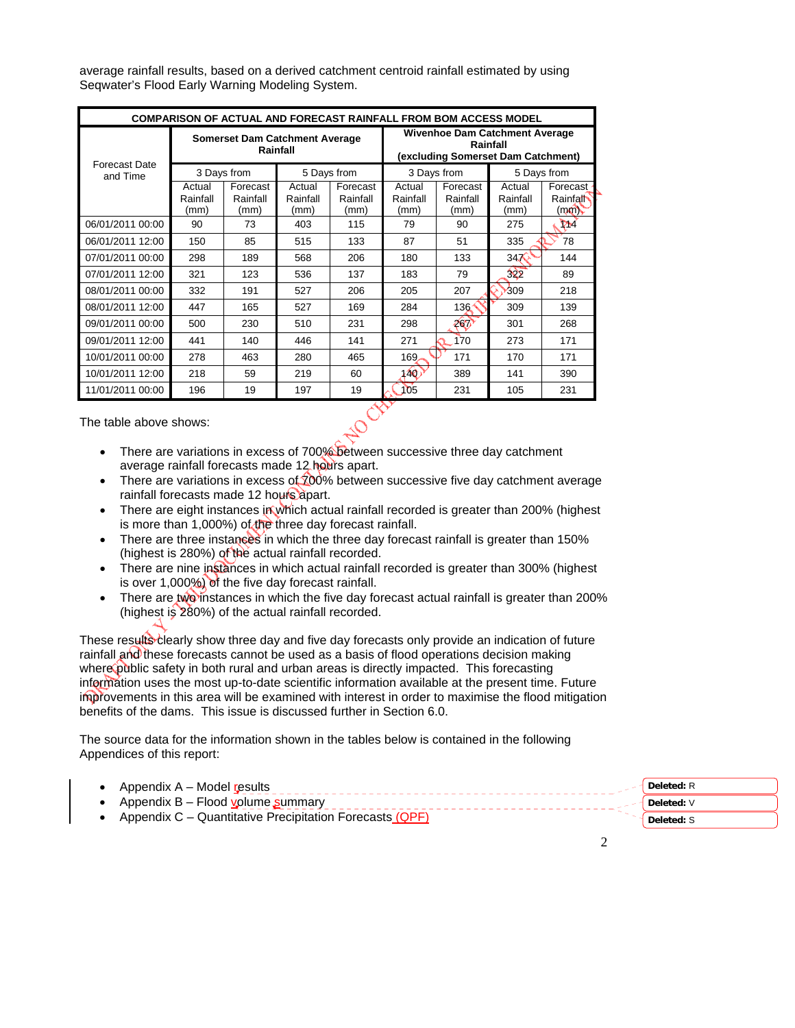average rainfall results, based on a derived catchment centroid rainfall estimated by using Seqwater's Flood Early Warning Modeling System.

| <b>COMPARISON OF ACTUAL AND FORECAST RAINFALL FROM BOM ACCESS MODEL</b> |                                                                                                                                              |                                                            |     |                              |                            |                              |                            |                                         |  |
|-------------------------------------------------------------------------|----------------------------------------------------------------------------------------------------------------------------------------------|------------------------------------------------------------|-----|------------------------------|----------------------------|------------------------------|----------------------------|-----------------------------------------|--|
|                                                                         | <b>Wivenhoe Dam Catchment Average</b><br><b>Somerset Dam Catchment Average</b><br>Rainfall<br>Rainfall<br>(excluding Somerset Dam Catchment) |                                                            |     |                              |                            |                              |                            |                                         |  |
| <b>Forecast Date</b><br>and Time                                        |                                                                                                                                              | 3 Days from                                                |     | 5 Days from                  |                            | 3 Days from                  |                            | 5 Days from                             |  |
|                                                                         | Actual<br>Rainfall<br>(mm)                                                                                                                   | Forecast<br>Actual<br>Rainfall<br>Rainfall<br>(mm)<br>(mm) |     | Forecast<br>Rainfall<br>(mm) | Actual<br>Rainfall<br>(mm) | Forecast<br>Rainfall<br>(mm) | Actual<br>Rainfall<br>(mm) | Forecast<br>Rainfall<br>$(m\mathbf{r})$ |  |
| 06/01/2011 00:00                                                        | 90                                                                                                                                           | 73                                                         | 403 | 115                          | 79                         | 90                           | 275                        | YM.                                     |  |
| 06/01/2011 12:00                                                        | 150                                                                                                                                          | 85                                                         | 515 | 133                          | 87                         | 51                           | 335                        | 78                                      |  |
| 07/01/2011 00:00                                                        | 298                                                                                                                                          | 189                                                        | 568 | 206                          | 180                        | 133                          | $34\overline{6}$           | 144                                     |  |
| 07/01/2011 12:00                                                        | 321                                                                                                                                          | 123                                                        | 536 | 137                          | 183                        | 79                           | 322                        | 89                                      |  |
| 08/01/2011 00:00                                                        | 332                                                                                                                                          | 191                                                        | 527 | 206                          | 205                        | 207                          | 309                        | 218                                     |  |
| 08/01/2011 12:00                                                        | 447                                                                                                                                          | 165                                                        | 527 | 169                          | 284                        | 136                          | 309                        | 139                                     |  |
| 09/01/2011 00:00                                                        | 500                                                                                                                                          | 230                                                        | 510 | 231                          | 298                        | 267                          | 301                        | 268                                     |  |
| 09/01/2011 12:00                                                        | 441                                                                                                                                          | 140                                                        | 446 | 141                          | 271                        | 170                          | 273                        | 171                                     |  |
| 10/01/2011 00:00                                                        | 278                                                                                                                                          | 463                                                        | 280 | 465                          | 169.                       | 171                          | 170                        | 171                                     |  |
| 10/01/2011 12:00                                                        | 218                                                                                                                                          | 59                                                         | 219 | 60                           | 140.                       | 389                          | 141                        | 390                                     |  |
| 11/01/2011 00:00                                                        | 196                                                                                                                                          | 19                                                         | 197 | 19                           | 105                        | 231                          | 105                        | 231                                     |  |

The table above shows:

- There are variations in excess of 700% between successive three day catchment average rainfall forecasts made 12 hours apart.
- There are variations in excess of  $200\%$  between successive five day catchment average rainfall forecasts made 12 hours apart.
- There are eight instances in which actual rainfall recorded is greater than 200% (highest is more than 1,000%) of the three day forecast rainfall.
- There are three instances in which the three day forecast rainfall is greater than 150% (highest is 280%) of the actual rainfall recorded.
- There are nine instances in which actual rainfall recorded is greater than 300% (highest is over 1,000%) of the five day forecast rainfall.
- There are two instances in which the five day forecast actual rainfall is greater than 200% (highest is 280%) of the actual rainfall recorded.

These results clearly show three day and five day forecasts only provide an indication of future rainfall and these forecasts cannot be used as a basis of flood operations decision making where public safety in both rural and urban areas is directly impacted. This forecasting information uses the most up-to-date scientific information available at the present time. Future improvements in this area will be examined with interest in order to maximise the flood mitigation benefits of the dams. This issue is discussed further in Section 6.0.

The source data for the information shown in the tables below is contained in the following Appendices of this report:

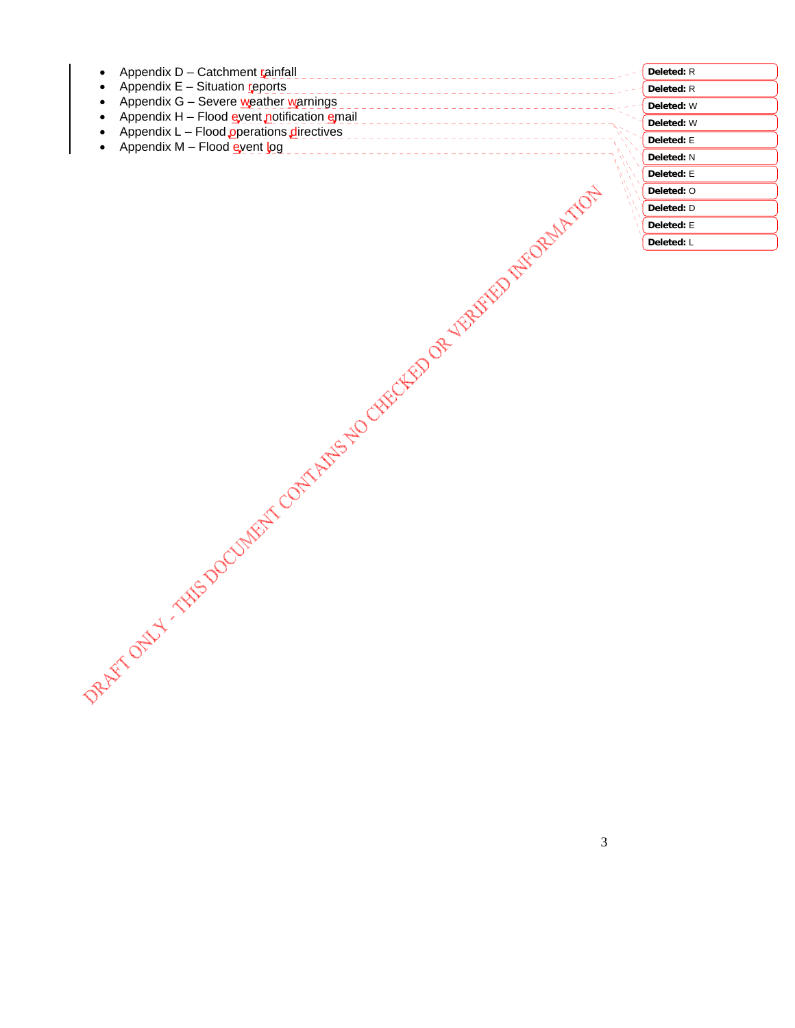| Appendix D - Catchment rainfall             |  |
|---------------------------------------------|--|
| Appendix $E -$ Situation reports            |  |
| Appendix G - Severe weather warnings        |  |
| Appendix H - Flood event notification email |  |
| Appendix $L -$ Flood operations directives  |  |
| Appendix $M$ – Flood event log              |  |
|                                             |  |
|                                             |  |
|                                             |  |
|                                             |  |
|                                             |  |

| Deleted: R |  |
|------------|--|
| Deleted: R |  |
| Deleted: W |  |
| Deleted: W |  |
| Deleted: E |  |
| Deleted: N |  |
| Deleted: E |  |
| Deleted: O |  |
| Deleted: D |  |
| Deleted: E |  |
| Deleted: L |  |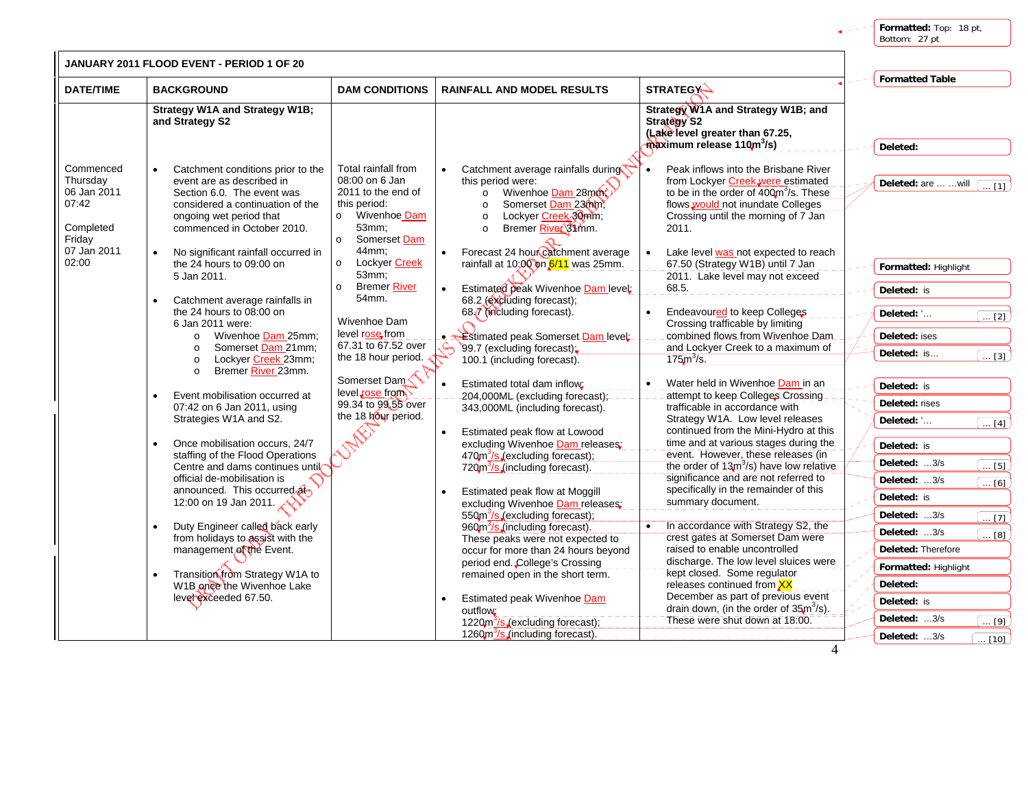**Formatted:** Top: 18 pt, Bottom: 27 pt

|                                                                      | JANUARY 2011 FLOOD EVENT - PERIOD 1 OF 20                                                                                                                                                 |                                                                                                                                            |                                                                                                                                                                                     |                                                                                                                                                                                                                      |                                                                        |
|----------------------------------------------------------------------|-------------------------------------------------------------------------------------------------------------------------------------------------------------------------------------------|--------------------------------------------------------------------------------------------------------------------------------------------|-------------------------------------------------------------------------------------------------------------------------------------------------------------------------------------|----------------------------------------------------------------------------------------------------------------------------------------------------------------------------------------------------------------------|------------------------------------------------------------------------|
| <b>DATE/TIME</b>                                                     | <b>BACKGROUND</b>                                                                                                                                                                         | <b>DAM CONDITIONS</b>                                                                                                                      | <b>RAINFALL AND MODEL RESULTS</b>                                                                                                                                                   | <b>STRATEGY-</b>                                                                                                                                                                                                     | <b>Formatted Table</b>                                                 |
|                                                                      | <b>Strategy W1A and Strategy W1B;</b><br>and Strategy S2                                                                                                                                  |                                                                                                                                            |                                                                                                                                                                                     | Strategy W1A and Strategy W1B; and<br><b>Strategy S2</b><br>(Lake level greater than 67.25,<br>maximum release 110m <sup>3</sup> /s)                                                                                 | Deleted:                                                               |
| Commenced<br>Thursday<br>06 Jan 2011<br>07:42<br>Completed<br>Friday | Catchment conditions prior to the<br>event are as described in<br>Section 6.0. The event was<br>considered a continuation of the<br>ongoing wet period that<br>commenced in October 2010. | Total rainfall from<br>08:00 on 6 Jan<br>2011 to the end of<br>this period:<br>Wivenhoe Dam<br>$\circ$<br>53mm;<br>Somerset Dam<br>$\circ$ | Catchment average rainfalls during<br>this period were:<br>o Wivenhoe Dam 28mm<br>Somerset Dam 23000;<br>$\circ$<br>Lockyer Creek 30mm;<br>$\circ$<br>Bremer River 31mm.<br>$\circ$ | Peak inflows into the Brisbane River<br>from Lockyer Creek, were estimated<br>to be in the order of 400m <sup>3</sup> /s. These<br>flows would not inundate Colleges<br>Crossing until the morning of 7 Jan<br>2011. | Deleted: are   will                                                    |
| 07 Jan 2011<br>02:00                                                 | No significant rainfall occurred in<br>the 24 hours to 09:00 on<br>5 Jan 2011.                                                                                                            | 44mm:<br>Lockyer Creek<br>$\circ$<br>53mm;                                                                                                 | Forecast 24 hour catchment average<br>$\bullet$<br>rainfall at 10;00 on 6/11 was 25mm.                                                                                              | Lake level was not expected to reach<br>$\bullet$<br>67.50 (Strategy W1B) until 7 Jan<br>2011. Lake level may not exceed                                                                                             | Formatted: Highlight                                                   |
|                                                                      | Catchment average rainfalls in                                                                                                                                                            | <b>Bremer River</b><br>$\circ$<br>54mm.                                                                                                    | Estimated peak Wivenhoe Dam level:<br>$\bullet$<br>68.2 (excluding forecast);                                                                                                       | 68.5.                                                                                                                                                                                                                | Deleted: is                                                            |
|                                                                      | the 24 hours to 08:00 on<br>6 Jan 2011 were:<br>o Wivenhoe Dam 25mm;                                                                                                                      | Wivenhoe Dam<br>level rose from                                                                                                            | 687 (including forecast).<br>Estimated peak Somerset Dam level:<br>$\bullet$ $\bullet$                                                                                              | Endeavoured to keep Colleges<br>Crossing trafficable by limiting<br>combined flows from Wivenhoe Dam                                                                                                                 | Deleted: '<br>$\overline{\ldots}$ [2]<br>Deleted: ises                 |
|                                                                      | Somerset Dam 21mm;<br>$\circ$<br>Lockyer Creek 23mm;<br>$\circ$<br>Bremer River 23mm.<br>$\circ$                                                                                          | 67.31 to 67.52 over<br>the 18 hour period.                                                                                                 | 99.7 (excluding forecast);<br>100.1 (including forecast).                                                                                                                           | and Lockyer Creek to a maximum of<br>$175m^3/s.$                                                                                                                                                                     | Deleted: is<br>$\ldots$ [3]                                            |
|                                                                      | Event mobilisation occurred at<br>07:42 on 6 Jan 2011, using                                                                                                                              | Somerset Dam<br>level rose from<br>99.34 to 99.55 over<br>the 18 hour period.                                                              | Estimated total dam inflow;<br>204,000ML (excluding forecast);<br>343,000ML (including forecast).                                                                                   | Water held in Wivenhoe Dam in an<br>attempt to keep Colleges Crossing<br>trafficable in accordance with                                                                                                              | Deleted: is<br>Deleted: rises                                          |
|                                                                      | Strategies W1A and S2.<br>Once mobilisation occurs, 24/7                                                                                                                                  |                                                                                                                                            | $\bullet$<br>Estimated peak flow at Lowood<br>excluding Wivenhoe Dam releases:                                                                                                      | Strategy W1A. Low level releases<br>continued from the Mini-Hydro at this<br>time and at various stages during the                                                                                                   | Deleted: '<br>$\ldots$ [4]<br>Deleted: is                              |
|                                                                      | staffing of the Flood Operations<br>Centre and dams continues until<br>official de-mobilisation is                                                                                        |                                                                                                                                            | 470m <sup>3</sup> /s (excluding forecast);<br>720m <sup>3</sup> /s (including forecast).                                                                                            | event. However, these releases (in<br>the order of $13m3/s$ ) have low relative<br>significance and are not referred to                                                                                              | Deleted: 3/s<br>$\overline{ [5]}$<br>Deleted: 3/s<br>$\overline{ [6]}$ |
|                                                                      | announced. This occurred at<br>12:00 on 19 Jan 2011.                                                                                                                                      |                                                                                                                                            | Estimated peak flow at Moggill<br>$\bullet$<br>excluding Wivenhoe Dam releases:<br>550m <sup>3</sup> /s (excluding forecast);                                                       | specifically in the remainder of this<br>summary document.                                                                                                                                                           | Deleted: is<br>Deleted: 3/s<br>$\ldots$ [7]                            |
|                                                                      | Duty Engineer called back early<br>from holidays to assist with the<br>management of the Event.                                                                                           |                                                                                                                                            | 960m <sup>3</sup> /s (including forecast).<br>These peaks were not expected to<br>occur for more than 24 hours beyond                                                               | In accordance with Strategy S2, the<br>crest gates at Somerset Dam were<br>raised to enable uncontrolled                                                                                                             | Deleted: 3/s<br>$\overline{}$ [8]<br>Deleted: Therefore                |
|                                                                      | Transition from Strategy W1A to<br>W1B once the Wivenhoe Lake                                                                                                                             |                                                                                                                                            | period end. College's Crossing<br>remained open in the short term.                                                                                                                  | discharge. The low level sluices were<br>kept closed. Some regulator<br>releases continued from XX                                                                                                                   | Formatted: Highlight<br>Deleted:                                       |
|                                                                      | level exceeded 67.50.                                                                                                                                                                     |                                                                                                                                            | Estimated peak Wivenhoe Dam<br>$\bullet$<br>outflow:                                                                                                                                | December as part of previous event<br>drain down, (in the order of $35m^3/s$ ).                                                                                                                                      | Deleted: is                                                            |
|                                                                      |                                                                                                                                                                                           |                                                                                                                                            | 1220m <sup>3</sup> /s (excluding forecast);<br>1260m <sup>3</sup> /s (including forecast).                                                                                          | These were shut down at 18:00.                                                                                                                                                                                       | Deleted: 3/s<br>$\overline{\ldots}$ [9]<br>Deleted: 3/s                |
|                                                                      |                                                                                                                                                                                           |                                                                                                                                            |                                                                                                                                                                                     |                                                                                                                                                                                                                      | $\boxed{10}$                                                           |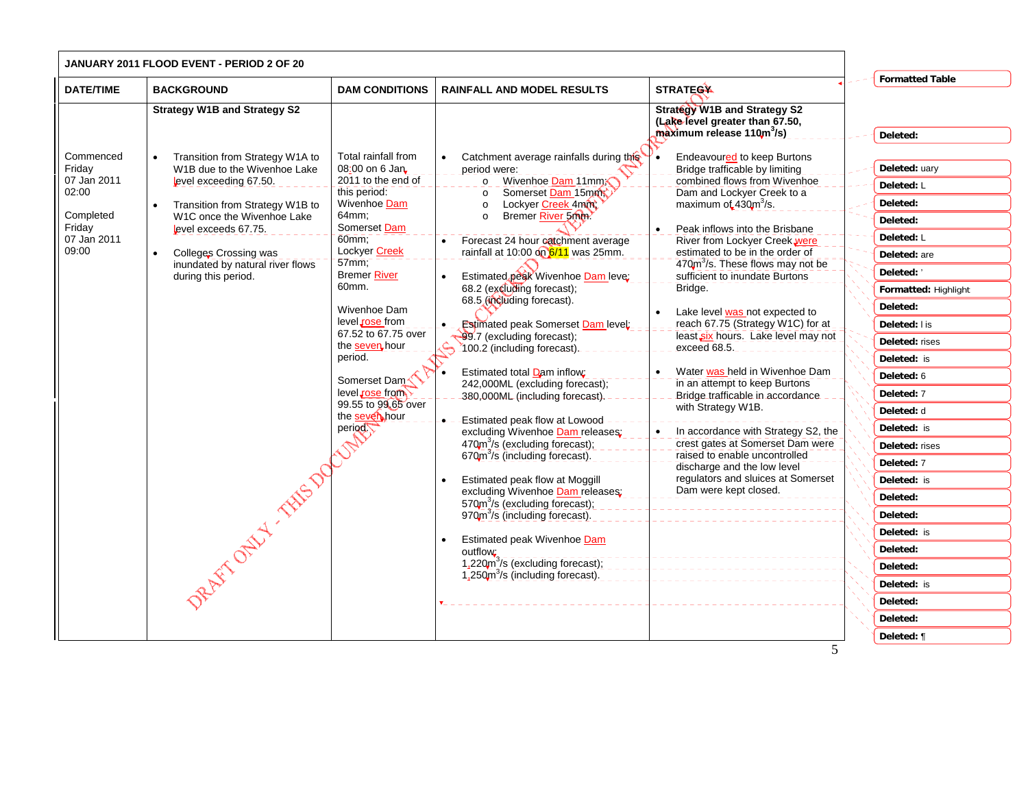|                                                                                            | JANUARY 2011 FLOOD EVENT - PERIOD 2 OF 20                                                                                                                                                                                                                                                         |                                                                                                                                                                                                                                                                                                                                                                                      |                                                                                                                                                                                                                                                                                                                                                                                                                                                                                                                                                                                                                                                                                                                                                                                                                                                                                                                                                                                                                                                            |                                                                                                                                                                                                                                                                                                                                                                                                                                                                                                                                                                                                                                                                                                                                                                                                                                                 |                                                                                                                                                                                                                                                                                                                                                                                                                   |
|--------------------------------------------------------------------------------------------|---------------------------------------------------------------------------------------------------------------------------------------------------------------------------------------------------------------------------------------------------------------------------------------------------|--------------------------------------------------------------------------------------------------------------------------------------------------------------------------------------------------------------------------------------------------------------------------------------------------------------------------------------------------------------------------------------|------------------------------------------------------------------------------------------------------------------------------------------------------------------------------------------------------------------------------------------------------------------------------------------------------------------------------------------------------------------------------------------------------------------------------------------------------------------------------------------------------------------------------------------------------------------------------------------------------------------------------------------------------------------------------------------------------------------------------------------------------------------------------------------------------------------------------------------------------------------------------------------------------------------------------------------------------------------------------------------------------------------------------------------------------------|-------------------------------------------------------------------------------------------------------------------------------------------------------------------------------------------------------------------------------------------------------------------------------------------------------------------------------------------------------------------------------------------------------------------------------------------------------------------------------------------------------------------------------------------------------------------------------------------------------------------------------------------------------------------------------------------------------------------------------------------------------------------------------------------------------------------------------------------------|-------------------------------------------------------------------------------------------------------------------------------------------------------------------------------------------------------------------------------------------------------------------------------------------------------------------------------------------------------------------------------------------------------------------|
| <b>DATE/TIME</b>                                                                           | <b>BACKGROUND</b>                                                                                                                                                                                                                                                                                 | <b>DAM CONDITIONS</b>                                                                                                                                                                                                                                                                                                                                                                | <b>RAINFALL AND MODEL RESULTS</b>                                                                                                                                                                                                                                                                                                                                                                                                                                                                                                                                                                                                                                                                                                                                                                                                                                                                                                                                                                                                                          | <b>STRATEGA</b>                                                                                                                                                                                                                                                                                                                                                                                                                                                                                                                                                                                                                                                                                                                                                                                                                                 | <b>Formatted Table</b>                                                                                                                                                                                                                                                                                                                                                                                            |
|                                                                                            | <b>Strategy W1B and Strategy S2</b>                                                                                                                                                                                                                                                               |                                                                                                                                                                                                                                                                                                                                                                                      |                                                                                                                                                                                                                                                                                                                                                                                                                                                                                                                                                                                                                                                                                                                                                                                                                                                                                                                                                                                                                                                            | <b>Strategy W1B and Strategy S2</b><br>(Lake level greater than 67.50,<br>maximum release 110m <sup>3</sup> /s).                                                                                                                                                                                                                                                                                                                                                                                                                                                                                                                                                                                                                                                                                                                                | Deleted:                                                                                                                                                                                                                                                                                                                                                                                                          |
| Commenced<br>Friday<br>07 Jan 2011<br>02:00<br>Completed<br>Friday<br>07 Jan 2011<br>09:00 | Transition from Strategy W1A to<br>W1B due to the Wivenhoe Lake<br>level exceeding 67.50.<br>Transition from Strategy W1B to<br>W1C once the Wivenhoe Lake<br>level exceeds 67.75.<br>Colleges Crossing was<br>inundated by natural river flows<br>during this period.<br>Retrict only 1 Hits Day | Total rainfall from<br>08:00 on 6 Jan.<br>2011 to the end of<br>this period:<br>Wivenhoe Dam<br>64mm;<br>Somerset Dam<br>60mm<br>Lockyer Creek<br>$57min$ ;<br><b>Bremer River</b><br>60mm.<br>Wivenhoe Dam<br>level rose from<br>67.52 to 67.75 over<br>the seven hour<br>period.<br>Somerset Dam <sup></sup><br>level rose from<br>99.55 to 99.65 over<br>the seven hour<br>period | Catchment average rainfalls during this<br>period were:<br>Wivenhoe Dam 11mm<br>$\circ$<br>Somerset Dam 15mm<br>$\circ$<br>Lockyer Creek 4mm<br>$\circ$<br>Bremer River 5000.<br>$\circ$<br>Forecast 24 hour catchment average<br>rainfall at 10:00 on 6/11 was 25mm.<br>Estimated peak Wivenhoe Dam leve;<br>68.2 (excluding forecast);<br>68.5 (including forecast).<br><b>Estimated peak Somerset Dam level:</b><br>99.7 (excluding forecast);<br>100.2 (including forecast).<br>Estimated total Dam inflow:<br>242,000ML (excluding forecast);<br>380,000ML (including forecast).<br>Estimated peak flow at Lowood -<br>excluding Wivenhoe Dam releases;<br>470m <sup>3</sup> /s (excluding forecast);<br>670m <sup>3</sup> /s (including forecast).<br>Estimated peak flow at Moggill<br>excluding Wivenhoe Dam releases:<br>570m <sup>3</sup> /s (excluding forecast);<br>970m <sup>3</sup> /s (including forecast).<br>Estimated peak Wivenhoe Dam<br>outflow:<br>1,220m <sup>3</sup> /s (excluding forecast);<br>$1.250m3/s$ (including forecast). | <b>Endeavoured to keep Burtons</b><br>Bridge trafficable by limiting<br>combined flows from Wivenhoe<br>Dam and Lockyer Creek to a<br>maximum of 430m <sup>3</sup> /s.<br>Peak inflows into the Brisbane<br>River from Lockyer Creek, were<br>estimated to be in the order of<br>470m <sup>3</sup> /s. These flows may not be<br>sufficient to inundate Burtons<br>Bridge.<br>Lake level was not expected to<br>reach 67.75 (Strategy W1C) for at<br>least six hours. Lake level may not<br>exceed 68.5.<br>Water was held in Wivenhoe Dam<br>in an attempt to keep Burtons<br>Bridge trafficable in accordance<br>with Strategy W1B.<br>In accordance with Strategy S2, the<br>crest gates at Somerset Dam were<br>raised to enable uncontrolled<br>discharge and the low level<br>regulators and sluices at Somerset<br>Dam were kept closed. | Deleted: uary<br>Deleted: L<br>Deleted:<br>Deleted:<br>Deleted: L<br>Deleted: are<br>Deleted: '<br>Formatted: Highlight<br>Deleted:<br>Deleted: I is<br>Deleted: rises<br>Deleted: is<br>Deleted: 6<br>Deleted: 7<br>Deleted: d<br>Deleted: is<br>Deleted: rises<br>Deleted: 7<br>Deleted: is<br>Deleted:<br>Deleted:<br>Deleted: is<br>Deleted:<br>Deleted:<br>Deleted: is<br>Deleted:<br>Deleted:<br>Deleted: ¶ |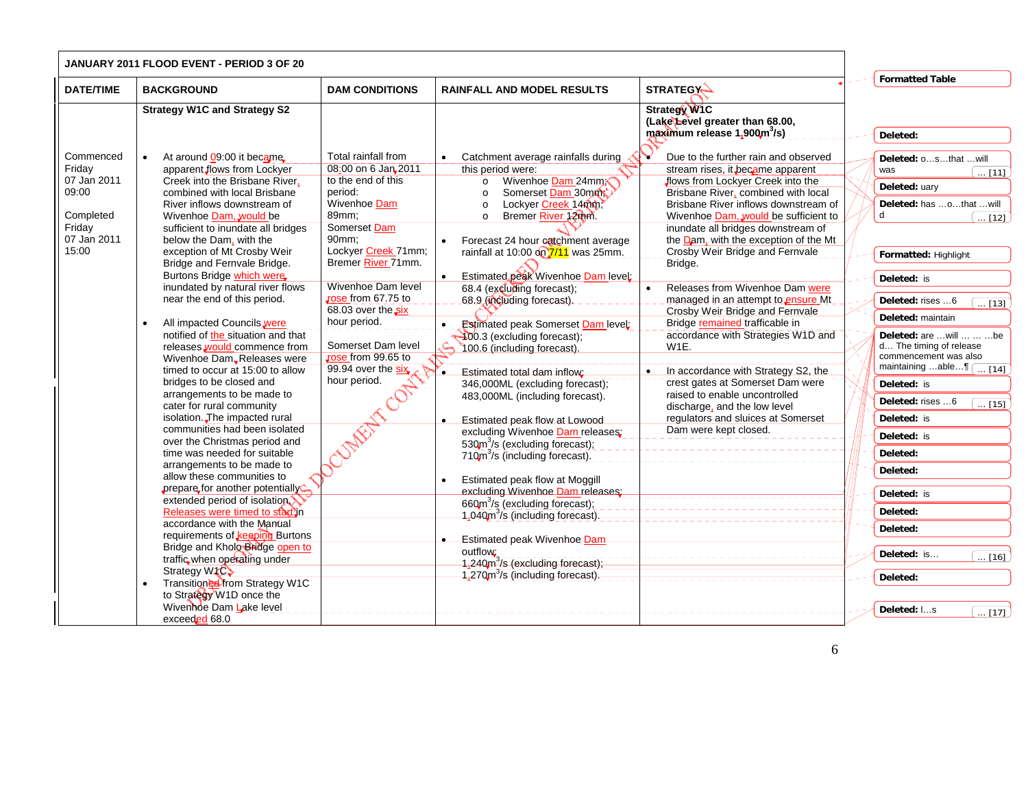|                       | <b>JANUARY 2011 FLOOD EVENT - PERIOD 3 OF 20</b>                   |                               |                                                              |                                                                          |                                                     |
|-----------------------|--------------------------------------------------------------------|-------------------------------|--------------------------------------------------------------|--------------------------------------------------------------------------|-----------------------------------------------------|
| <b>DATE/TIME</b>      | <b>BACKGROUND</b>                                                  | <b>DAM CONDITIONS</b>         | <b>RAINFALL AND MODEL RESULTS</b>                            | <b>STRATEGY-</b>                                                         | <b>Formatted Table</b>                              |
|                       |                                                                    |                               |                                                              |                                                                          |                                                     |
|                       | <b>Strategy W1C and Strategy S2</b>                                |                               |                                                              | <b>Strategy W1C</b>                                                      |                                                     |
|                       |                                                                    |                               |                                                              | (Lake Level greater than 68.00,                                          |                                                     |
|                       |                                                                    |                               |                                                              | maximum release 1,900m <sup>3</sup> /s)                                  | Deleted:                                            |
|                       |                                                                    |                               |                                                              |                                                                          |                                                     |
| Commenced             | At around 09:00 it became.                                         | Total rainfall from           | Catchment average rainfalls during                           | Due to the further rain and observed<br>Y                                | Deleted: osthat  will                               |
| Friday<br>07 Jan 2011 | apparent flows from Lockyer<br>Creek into the Brisbane River.      | 08:00 on 6 Jan 2011           | this period were:                                            | stream rises, it became apparent                                         | was<br>$\left[\ldots\left[11\right]\right]$         |
| 09:00                 | combined with local Brisbane                                       | to the end of this<br>period: | Wivenhoe Dam 24mm<br>$\circ$<br>Somerset Dam 30mm<br>$\circ$ | flows from Lockyer Creek into the<br>Brisbane River, combined with local | Deleted: uary                                       |
|                       | River inflows downstream of                                        | Wivenhoe Dam                  | Lockyer Creek 14mm,<br>$\circ$                               | Brisbane River inflows downstream of                                     | Deleted: has othat will                             |
| Completed             | Wivenhoe Dam, would be                                             | 89mm:                         | Bremer River 12mm.<br>$\circ$                                | Wivenhoe Dam, would be sufficient to                                     | d<br>$\boxed{12}$                                   |
| Friday                | sufficient to inundate all bridges                                 | Somerset Dam                  |                                                              | inundate all bridges downstream of                                       |                                                     |
| 07 Jan 2011           | below the Dam, with the                                            | 90mm;                         | Forecast 24 hour catchment average                           | the Dam, with the exception of the Mt                                    |                                                     |
| 15:00                 | exception of Mt Crosby Weir                                        | Lockyer Creek 71mm;           | rainfall at 10:00 on 7/11 was 25mm.                          | Crosby Weir Bridge and Fernvale                                          | Formatted: Highlight                                |
|                       | Bridge and Fernvale Bridge.                                        | Bremer River 71mm.            |                                                              | Bridge.                                                                  |                                                     |
|                       | Burtons Bridge which were                                          |                               | Estimated peak Wivenhoe Dam level:                           |                                                                          | Deleted: is                                         |
|                       | inundated by natural river flows                                   | Wivenhoe Dam level            | 68.4 (excluding forecast);                                   | Releases from Wivenhoe Dam were                                          |                                                     |
|                       | near the end of this period.                                       | rose from 67.75 to            | 68.9 (including forecast).                                   | managed in an attempt to ensure Mt                                       | Deleted: rises 6<br>$\overline{1131}$               |
|                       |                                                                    | 68.03 over the six            |                                                              | Crosby Weir Bridge and Fernvale                                          | Deleted: maintain                                   |
|                       | All impacted Councils were                                         | hour period.                  | <b>Estimated peak Somerset Dam level:</b><br>$\bullet$       | Bridge remained trafficable in                                           |                                                     |
|                       | notified of the situation and that<br>releases would commence from | Somerset Dam level            | 400.3 (excluding forecast);<br>ሬ                             | accordance with Strategies W1D and<br>W1E.                               | Deleted: are  will    be<br>d The timing of release |
|                       | Wivenhoe Dam, Releases were                                        | Jose from 99.65 to            | 100.6 (including forecast).                                  |                                                                          | commencement was also                               |
|                       | timed to occur at 15:00 to allow                                   | 99.94 over the six            | Estimated total dam inflow;                                  | In accordance with Strategy S2, the<br>$\bullet$                         | maintaining able¶ [ [14]                            |
|                       | bridges to be closed and                                           | hour period.                  | 346,000ML (excluding forecast);                              | crest gates at Somerset Dam were                                         | Deleted: is                                         |
|                       | arrangements to be made to                                         |                               | 483,000ML (including forecast).                              | raised to enable uncontrolled                                            |                                                     |
|                       | cater for rural community                                          |                               |                                                              | discharge, and the low level                                             | Deleted: rises 6<br>$\overline{\ldots}$ [15]        |
|                       | isolation. The impacted rural                                      |                               | Estimated peak flow at Lowood                                | regulators and sluices at Somerset                                       | Deleted: is                                         |
|                       | communities had been isolated                                      | $\widehat{\mathscr{S}}$       | excluding Wivenhoe Dam releases:                             | Dam were kept closed.                                                    | Deleted: is                                         |
|                       | over the Christmas period and                                      |                               | 530m <sup>3</sup> /s (excluding forecast);                   |                                                                          |                                                     |
|                       | time was needed for suitable                                       |                               | 710m <sup>3</sup> /s (including forecast).                   |                                                                          | Deleted:                                            |
|                       | arrangements to be made to                                         |                               |                                                              |                                                                          | Deleted:                                            |
|                       | allow these communities to                                         |                               | Estimated peak flow at Moggill                               |                                                                          |                                                     |
|                       | prepare for another potentially<br>extended period of isolation    |                               | excluding Wivenhoe Dam releases:                             |                                                                          | Deleted: is                                         |
|                       | Releases were timed to start in                                    |                               | 660m <sup>3</sup> /s (excluding forecast);                   |                                                                          | Deleted:                                            |
|                       | accordance with the Manual                                         |                               | 1,040m <sup>3</sup> /s (including forecast).                 |                                                                          |                                                     |
|                       | requirements of keeping Burtons                                    |                               | Estimated peak Wivenhoe Dam                                  |                                                                          | Deleted:                                            |
|                       | Bridge and Kholo Bridge open to                                    |                               | outflow:                                                     |                                                                          |                                                     |
|                       | traffic when operating under                                       |                               | $1,240$ m <sup>3</sup> /s (excluding forecast);              |                                                                          | Deleted: is<br>$\ldots$ [16]                        |
|                       | Strategy W <sub>1</sub> C                                          |                               | 1,270m <sup>3</sup> /s (including forecast).                 |                                                                          | Deleted:                                            |
|                       | Transitioned from Strategy W1C                                     |                               |                                                              |                                                                          |                                                     |
|                       | to Strategy W1D once the                                           |                               |                                                              |                                                                          |                                                     |
|                       | Wivenhoe Dam Lake level                                            |                               |                                                              |                                                                          | Deleted: Is<br>[17]                                 |
|                       | exceeded 68.0                                                      |                               |                                                              |                                                                          |                                                     |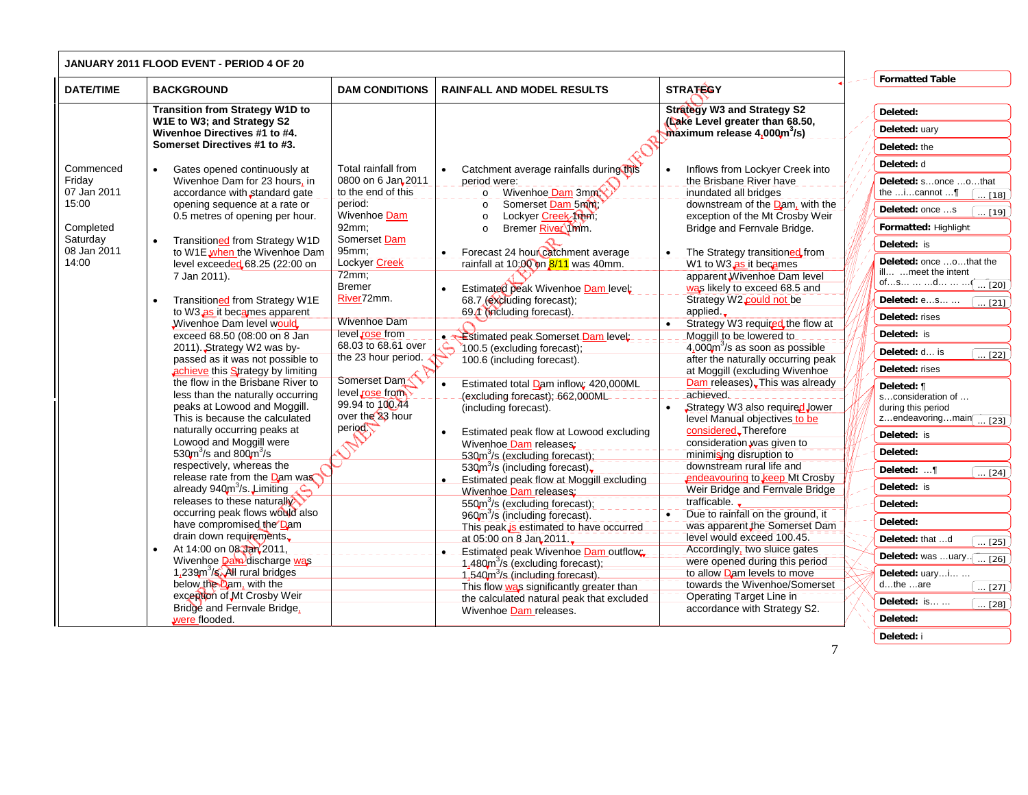|                         | JANUARY 2011 FLOOD EVENT - PERIOD 4 OF 20                                 |                                    |                                                                           |                                                                       |                                           |
|-------------------------|---------------------------------------------------------------------------|------------------------------------|---------------------------------------------------------------------------|-----------------------------------------------------------------------|-------------------------------------------|
| <b>DATE/TIME</b>        | <b>BACKGROUND</b>                                                         | <b>DAM CONDITIONS</b>              | <b>RAINFALL AND MODEL RESULTS</b>                                         | <b>STRATEGY</b>                                                       | <b>Formatted Table</b>                    |
|                         | <b>Transition from Strategy W1D to</b><br>W1E to W3; and Strategy S2      |                                    |                                                                           | <b>Strategy W3 and Strategy S2</b><br>(Lake Level greater than 68.50, | Deleted:                                  |
|                         | Wivenhoe Directives #1 to #4.                                             |                                    |                                                                           | $maximum$ release $4,000m^3/s$ )                                      | Deleted: uary                             |
|                         | Somerset Directives #1 to #3.                                             |                                    |                                                                           |                                                                       | Deleted: the                              |
| Commenced               | Gates opened continuously at                                              | Total rainfall from                | Catchment average rainfalls during this<br>$\bullet$                      | Inflows from Lockyer Creek into                                       | Deleted: d                                |
| Friday                  | Wivenhoe Dam for 23 hours, in                                             | 0800 on 6 Jan 2011                 | period were:                                                              | the Brisbane River have                                               | Deleted: sonce othat                      |
| 07 Jan 2011             | accordance with standard gate                                             | to the end of this                 | Wivenhoe Dam 3mm<br>$\circ$                                               | inundated all bridges                                                 | the $i$ cannot $\ldots$<br>[18]           |
| 15:00                   | opening sequence at a rate or<br>0.5 metres of opening per hour.          | period:<br>Wivenhoe Dam            | Somerset Dam 5mm:<br>$\circ$<br>Lockyer Creek 1mm;<br>$\circ$             | downstream of the $Dam$ , with the<br>exception of the Mt Crosby Weir | Deleted: once s<br>$\ldots$ [19]          |
| Completed               |                                                                           | 92mm;                              | Bremer River 1mm.<br>$\circ$                                              | Bridge and Fernvale Bridge.                                           | Formatted: Highlight                      |
| Saturday<br>08 Jan 2011 | Transitioned from Strategy W1D                                            | Somerset Dam<br>95mm;              |                                                                           |                                                                       | Deleted: is                               |
| 14:00                   | to W1E <sub>when</sub> the Wivenhoe Dam<br>level exceeded 68.25 (22:00 on | Lockyer Creek                      | Forecast 24 hour catchment average<br>rainfall at 10;00 on 8/11 was 40mm. | The Strategy transitioned from<br>W1 to W3 as it becames              | Deleted: once othat the                   |
|                         | 7 Jan 2011).                                                              | 72mm;                              |                                                                           | apparent Wivenhoe Dam level                                           | ill meet the intent                       |
|                         |                                                                           | <b>Bremer</b>                      | Estimated peak Wivenhoe Dam level:<br>$\bullet$                           | was likely to exceed 68.5 and                                         | ofs  d $\sqrt{1.20}$                      |
|                         | Transitioned from Strategy W1E                                            | River72mm.                         | 68.7 (excluding forecast);                                                | Strategy W2 could not be                                              | Deleted: es<br>$\sqrt{21}$                |
|                         | to W3 as it becames apparent                                              | <b>Wivenhoe Dam</b>                | 69.1 (including forecast).                                                | applied. $\Box$                                                       | Deleted: rises                            |
|                         | Wivenhoe Dam level would<br>exceed 68.50 (08:00 on 8 Jan                  | level rose from                    | Estimated peak Somerset Dam level:<br>$\bullet$                           | Strategy W3 required the flow at<br>Moggill to be lowered to          | Deleted: is                               |
|                         | 2011). Strategy W2 was by-                                                | 68.03 to 68.61 over                | 100.5 (excluding forecast);                                               | $4.000$ m <sup>3</sup> /s as soon as possible                         |                                           |
|                         | passed as it was not possible to                                          | the 23 hour period.                | 100.6 (including forecast).                                               | after the naturally occurring peak                                    | Deleted: d is<br>$\overline{\ldots}$ [22] |
|                         | achieve this Strategy by limiting                                         |                                    |                                                                           | at Moggill (excluding Wivenhoe                                        | Deleted: rises                            |
|                         | the flow in the Brisbane River to                                         | Somerset Dam                       | Estimated total Dam inflow; 420,000ML<br>$\bullet$                        | Dam releases). This was already                                       | Deleted: ¶                                |
|                         | less than the naturally occurring                                         | level rose from<br>99.94 to 100.44 | (excluding forecast); 662,000ML                                           | achieved.                                                             | sconsideration of                         |
|                         | peaks at Lowood and Moggill.<br>This is because the calculated            | over the 23 hour                   | (including forecast).                                                     | Strategy W3 also required Jower<br>level Manual objectives to be      | during this period<br>zendeavoringmain    |
|                         | naturally occurring peaks at                                              | period                             | $\bullet$<br>Estimated peak flow at Lowood excluding                      | considered. Therefore                                                 | $\overline{\phantom{1}}$ [23]             |
|                         | Lowood and Moggill were                                                   |                                    | Wivenhoe Dam releases:                                                    | consideration was given to                                            | Deleted: is                               |
|                         | 530 $\text{m}^3$ /s and 800 $\text{m}^3$ /s                               |                                    | $530m3/s$ (excluding forecast),                                           | minimising disruption to                                              | Deleted:                                  |
|                         | respectively, whereas the                                                 |                                    | $530m$ <sup>3</sup> /s (including forecast),                              | downstream rural life and                                             | Deleted: ¶                                |
|                         | release rate from the Dam was                                             |                                    | Estimated peak flow at Moggill excluding<br>$\bullet$                     | endeavouring to keep Mt Crosby                                        | $\ldots$ [24]                             |
|                         | already 940m <sup>3</sup> /s. Limiting<br>$C_{\rm max}$                   |                                    | Wivenhoe Dam releases:                                                    | Weir Bridge and Fernvale Bridge                                       | Deleted: is                               |
|                         | releases to these naturally                                               |                                    | 550m <sup>3</sup> /s (excluding forecast);                                | trafficable.                                                          | Deleted:                                  |
|                         | occurring peak flows would also                                           |                                    | 960m <sup>3</sup> /s (including forecast).                                | Due to rainfall on the ground, it                                     | Deleted:                                  |
|                         | have compromised the Dam                                                  |                                    | This peak is estimated to have occurred                                   | was apparent the Somerset Dam                                         |                                           |
|                         | drain down requirements.                                                  |                                    | at 05:00 on 8 Jan 2011.                                                   | level would exceed 100.45.                                            | Deleted: that d<br>$\overline{[25]}$      |
|                         | At 14:00 on 08 Jan 2011,                                                  |                                    | Estimated peak Wivenhoe Dam outflow<br>$\bullet$                          | Accordingly, two sluice gates                                         | Deleted: was uary<br>$\sqrt{26}$          |
|                         | Wivenhoe <b>Dam</b> discharge was                                         |                                    | $1,480m3/s$ (excluding forecast);                                         | were opened during this period                                        |                                           |
|                         | 1,239m <sup>3</sup> /s. All rural bridges                                 |                                    | 1,540m <sup>3</sup> /s (including forecast).                              | to allow Dam levels to move                                           | Deleted: uaryi                            |
|                         | below the Dam, with the                                                   |                                    | This flow was significantly greater than                                  | towards the Wivenhoe/Somerset                                         | dthe are<br>[27]                          |
|                         | exception of Mt Crosby Weir<br>Bridge and Fernvale Bridge,                |                                    | the calculated natural peak that excluded<br>Wivenhoe Dam releases.       | <b>Operating Target Line in</b><br>accordance with Strategy S2.       | Deleted: is<br>$\ldots$ [28]              |
|                         | were flooded.                                                             |                                    |                                                                           |                                                                       | Deleted:                                  |
|                         |                                                                           |                                    |                                                                           |                                                                       | Deleted: i                                |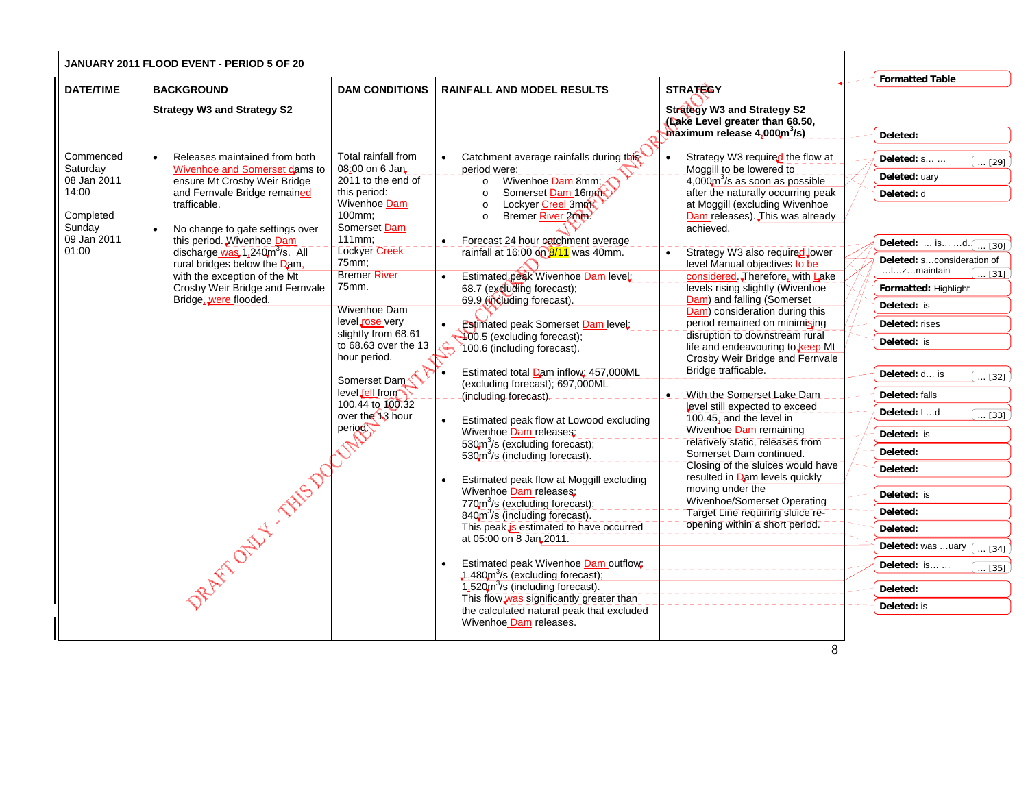|                                                                                              | <b>JANUARY 2011 FLOOD EVENT - PERIOD 5 OF 20</b>                                                                                                                                                                                                                                                                                                                                                                    |                                                                                                                                                                                                                                                                                                                                                                                            |                                                                                                                                                                                                                                                                                                                                                                                                                                                                                                                                                                                                                                                                                                                                                                                                                                                                                                                                                                                                                                                                                                                                                                                                                                                                                                            |                                                                                                                                                                                                                                                                                                                                                                                                                                                                                                                                                                                                                                                                                                                                                                                                                                                                                                                                                                                                           |                                                                                                                                                                                                                                                                                                                                                                                                                                                                                                                                 |
|----------------------------------------------------------------------------------------------|---------------------------------------------------------------------------------------------------------------------------------------------------------------------------------------------------------------------------------------------------------------------------------------------------------------------------------------------------------------------------------------------------------------------|--------------------------------------------------------------------------------------------------------------------------------------------------------------------------------------------------------------------------------------------------------------------------------------------------------------------------------------------------------------------------------------------|------------------------------------------------------------------------------------------------------------------------------------------------------------------------------------------------------------------------------------------------------------------------------------------------------------------------------------------------------------------------------------------------------------------------------------------------------------------------------------------------------------------------------------------------------------------------------------------------------------------------------------------------------------------------------------------------------------------------------------------------------------------------------------------------------------------------------------------------------------------------------------------------------------------------------------------------------------------------------------------------------------------------------------------------------------------------------------------------------------------------------------------------------------------------------------------------------------------------------------------------------------------------------------------------------------|-----------------------------------------------------------------------------------------------------------------------------------------------------------------------------------------------------------------------------------------------------------------------------------------------------------------------------------------------------------------------------------------------------------------------------------------------------------------------------------------------------------------------------------------------------------------------------------------------------------------------------------------------------------------------------------------------------------------------------------------------------------------------------------------------------------------------------------------------------------------------------------------------------------------------------------------------------------------------------------------------------------|---------------------------------------------------------------------------------------------------------------------------------------------------------------------------------------------------------------------------------------------------------------------------------------------------------------------------------------------------------------------------------------------------------------------------------------------------------------------------------------------------------------------------------|
| <b>DATE/TIME</b>                                                                             | <b>BACKGROUND</b>                                                                                                                                                                                                                                                                                                                                                                                                   | <b>DAM CONDITIONS</b>                                                                                                                                                                                                                                                                                                                                                                      | <b>RAINFALL AND MODEL RESULTS</b>                                                                                                                                                                                                                                                                                                                                                                                                                                                                                                                                                                                                                                                                                                                                                                                                                                                                                                                                                                                                                                                                                                                                                                                                                                                                          | <b>STRATEGY</b>                                                                                                                                                                                                                                                                                                                                                                                                                                                                                                                                                                                                                                                                                                                                                                                                                                                                                                                                                                                           | <b>Formatted Table</b>                                                                                                                                                                                                                                                                                                                                                                                                                                                                                                          |
|                                                                                              | <b>Strategy W3 and Strategy S2</b>                                                                                                                                                                                                                                                                                                                                                                                  |                                                                                                                                                                                                                                                                                                                                                                                            |                                                                                                                                                                                                                                                                                                                                                                                                                                                                                                                                                                                                                                                                                                                                                                                                                                                                                                                                                                                                                                                                                                                                                                                                                                                                                                            | <b>Strategy W3 and Strategy S2</b><br>(Lake Level greater than 68.50,<br>$maximum$ release 4,000 $m^3$ /s)                                                                                                                                                                                                                                                                                                                                                                                                                                                                                                                                                                                                                                                                                                                                                                                                                                                                                                | Deleted:                                                                                                                                                                                                                                                                                                                                                                                                                                                                                                                        |
| Commenced<br>Saturday<br>08 Jan 2011<br>14:00<br>Completed<br>Sunday<br>09 Jan 2011<br>01:00 | Releases maintained from both<br>Wivenhoe and Somerset dams to<br>ensure Mt Crosby Weir Bridge<br>and Fernvale Bridge remained<br>trafficable.<br>No change to gate settings over<br>this period. Wivenhoe Dam<br>discharge was 1,240m <sup>3</sup> /s. All<br>rural bridges below the Dam,<br>with the exception of the Mt<br>Crosby Weir Bridge and Fernvale<br>Bridge, were flooded.<br>REAT-OFFER THIS DOCUMENT | Total rainfall from<br>08:00 on 6 Jan<br>2011 to the end of<br>this period:<br>Wivenhoe Dam<br>100mm;<br>Somerset Dam<br>$111mm$ :<br>Lockyer Creek<br>75mm;<br><b>Bremer River</b><br>75mm.<br><b>Wivenhoe Dam</b><br>level rose very<br>slightly from 68.61<br>to 68.63 over the 13<br>hour period.<br>Somerset Dam<br>level fell from<br>100.44 to 100.32<br>over the 13 hour<br>period | Catchment average rainfalls during this<br>period were:<br>Wivenhoe Dam 8mm;<br>$\circ$<br>Somerset Dam 16mm<br>$\circ$<br>Lockyer Creel 3mm<br>$\circ$<br>Bremer River 2mm?<br>$\circ$<br>Forecast 24 hour catchment average<br>$\bullet$<br>rainfall at 16:00 on 8/11 was 40mm.<br>Estimated peak Wivenhoe Dam level:<br>$\bullet$<br>68.7 (excluding forecast);<br>69.9 (including forecast).<br><b>Estimated peak Somerset Dam level:</b><br>400.5 (excluding forecast);<br>100.6 (including forecast).<br>Estimated total Dam inflow; 457,000ML<br>(excluding forecast); 697,000ML<br>(including forecast). $- - -$<br>Estimated peak flow at Lowood excluding<br>$\bullet$<br>Wivenhoe Dam releases:<br>530m <sup>3</sup> /s (excluding forecast);<br>530m <sup>3</sup> /s (including forecast).<br>Estimated peak flow at Moggill excluding<br>Wivenhoe Dam releases:<br>770m <sup>3</sup> /s (excluding forecast);<br>840m <sup>3</sup> /s (including forecast).<br>This peak is estimated to have occurred<br>at 05:00 on 8 Jan 2011.<br>Estimated peak Wivenhoe Dam outflow;<br>$\downarrow$ 1,480 $\text{m}^3$ /s (excluding forecast);<br>$1,520m3/s$ (including forecast).<br>This flow was significantly greater than<br>the calculated natural peak that excluded<br>Wivenhoe Dam releases. | Strategy W3 required the flow at<br>Moggill to be lowered to<br>$4.000 \text{m}^3/\text{s}$ as soon as possible<br>after the naturally occurring peak<br>at Moggill (excluding Wivenhoe<br>Dam releases). This was already<br>achieved.<br>Strategy W3 also required Jower<br>level Manual objectives to be<br>considered. Therefore, with Lake<br>levels rising slightly (Wivenhoe<br>Dam) and falling (Somerset<br>Dam) consideration during this<br>period remained on minimising<br>disruption to downstream rural<br>life and endeavouring to keep Mt<br>Crosby Weir Bridge and Fernvale<br>Bridge trafficable.<br>With the Somerset Lake Dam<br>level still expected to exceed<br>100.45, and the level in<br>Wivenhoe Dam remaining<br>relatively static, releases from<br>Somerset Dam continued.<br>Closing of the sluices would have<br>resulted in Dam levels quickly<br>moving under the<br>Wivenhoe/Somerset Operating<br>Target Line requiring sluice re-<br>opening within a short period. | Deleted: s<br>$\overline{129}$<br>Deleted: uary<br>Deleted: d<br>Deleted:  is d. $\boxed{ [30]}$<br>Deleted: sconsideration of<br>lzmaintain<br>$\ldots$ [31] $\rfloor$<br>Formatted: Highlight<br>Deleted: is<br>Deleted: rises<br>Deleted: is<br>Deleted: d is<br>$\overline{\ldots}$ [32]<br>Deleted: falls<br>Deleted: Ld<br>$\overline{\ldots}$ [33]<br>Deleted: is<br>Deleted:<br>Deleted:<br>Deleted: is<br>Deleted:<br>Deleted:<br>Deleted: was uary<br>[34]<br>Deleted: is<br>$\ldots$ [35]<br>Deleted:<br>Deleted: is |
|                                                                                              |                                                                                                                                                                                                                                                                                                                                                                                                                     |                                                                                                                                                                                                                                                                                                                                                                                            |                                                                                                                                                                                                                                                                                                                                                                                                                                                                                                                                                                                                                                                                                                                                                                                                                                                                                                                                                                                                                                                                                                                                                                                                                                                                                                            | 8                                                                                                                                                                                                                                                                                                                                                                                                                                                                                                                                                                                                                                                                                                                                                                                                                                                                                                                                                                                                         |                                                                                                                                                                                                                                                                                                                                                                                                                                                                                                                                 |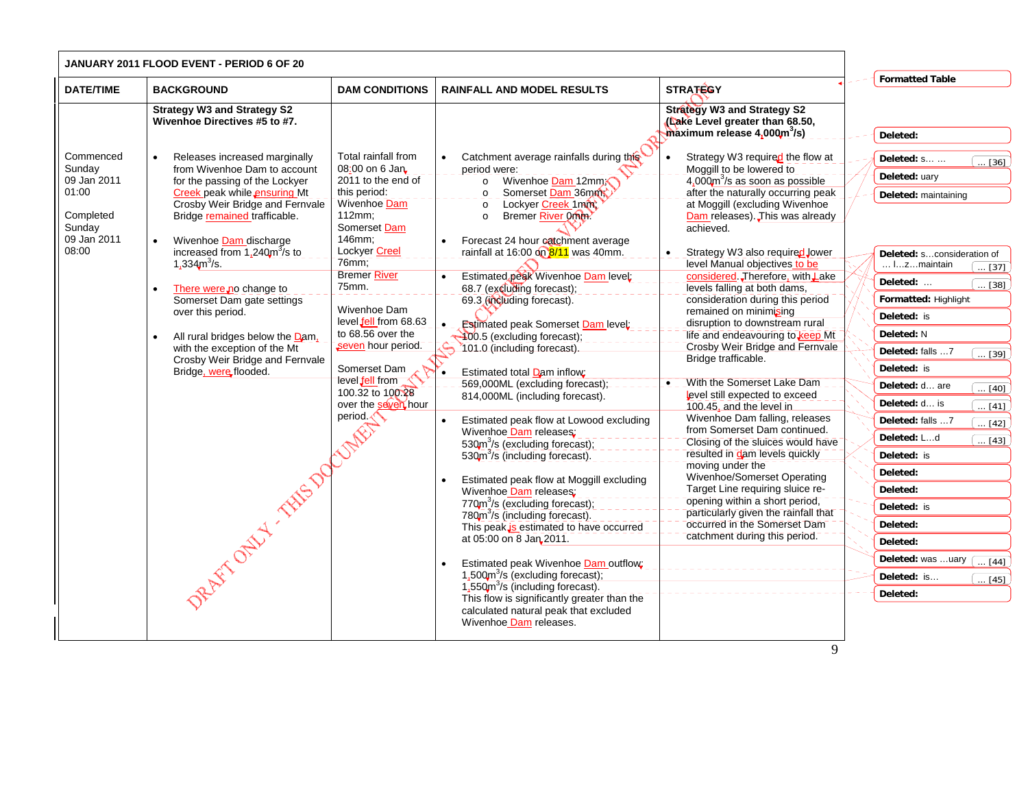| <b>Formatted Table</b><br><b>DATE/TIME</b><br><b>STRATEGY</b><br><b>BACKGROUND</b><br><b>DAM CONDITIONS</b><br><b>RAINFALL AND MODEL RESULTS</b><br><b>Strategy W3 and Strategy S2</b><br><b>Strategy W3 and Strategy S2</b><br>Wivenhoe Directives #5 to #7.<br>(Lake Level greater than 68.50,<br>$maximum$ release $4,000m^3/s$ )<br>Deleted:<br>Commenced<br>Total rainfall from<br>Catchment average rainfalls during this<br>Releases increased marginally<br>Strategy W3 required the flow at<br>Deleted: s<br>08:00 on 6 Jan<br>Sunday<br>from Wivenhoe Dam to account<br>Moggill to be lowered to<br>period were:<br>Deleted: uary<br>09 Jan 2011<br>2011 to the end of<br>Wivenhoe Dam 12mm<br>$4,000$ m <sup>3</sup> /s as soon as possible<br>for the passing of the Lockyer<br>$\circ$<br>01:00<br>this period:<br>Somerset Dam 36mm<br>after the naturally occurring peak<br>Creek peak while ensuring Mt<br>$\circ$<br>Deleted: maintaining<br>Wivenhoe Dam<br>Crosby Weir Bridge and Fernvale<br>Lockyer Creek 1mm<br>at Moggill (excluding Wivenhoe<br>$\circ$<br>Completed<br>112mm:<br>Bridge remained trafficable.<br>Bremer River 0mm?<br>Dam releases). This was already<br>$\circ$<br>Sunday<br>Somerset Dam<br>achieved.<br>09 Jan 2011<br>146mm;<br>Forecast 24 hour catchment average<br>Wivenhoe Dam discharge<br>$\bullet$<br>08:00<br><b>Lockyer Creel</b><br>increased from $1,240\text{m}^3\text{/s}$ to<br>rainfall at 16:00 on 8/11 was 40mm.<br>Strategy W3 also required Jower<br>$76$ mm;<br>1,334 $m^3$ /s.<br>level Manual objectives to be<br>Izmaintain<br><b>Bremer River</b><br>Estimated peak Wivenhoe Dam level:<br>considered Therefore, with Lake<br>Deleted:<br>75mm.<br>levels falling at both dams,<br>68.7 (excluding forecast);<br>There were no change to<br>consideration during this period<br>Formatted: Highlight<br>Somerset Dam gate settings<br>69.3 (including forecast).<br>Wivenhoe Dam<br>remained on minimising<br>over this period.<br>Deleted: is<br>level fell from 68.63<br>disruption to downstream rural<br><b>Estimated peak Somerset Dam level:</b><br>to 68.56 over the<br>Deleted: N<br>life and endeavouring to keep Mt<br>400.5 (excluding forecast);<br>All rural bridges below the Dam,<br>seven hour period.<br>Crosby Weir Bridge and Fernvale<br>101.0 (including forecast).<br>with the exception of the Mt<br>Deleted: falls 7<br>Bridge trafficable.<br>Crosby Weir Bridge and Fernvale<br>Somerset Dam<br>Deleted: is<br>Bridge, were flooded.<br>Estimated total Dam inflow:<br>level fell from<br>With the Somerset Lake Dam<br>$-569,000$ ML (excluding forecast); $---$<br>$\bullet$<br>Deleted: d are<br>100.32 to 100.28<br>level still expected to exceed<br>814,000ML (including forecast).<br>Deleted: d is<br>over the seven hour<br>100.45, and the level in<br>period.<br>Wivenhoe Dam falling, releases<br>$\bullet$<br>Estimated peak flow at Lowood excluding<br>Deleted: falls 7<br>from Somerset Dam continued.<br>Wivenhoe Dam releases;<br>Deleted: Ld<br>Closing of the sluices would have<br>530m <sup>3</sup> /s (excluding forecast);<br>resulted in dam levels quickly<br>530m <sup>3</sup> /s (including forecast).<br>Deleted: is<br>moving under the<br>Deleted:<br>Wivenhoe/Somerset Operating<br>Estimated peak flow at Moggill excluding<br>Target Line requiring sluice re-<br>Deleted:<br>Wivenhoe Dam releases: | JANUARY 2011 FLOOD EVENT - PERIOD 6 OF 20 |                                            |                                |                                                                                                                                                                                                                                                                                           |
|---------------------------------------------------------------------------------------------------------------------------------------------------------------------------------------------------------------------------------------------------------------------------------------------------------------------------------------------------------------------------------------------------------------------------------------------------------------------------------------------------------------------------------------------------------------------------------------------------------------------------------------------------------------------------------------------------------------------------------------------------------------------------------------------------------------------------------------------------------------------------------------------------------------------------------------------------------------------------------------------------------------------------------------------------------------------------------------------------------------------------------------------------------------------------------------------------------------------------------------------------------------------------------------------------------------------------------------------------------------------------------------------------------------------------------------------------------------------------------------------------------------------------------------------------------------------------------------------------------------------------------------------------------------------------------------------------------------------------------------------------------------------------------------------------------------------------------------------------------------------------------------------------------------------------------------------------------------------------------------------------------------------------------------------------------------------------------------------------------------------------------------------------------------------------------------------------------------------------------------------------------------------------------------------------------------------------------------------------------------------------------------------------------------------------------------------------------------------------------------------------------------------------------------------------------------------------------------------------------------------------------------------------------------------------------------------------------------------------------------------------------------------------------------------------------------------------------------------------------------------------------------------------------------------------------------------------------------------------------------------------------------------------------------------------------------------------------------------------------------------------------------------------------------------------------------------------------------------------------------------------------------------------------------------------------------------------------------------------------------------------------------------------------------------------------------|-------------------------------------------|--------------------------------------------|--------------------------------|-------------------------------------------------------------------------------------------------------------------------------------------------------------------------------------------------------------------------------------------------------------------------------------------|
|                                                                                                                                                                                                                                                                                                                                                                                                                                                                                                                                                                                                                                                                                                                                                                                                                                                                                                                                                                                                                                                                                                                                                                                                                                                                                                                                                                                                                                                                                                                                                                                                                                                                                                                                                                                                                                                                                                                                                                                                                                                                                                                                                                                                                                                                                                                                                                                                                                                                                                                                                                                                                                                                                                                                                                                                                                                                                                                                                                                                                                                                                                                                                                                                                                                                                                                                                                                                                                       |                                           |                                            |                                |                                                                                                                                                                                                                                                                                           |
|                                                                                                                                                                                                                                                                                                                                                                                                                                                                                                                                                                                                                                                                                                                                                                                                                                                                                                                                                                                                                                                                                                                                                                                                                                                                                                                                                                                                                                                                                                                                                                                                                                                                                                                                                                                                                                                                                                                                                                                                                                                                                                                                                                                                                                                                                                                                                                                                                                                                                                                                                                                                                                                                                                                                                                                                                                                                                                                                                                                                                                                                                                                                                                                                                                                                                                                                                                                                                                       |                                           |                                            |                                |                                                                                                                                                                                                                                                                                           |
| particularly given the rainfall that<br>780m <sup>3</sup> /s (including forecast).<br>occurred in the Somerset Dam<br>Deleted:<br>This peak is estimated to have occurred<br>catchment during this period.<br>at 05:00 on 8 Jan 2011.<br>Deleted:<br>Deleted: was uary<br>Estimated peak Wivenhoe Dam outflow;<br>$1.500 \text{m}^3/\text{s}$ (excluding forecast);<br>Deleted: is<br>1,550m <sup>3</sup> /s (including forecast).<br>Deleted:<br>This flow is significantly greater than the<br>calculated natural peak that excluded                                                                                                                                                                                                                                                                                                                                                                                                                                                                                                                                                                                                                                                                                                                                                                                                                                                                                                                                                                                                                                                                                                                                                                                                                                                                                                                                                                                                                                                                                                                                                                                                                                                                                                                                                                                                                                                                                                                                                                                                                                                                                                                                                                                                                                                                                                                                                                                                                                                                                                                                                                                                                                                                                                                                                                                                                                                                                                | DRAFT OF SHIP TO COMPANY                  | 770m <sup>3</sup> /s (excluding forecast); | opening within a short period, | $\overline{\ldots$ [36]<br>Deleted: sconsideration of<br>$\ldots$ [37] $\,$<br>$\ldots$ [38]<br>$\overline{\ldots}$ [39]<br>$\overline{\ldots}$ [40]<br>$\overline{\ldots}$ [41]<br>$\overline{\ldots}$ [42]<br>$\overline{\ldots [43]}$<br>Deleted: is<br>[44]<br>$\ldots$ [45] $\ldots$ |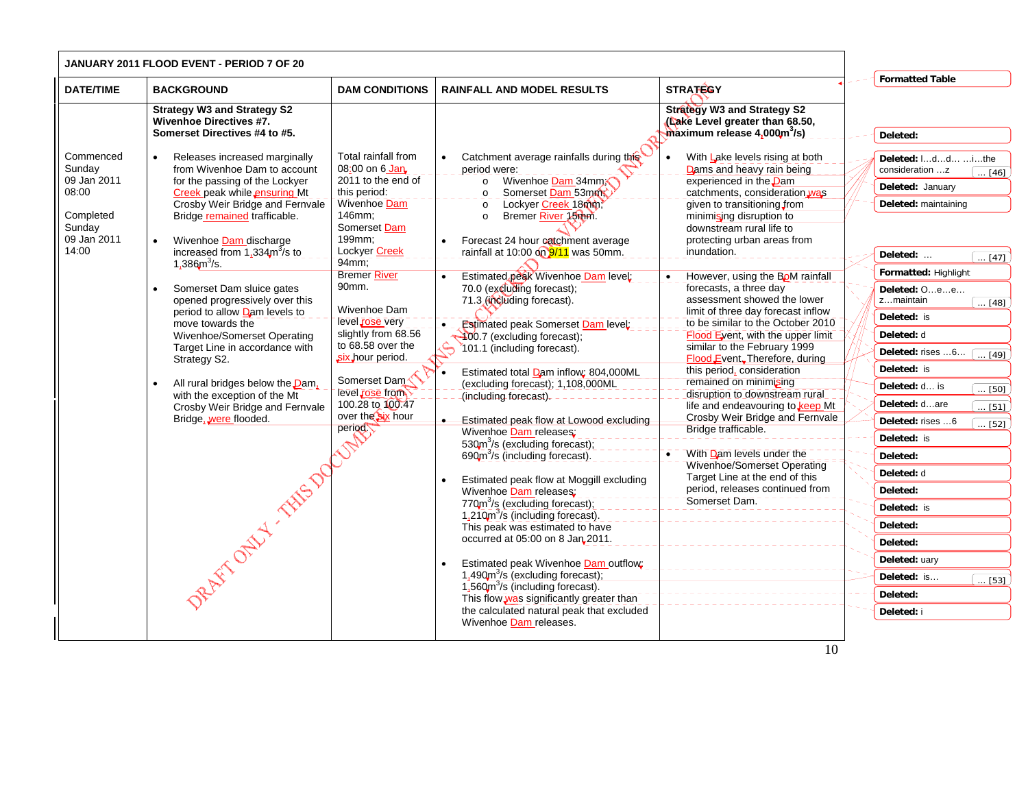|                                                                                            | <b>JANUARY 2011 FLOOD EVENT - PERIOD 7 OF 20</b>                                                                                                                                                                                                                                                                                                                                                                                                                                                                                                                                                                                                              |                                                                                                                                                                                                                                                                                                                                                                         |                                                                                                                                                                                                                                                                                                                                                                                                                                                                                                                                                                                                                                                                                                                                                                                                                                                                                                                                                                                                                                                                                                                                                                                                                                                                                                 |                                                                                                                                                                                                                                                                                                                                                                                                                                                                                                                                                                                                                                                                                                                                                                                                                                                                                             |                                                                                                                                                                                                                                                                                                                                                                                                                                                                                                                                                                                                                    |
|--------------------------------------------------------------------------------------------|---------------------------------------------------------------------------------------------------------------------------------------------------------------------------------------------------------------------------------------------------------------------------------------------------------------------------------------------------------------------------------------------------------------------------------------------------------------------------------------------------------------------------------------------------------------------------------------------------------------------------------------------------------------|-------------------------------------------------------------------------------------------------------------------------------------------------------------------------------------------------------------------------------------------------------------------------------------------------------------------------------------------------------------------------|-------------------------------------------------------------------------------------------------------------------------------------------------------------------------------------------------------------------------------------------------------------------------------------------------------------------------------------------------------------------------------------------------------------------------------------------------------------------------------------------------------------------------------------------------------------------------------------------------------------------------------------------------------------------------------------------------------------------------------------------------------------------------------------------------------------------------------------------------------------------------------------------------------------------------------------------------------------------------------------------------------------------------------------------------------------------------------------------------------------------------------------------------------------------------------------------------------------------------------------------------------------------------------------------------|---------------------------------------------------------------------------------------------------------------------------------------------------------------------------------------------------------------------------------------------------------------------------------------------------------------------------------------------------------------------------------------------------------------------------------------------------------------------------------------------------------------------------------------------------------------------------------------------------------------------------------------------------------------------------------------------------------------------------------------------------------------------------------------------------------------------------------------------------------------------------------------------|--------------------------------------------------------------------------------------------------------------------------------------------------------------------------------------------------------------------------------------------------------------------------------------------------------------------------------------------------------------------------------------------------------------------------------------------------------------------------------------------------------------------------------------------------------------------------------------------------------------------|
| <b>DATE/TIME</b>                                                                           | <b>BACKGROUND</b>                                                                                                                                                                                                                                                                                                                                                                                                                                                                                                                                                                                                                                             | <b>DAM CONDITIONS</b>                                                                                                                                                                                                                                                                                                                                                   | <b>RAINFALL AND MODEL RESULTS</b>                                                                                                                                                                                                                                                                                                                                                                                                                                                                                                                                                                                                                                                                                                                                                                                                                                                                                                                                                                                                                                                                                                                                                                                                                                                               | <b>STRATEGY</b>                                                                                                                                                                                                                                                                                                                                                                                                                                                                                                                                                                                                                                                                                                                                                                                                                                                                             | <b>Formatted Table</b>                                                                                                                                                                                                                                                                                                                                                                                                                                                                                                                                                                                             |
|                                                                                            | <b>Strategy W3 and Strategy S2</b><br><b>Wivenhoe Directives #7.</b><br>Somerset Directives #4 to #5.                                                                                                                                                                                                                                                                                                                                                                                                                                                                                                                                                         |                                                                                                                                                                                                                                                                                                                                                                         |                                                                                                                                                                                                                                                                                                                                                                                                                                                                                                                                                                                                                                                                                                                                                                                                                                                                                                                                                                                                                                                                                                                                                                                                                                                                                                 | <b>Strategy W3 and Strategy S2</b><br>(Lake Level greater than 68.50,<br>$maximum$ release 4,000 $m^3/s$ )                                                                                                                                                                                                                                                                                                                                                                                                                                                                                                                                                                                                                                                                                                                                                                                  | Deleted:                                                                                                                                                                                                                                                                                                                                                                                                                                                                                                                                                                                                           |
| Commenced<br>Sunday<br>09 Jan 2011<br>08:00<br>Completed<br>Sunday<br>09 Jan 2011<br>14:00 | Releases increased marginally<br>from Wivenhoe Dam to account<br>for the passing of the Lockyer<br>Creek peak while ensuring Mt<br>Crosby Weir Bridge and Fernvale<br>Bridge remained trafficable.<br>Wivenhoe Dam discharge<br>increased from $1.334m^3$ /s to<br>1,386 $m^3$ /s.<br>Somerset Dam sluice gates<br>opened progressively over this<br>period to allow Dam levels to<br>move towards the<br>Wivenhoe/Somerset Operating<br>Target Line in accordance with<br>Strategy S2.<br>All rural bridges below the <b>Dam</b> ,<br>with the exception of the Mt<br>Crosby Weir Bridge and Fernvale<br>Bridge, were flooded.<br>DRAFT OF MY TANKS DOCUMENT | Total rainfall from<br>08:00 on 6 Jan<br>2011 to the end of<br>this period:<br>Wivenhoe Dam<br>146mm;<br>Somerset Dam<br>199mm;<br>Lockyer Creek<br>94mm<br><b>Bremer River</b><br>90mm.<br>Wivenhoe Dam<br>level rose very<br>slightly from 68.56<br>to 68.58 over the<br>six hour period.<br>Somerset Dam<br>level rose from<br>100.28 to 100.47<br>over the six hour | Catchment average rainfalls during this<br>period were:<br>Wivenhoe Dam 34mm<br>$\circ$<br>Somerset Dam 53mm<br>$\circ$<br>Lockyer Creek 18mm<br>$\circ$<br>Bremer River 15mm.<br>$\circ$<br>Forecast 24 hour eatchment average<br>rainfall at 10:00 on $9/11$ was 50mm.<br>Estimated peak Wivenhoe Dam level:<br>70.0 (excluding forecast);<br>71.3 (including forecast).<br><b>Estimated peak Somerset Dam level:</b><br>400.7 (excluding forecast);<br>$\hat{\Theta}$<br>101.1 (including forecast).<br>Estimated total Dam inflow: 804,000ML<br>$\bullet$<br>(excluding forecast); 1,108,000ML<br>(including forecast).<br>Estimated peak flow at Lowood excluding<br>Wivenhoe Dam releases:<br>530 $m^3$ /s (excluding forecast);<br>690m <sup>3</sup> /s (including forecast).<br>Estimated peak flow at Moggill excluding<br>Wivenhoe Dam releases:<br>770m <sup>3</sup> /s (excluding forecast);<br>1,210m <sup>3</sup> /s (including forecast).<br>This peak was estimated to have<br>occurred at 05:00 on 8 Jan 2011.<br>Estimated peak Wivenhoe Dam outflow:<br>$1.490 \text{m}^3/\text{s}$ (excluding forecast);<br>1,560m <sup>3</sup> /s (including forecast).<br>This flow was significantly greater than<br>the calculated natural peak that excluded<br>Wivenhoe Dam releases. | With Lake levels rising at both<br>Dams and heavy rain being<br>experienced in the <b>Dam</b><br>catchments, consideration was<br>given to transitioning from<br>minimising disruption to<br>downstream rural life to<br>protecting urban areas from<br>inundation.<br>However, using the BoM rainfall<br>forecasts, a three day<br>assessment showed the lower<br>limit of three day forecast inflow<br>to be similar to the October 2010<br>Flood Eyent, with the upper limit<br>similar to the February 1999<br>Flood Event. Therefore, during<br>this period, consideration<br>remained on minimising<br>disruption to downstream rural<br>life and endeavouring to keep Mt<br>Crosby Weir Bridge and Fernvale<br>Bridge trafficable.<br>With Dam levels under the<br>Wivenhoe/Somerset Operating<br>Target Line at the end of this<br>period, releases continued from<br>Somerset Dam. | Deleted: Idd  i the<br>consideration z<br>$\ldots$ [46] $\ldots$<br>Deleted: January<br>Deleted: maintaining<br>Deleted:<br>$\sqrt{47}$<br>Formatted: Highlight<br>Deleted: Oee<br>zmaintain<br>$\ldots$ [48]<br>Deleted: is<br>Deleted: d<br>Deleted: rises 6<br>$\sqrt{49}$<br>Deleted: is<br>Deleted: d is<br>$\overline{\ldots}$ [50]<br>Deleted: dare<br>$\overline{\ldots}$ [51]<br>Deleted: rises 6<br>$\overline{\ldots}$ [52]<br>Deleted: is<br>Deleted:<br>Deleted: d<br>Deleted:<br>Deleted: is<br>Deleted:<br>Deleted:<br>Deleted: uary<br>Deleted: is<br>$\overline{ [53]}$<br>Deleted:<br>Deleted: i |
|                                                                                            |                                                                                                                                                                                                                                                                                                                                                                                                                                                                                                                                                                                                                                                               |                                                                                                                                                                                                                                                                                                                                                                         |                                                                                                                                                                                                                                                                                                                                                                                                                                                                                                                                                                                                                                                                                                                                                                                                                                                                                                                                                                                                                                                                                                                                                                                                                                                                                                 | 10                                                                                                                                                                                                                                                                                                                                                                                                                                                                                                                                                                                                                                                                                                                                                                                                                                                                                          |                                                                                                                                                                                                                                                                                                                                                                                                                                                                                                                                                                                                                    |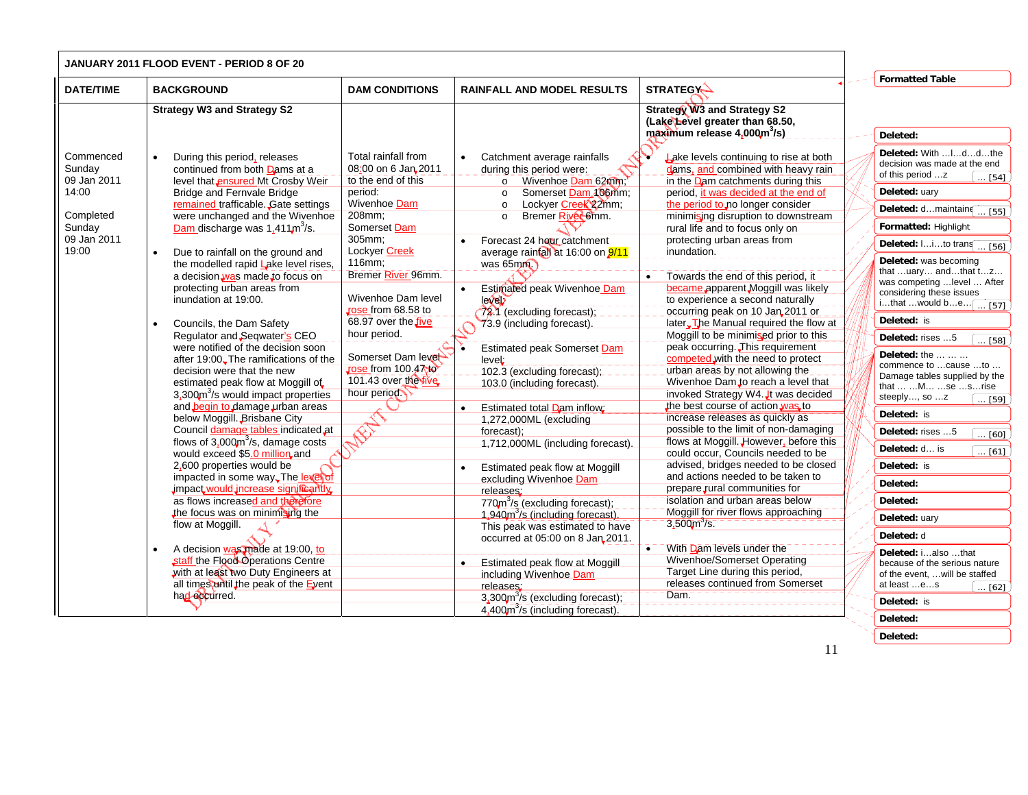|                                                                                            | <b>JANUARY 2011 FLOOD EVENT - PERIOD 8 OF 20</b>                                                                                                                                                                                                                                                                                                                                                                                                                                                                                                                                                                                                                                                                                                                                                                                                                                                                                                                                                                                                                                                                                                                                                                                                           |                                                                                                                                                                                                                                                                                                                                                                        |                                                                                                                                                                                                                                                                                                                                                                                                                                                                                                                                                                                                                                                                                                                                                                                                                                                                                                                                                                                         |                                                                                                                                                                                                                                                                                                                                                                                                                                                                                                                                                                                                                                                                                                                                                                                                                                                                                                                                                                                                                                                                                                                                                                                                                                                                                                                                   |                                                                                                                                                                                                                                                                                                                                                                                                                                                                                                                                                                                                                                                                                                                                                                                                                                  |
|--------------------------------------------------------------------------------------------|------------------------------------------------------------------------------------------------------------------------------------------------------------------------------------------------------------------------------------------------------------------------------------------------------------------------------------------------------------------------------------------------------------------------------------------------------------------------------------------------------------------------------------------------------------------------------------------------------------------------------------------------------------------------------------------------------------------------------------------------------------------------------------------------------------------------------------------------------------------------------------------------------------------------------------------------------------------------------------------------------------------------------------------------------------------------------------------------------------------------------------------------------------------------------------------------------------------------------------------------------------|------------------------------------------------------------------------------------------------------------------------------------------------------------------------------------------------------------------------------------------------------------------------------------------------------------------------------------------------------------------------|-----------------------------------------------------------------------------------------------------------------------------------------------------------------------------------------------------------------------------------------------------------------------------------------------------------------------------------------------------------------------------------------------------------------------------------------------------------------------------------------------------------------------------------------------------------------------------------------------------------------------------------------------------------------------------------------------------------------------------------------------------------------------------------------------------------------------------------------------------------------------------------------------------------------------------------------------------------------------------------------|-----------------------------------------------------------------------------------------------------------------------------------------------------------------------------------------------------------------------------------------------------------------------------------------------------------------------------------------------------------------------------------------------------------------------------------------------------------------------------------------------------------------------------------------------------------------------------------------------------------------------------------------------------------------------------------------------------------------------------------------------------------------------------------------------------------------------------------------------------------------------------------------------------------------------------------------------------------------------------------------------------------------------------------------------------------------------------------------------------------------------------------------------------------------------------------------------------------------------------------------------------------------------------------------------------------------------------------|----------------------------------------------------------------------------------------------------------------------------------------------------------------------------------------------------------------------------------------------------------------------------------------------------------------------------------------------------------------------------------------------------------------------------------------------------------------------------------------------------------------------------------------------------------------------------------------------------------------------------------------------------------------------------------------------------------------------------------------------------------------------------------------------------------------------------------|
| <b>DATE/TIME</b>                                                                           | <b>BACKGROUND</b>                                                                                                                                                                                                                                                                                                                                                                                                                                                                                                                                                                                                                                                                                                                                                                                                                                                                                                                                                                                                                                                                                                                                                                                                                                          | <b>DAM CONDITIONS</b>                                                                                                                                                                                                                                                                                                                                                  | <b>RAINFALL AND MODEL RESULTS</b>                                                                                                                                                                                                                                                                                                                                                                                                                                                                                                                                                                                                                                                                                                                                                                                                                                                                                                                                                       | <b>STRATEGY-</b>                                                                                                                                                                                                                                                                                                                                                                                                                                                                                                                                                                                                                                                                                                                                                                                                                                                                                                                                                                                                                                                                                                                                                                                                                                                                                                                  | <b>Formatted Table</b>                                                                                                                                                                                                                                                                                                                                                                                                                                                                                                                                                                                                                                                                                                                                                                                                           |
|                                                                                            | <b>Strategy W3 and Strategy S2</b>                                                                                                                                                                                                                                                                                                                                                                                                                                                                                                                                                                                                                                                                                                                                                                                                                                                                                                                                                                                                                                                                                                                                                                                                                         |                                                                                                                                                                                                                                                                                                                                                                        |                                                                                                                                                                                                                                                                                                                                                                                                                                                                                                                                                                                                                                                                                                                                                                                                                                                                                                                                                                                         | <b>Strategy W3 and Strategy S2</b><br>(Lake Level greater than 68.50,<br>maximum release 4,000m <sup>3</sup> /s)                                                                                                                                                                                                                                                                                                                                                                                                                                                                                                                                                                                                                                                                                                                                                                                                                                                                                                                                                                                                                                                                                                                                                                                                                  | Deleted:                                                                                                                                                                                                                                                                                                                                                                                                                                                                                                                                                                                                                                                                                                                                                                                                                         |
| Commenced<br>Sunday<br>09 Jan 2011<br>14:00<br>Completed<br>Sunday<br>09 Jan 2011<br>19:00 | During this period, releases<br>continued from both Dams at a<br>level that ensured Mt Crosby Weir<br><b>Bridge and Fernvale Bridge</b><br>remained trafficable. Gate settings<br>were unchanged and the Wivenhoe<br>Dam discharge was $1.411$ m <sup>3</sup> /s.<br>Due to rainfall on the ground and<br>the modelled rapid Lake level rises,<br>a decision was made to focus on<br>protecting urban areas from<br>inundation at 19:00.<br>Councils, the Dam Safety<br>Regulator and Seqwater's CEO<br>were notified of the decision soon<br>after 19:00. The ramifications of the<br>decision were that the new<br>estimated peak flow at Moggill of<br>3,300m <sup>3</sup> /s would impact properties<br>and begin to damage urban areas<br>below Moggill. Brisbane City<br>Council damage tables indicated at<br>flows of $3,000m^3/s$ , damage costs<br>would exceed \$5.0 million, and<br>2,600 properties would be<br>impacted in some way. The level of<br>impact would increase significantly<br>as flows increased and therefore<br>the focus was on minimising the<br>flow at Moggill.<br>A decision was made at 19:00, to<br>staff the Flood Operations Centre<br>with at least two Duty Engineers at<br>all times antil the peak of the Event | Total rainfall from<br>08:00 on 6 Jan 2011<br>to the end of this<br>period:<br>Wivenhoe Dam<br>208mm;<br>Somerset Dam<br>305mm;<br>Lockyer Creek<br>116mm;<br>Bremer River 96mm.<br>Wivenhoe Dam level<br>rose from 68.58 to<br>68.97 over the five<br>hour period.<br>Somerset Dam level<br>Jose from 100.47to<br>101.43 over the five<br>hour period<br>$\bigotimes$ | Catchment average rainfalls<br>$\bullet$<br>during this period were:<br>Wivenhoe Dam 62mm;<br>$\circ$<br>Somerset Dam 106mm:<br>$\Omega$<br>Lockyer Creek 22mm;<br>$\circ$<br>Bremer River 6mm.<br>$\circ$<br>Forecast 24 hour catchment<br>average rainfall at 16:00 on 9/11<br>was $65 \text{mm}$<br>Estimated peak Wivenhoe Dam<br>level<br>72.1 (excluding forecast);<br>73.9 (including forecast).<br><b>Estimated peak Somerset Dam</b><br>leveL<br>102.3 (excluding forecast);<br>103.0 (including forecast)<br>Estimated total Dam inflow:<br>$\bullet$<br>1,272,000ML (excluding<br>forecast);<br>1,712,000ML (including forecast).<br>Estimated peak flow at Moggill<br>$\bullet$<br>excluding Wivenhoe Dam<br>releases:<br>770m <sup>3</sup> /s (excluding forecast);<br>1,940m <sup>3</sup> /s (including forecast).<br>This peak was estimated to have<br>occurred at 05:00 on 8 Jan 2011.<br><b>Estimated peak flow at Moggill</b><br>including Wivenhoe Dam<br>releases: | Lake levels continuing to rise at both<br>dams, and combined with heavy rain<br>in the Dam catchments during this<br>period, it was decided at the end of<br>the period to no longer consider<br>minimising disruption to downstream<br>rural life and to focus only on<br>protecting urban areas from<br>inundation.<br>Towards the end of this period, it<br>$\bullet$<br>became apparent Moggill was likely<br>to experience a second naturally<br>occurring peak on 10 Jan 2011 or<br>later. The Manual required the flow at<br>Moggill to be minimised prior to this<br>peak occurring. This requirement<br>competed with the need to protect<br>urban areas by not allowing the<br>Wivenhoe Dam to reach a level that<br>invoked Strategy W4. It was decided<br>the best course of action was to<br>increase releases as quickly as<br>possible to the limit of non-damaging<br>flows at Moggill. However, before this<br>could occur, Councils needed to be<br>advised, bridges needed to be closed<br>and actions needed to be taken to<br>prepare rural communities for<br>isolation and urban areas below<br>Moggill for river flows approaching<br>$3,500m$ <sup>3</sup> /s.<br>With Dam Tevels under the<br><b>Wivenhoe/Somerset Operating</b><br>Target Line during this period,<br>releases continued from Somerset | Deleted: With  I d d the<br>decision was made at the end<br>of this period z<br>. [54]<br>Deleted: uary<br>Deleted: dmaintaine<br>$\ldots$ [55]<br>Formatted: Highlight<br>Deleted: Iito trans [ [56]<br>Deleted: was becoming<br>that uary andthat tz<br>was competing  level  After<br>considering these issues<br>ithat would be $\boxed{ [57]}$<br>Deleted: is<br>Deleted: rises 5<br>$\overline{}$ [58]<br>Deleted: the<br>commence to cause to<br>Damage tables supplied by the<br>that   M  se  s rise<br>steeply, so z<br>[59]<br>Deleted: is<br>Deleted: rises 5<br>$\overline{[60]}$<br>Deleted: d is<br>$\ldots$ [61]<br>Deleted: is<br>Deleted:<br>Deleted:<br>Deleted: uary<br>Deleted: d<br>Deleted: ialso that<br>because of the serious nature<br>of the event,  will be staffed<br>at least es<br>$\ldots$ [62] |
|                                                                                            | had occurred.                                                                                                                                                                                                                                                                                                                                                                                                                                                                                                                                                                                                                                                                                                                                                                                                                                                                                                                                                                                                                                                                                                                                                                                                                                              |                                                                                                                                                                                                                                                                                                                                                                        | 3,300m <sup>3</sup> /s (excluding forecast);<br>$4.400m^{3}/s$ (including forecast).                                                                                                                                                                                                                                                                                                                                                                                                                                                                                                                                                                                                                                                                                                                                                                                                                                                                                                    | Dam.                                                                                                                                                                                                                                                                                                                                                                                                                                                                                                                                                                                                                                                                                                                                                                                                                                                                                                                                                                                                                                                                                                                                                                                                                                                                                                                              | Deleted: is<br>Deleted:                                                                                                                                                                                                                                                                                                                                                                                                                                                                                                                                                                                                                                                                                                                                                                                                          |

**Deleted:**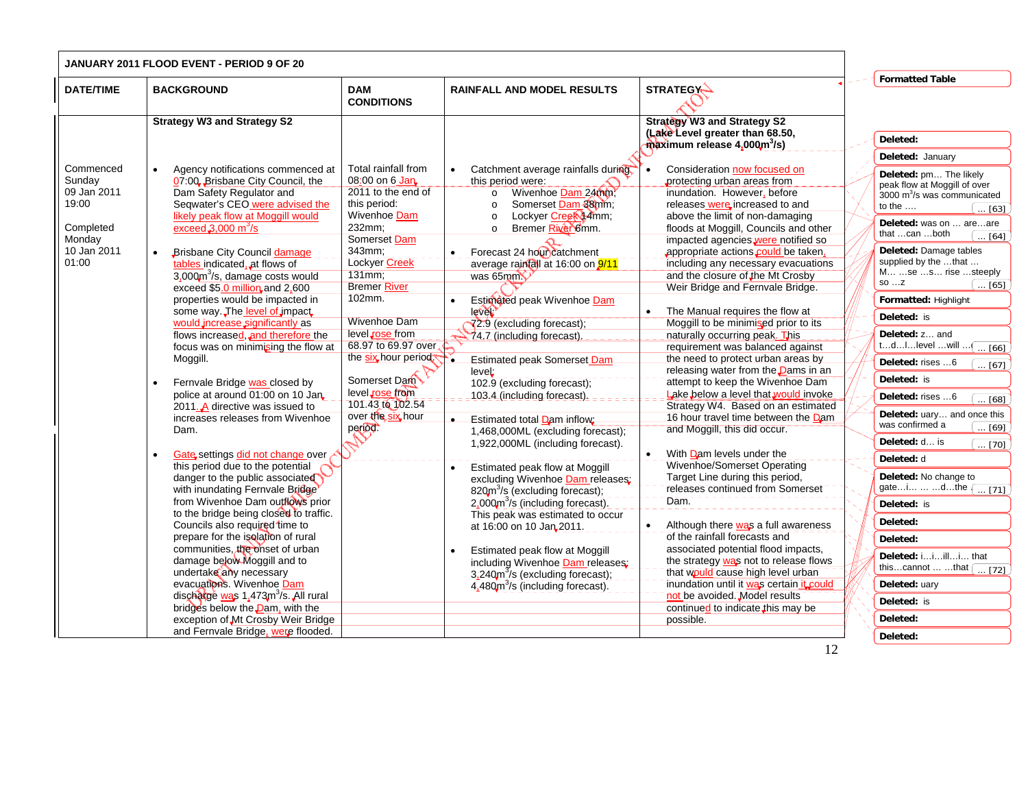|                                                                                            | JANUARY 2011 FLOOD EVENT - PERIOD 9 OF 20                                                                                                                                                                                                                                                                                                                                                                                                                                                                                                                                                                                                                                                                                                                                                                                                                                                                                                                                                                                                                                                                                                                                                                                                             |                                                                                                                                                                                                                                                                                                                                                                              |                                                                                                                                                                                                                                                                                                                                                                                                                                                                                                                                                                                                                                                                                                                                                                                                                                                                                                                                                                                                                           |                                                                                                                                                                                                                                                                                                                                                                                                                                                                                                                                                                                                                                                                                                                                                                                                                                                                                                                                                                                                                                                                                                                                                                                                                                                                                                           |                                                                                                                                                                                                                                                                                                                                                                                                                                                                                                                                                                                                                                                                                                                                                                                                                        |
|--------------------------------------------------------------------------------------------|-------------------------------------------------------------------------------------------------------------------------------------------------------------------------------------------------------------------------------------------------------------------------------------------------------------------------------------------------------------------------------------------------------------------------------------------------------------------------------------------------------------------------------------------------------------------------------------------------------------------------------------------------------------------------------------------------------------------------------------------------------------------------------------------------------------------------------------------------------------------------------------------------------------------------------------------------------------------------------------------------------------------------------------------------------------------------------------------------------------------------------------------------------------------------------------------------------------------------------------------------------|------------------------------------------------------------------------------------------------------------------------------------------------------------------------------------------------------------------------------------------------------------------------------------------------------------------------------------------------------------------------------|---------------------------------------------------------------------------------------------------------------------------------------------------------------------------------------------------------------------------------------------------------------------------------------------------------------------------------------------------------------------------------------------------------------------------------------------------------------------------------------------------------------------------------------------------------------------------------------------------------------------------------------------------------------------------------------------------------------------------------------------------------------------------------------------------------------------------------------------------------------------------------------------------------------------------------------------------------------------------------------------------------------------------|-----------------------------------------------------------------------------------------------------------------------------------------------------------------------------------------------------------------------------------------------------------------------------------------------------------------------------------------------------------------------------------------------------------------------------------------------------------------------------------------------------------------------------------------------------------------------------------------------------------------------------------------------------------------------------------------------------------------------------------------------------------------------------------------------------------------------------------------------------------------------------------------------------------------------------------------------------------------------------------------------------------------------------------------------------------------------------------------------------------------------------------------------------------------------------------------------------------------------------------------------------------------------------------------------------------|------------------------------------------------------------------------------------------------------------------------------------------------------------------------------------------------------------------------------------------------------------------------------------------------------------------------------------------------------------------------------------------------------------------------------------------------------------------------------------------------------------------------------------------------------------------------------------------------------------------------------------------------------------------------------------------------------------------------------------------------------------------------------------------------------------------------|
| <b>DATE/TIME</b>                                                                           | <b>BACKGROUND</b>                                                                                                                                                                                                                                                                                                                                                                                                                                                                                                                                                                                                                                                                                                                                                                                                                                                                                                                                                                                                                                                                                                                                                                                                                                     | <b>DAM</b><br><b>CONDITIONS</b>                                                                                                                                                                                                                                                                                                                                              | <b>RAINFALL AND MODEL RESULTS</b>                                                                                                                                                                                                                                                                                                                                                                                                                                                                                                                                                                                                                                                                                                                                                                                                                                                                                                                                                                                         | <b>STRATEGY-</b>                                                                                                                                                                                                                                                                                                                                                                                                                                                                                                                                                                                                                                                                                                                                                                                                                                                                                                                                                                                                                                                                                                                                                                                                                                                                                          | <b>Formatted Table</b>                                                                                                                                                                                                                                                                                                                                                                                                                                                                                                                                                                                                                                                                                                                                                                                                 |
|                                                                                            | <b>Strategy W3 and Strategy S2</b>                                                                                                                                                                                                                                                                                                                                                                                                                                                                                                                                                                                                                                                                                                                                                                                                                                                                                                                                                                                                                                                                                                                                                                                                                    |                                                                                                                                                                                                                                                                                                                                                                              |                                                                                                                                                                                                                                                                                                                                                                                                                                                                                                                                                                                                                                                                                                                                                                                                                                                                                                                                                                                                                           | <b>Strategy W3 and Strategy S2</b><br>(Lake Level greater than 68.50,                                                                                                                                                                                                                                                                                                                                                                                                                                                                                                                                                                                                                                                                                                                                                                                                                                                                                                                                                                                                                                                                                                                                                                                                                                     | Deleted:                                                                                                                                                                                                                                                                                                                                                                                                                                                                                                                                                                                                                                                                                                                                                                                                               |
|                                                                                            |                                                                                                                                                                                                                                                                                                                                                                                                                                                                                                                                                                                                                                                                                                                                                                                                                                                                                                                                                                                                                                                                                                                                                                                                                                                       |                                                                                                                                                                                                                                                                                                                                                                              |                                                                                                                                                                                                                                                                                                                                                                                                                                                                                                                                                                                                                                                                                                                                                                                                                                                                                                                                                                                                                           | maximum release 4,000m <sup>3</sup> /s)                                                                                                                                                                                                                                                                                                                                                                                                                                                                                                                                                                                                                                                                                                                                                                                                                                                                                                                                                                                                                                                                                                                                                                                                                                                                   |                                                                                                                                                                                                                                                                                                                                                                                                                                                                                                                                                                                                                                                                                                                                                                                                                        |
| Commenced<br>Sunday<br>09 Jan 2011<br>19:00<br>Completed<br>Monday<br>10 Jan 2011<br>01:00 | Agency notifications commenced at<br>07:00, Brisbane City Council, the<br>Dam Safety Regulator and<br>Seqwater's CEO were advised the<br>likely peak flow at Moggill would<br>exceed $3,000 \text{ m}^3\text{/s}$<br>Brisbane City Council damage<br>tables indicated, at flows of<br>3,000m <sup>3</sup> /s, damage costs would<br>exceed \$5.0 million, and 2,600<br>properties would be impacted in<br>some way. The level of impact<br>would increase significantly as<br>flows increased, and therefore the<br>focus was on minimising the flow at<br>Moggill.<br>Fernvale Bridge was closed by<br>police at around 01:00 on 10 Jan.<br>2011. A directive was issued to<br>increases releases from Wivenhoe<br>Dam.<br>Gate settings did not change over<br>this period due to the potential<br>danger to the public associated<br>with inundating Fernvale Bridge<br>from Wivenhoe Dam outflows prior<br>to the bridge being closed to traffic.<br>Councils also required time to<br>prepare for the isolation of rural<br>communities, the onset of urban<br>damage below Moggill and to<br>undertake any necessary<br>evacuations. Wivenhoe Dam<br>discharge was 1,473m <sup>3</sup> /s. All rural<br>bridges below the <b>Dam</b> , with the | Total rainfall from<br>08:00 on 6 Jan.<br>2011 to the end of<br>this period:<br>Wivenhoe Dam<br>232mm:<br>Somerset Dam<br>343mm;<br>Lockyer Creek<br>131mm;<br><b>Bremer River</b><br>102mm.<br><b>Wivenhoe Dam</b><br>level rose from<br>68.97 to 69.97 over<br>the six hour period.<br>Somerset Dam<br>level rose from<br>101.43 to 102.54<br>over the six hour<br>period. | Catchment average rainfalls during<br>this period were:<br>Wivenhoe Dam 24000;<br>$\circ$<br>Somerset Dam 38mm;<br>$\circ$<br>Lockyer Creek 14mm;<br>$\circ$<br>Bremer River 6mm.<br>$\circ$<br>Forecast 24 hour catchment<br>average raintall at 16:00 on 9/11<br>was 65 $\text{mm}$<br>Estimated peak Wivenhoe Dam<br>lever'<br>72.9 (excluding forecast);<br>24.7 (including forecast).<br>Estimated peak Somerset Dam<br>leveL:<br>102.9 (excluding forecast);<br>103.4 (including forecast).<br>Estimated total Dam inflow;<br>1,468,000ML (excluding forecast);<br>1,922,000ML (including forecast).<br>Estimated peak flow at Moggill<br>excluding Wivenhoe Dam releases:<br>820m <sup>3</sup> /s (excluding forecast);<br>$2.000$ m <sup>3</sup> /s (including forecast).<br>This peak was estimated to occur<br>at 16:00 on 10 Jan 2011.<br>Estimated peak flow at Moggill<br>including Wivenhoe Dam releases:<br>$3.240m$ <sup>3</sup> /s (excluding forecast);<br>4,480m <sup>3</sup> /s (including forecast). | Consideration now focused on<br>protecting urban areas from<br>inundation. However, before<br>releases were increased to and<br>above the limit of non-damaging<br>floods at Moggill, Councils and other<br>impacted agencies were notified so<br>appropriate actions could be taken.<br>including any necessary evacuations<br>and the closure of the Mt Crosby<br>Weir Bridge and Fernvale Bridge.<br>The Manual requires the flow at<br>Moggill to be minimised prior to its<br>naturally occurring peak. This<br>requirement was balanced against<br>the need to protect urban areas by<br>releasing water from the <b>Dams</b> in an<br>attempt to keep the Wivenhoe Dam<br>Lake below a level that would invoke<br>Strategy W4. Based on an estimated<br>16 hour travel time between the Dam<br>and Moggill, this did occur.<br>With Dam levels under the<br>$\bullet$<br>Wivenhoe/Somerset Operating<br>Target Line during this period,<br>releases continued from Somerset<br>Dam.<br>Although there was a full awareness<br>of the rainfall forecasts and<br>associated potential flood impacts,<br>the strategy was not to release flows<br>that would cause high level urban<br>inundation until it was certain it could<br>not be avoided. Model results<br>continued to indicate this may be | Deleted: Januarv<br>Deleted: pm The likely<br>peak flow at Moggill of over<br>3000 $m^3$ /s was communicated<br>to the $\dots$<br>$\ldots$ [63]<br>Deleted: was on  areare<br>that can both<br>$\cdot$ [64]<br>Deleted: Damage tables<br>supplied by the that<br>M se s rise steeply<br>SOZ<br>$\dots$ [65]<br>Formatted: Highlight<br>Deleted: is<br>Deleted: z and<br>tdllevel will (<br>$\overline{\ldots}$ [66]<br>Deleted: rises 6<br>$\ldots$ [67]<br>Deleted: is<br>Deleted: rises 6<br>$\overline{ [68]}$<br>Deleted: uary and once this<br>was confirmed a<br>$\ldots$ [69]<br>Deleted: d is<br>$\ldots$ [70]<br>Deleted: d<br>Deleted: No change to<br>gatei  dthe [ [71]<br>Deleted: is<br>Deleted:<br>Deleted:<br>Deleted: iiilli that<br>thiscannot  that $\boxed{ [72]}$<br>Deleted: uary<br>Deleted: is |
|                                                                                            | exception of Mt Crosby Weir Bridge                                                                                                                                                                                                                                                                                                                                                                                                                                                                                                                                                                                                                                                                                                                                                                                                                                                                                                                                                                                                                                                                                                                                                                                                                    |                                                                                                                                                                                                                                                                                                                                                                              |                                                                                                                                                                                                                                                                                                                                                                                                                                                                                                                                                                                                                                                                                                                                                                                                                                                                                                                                                                                                                           | possible.                                                                                                                                                                                                                                                                                                                                                                                                                                                                                                                                                                                                                                                                                                                                                                                                                                                                                                                                                                                                                                                                                                                                                                                                                                                                                                 | Deleted:                                                                                                                                                                                                                                                                                                                                                                                                                                                                                                                                                                                                                                                                                                                                                                                                               |
|                                                                                            | and Fernvale Bridge, were flooded.                                                                                                                                                                                                                                                                                                                                                                                                                                                                                                                                                                                                                                                                                                                                                                                                                                                                                                                                                                                                                                                                                                                                                                                                                    |                                                                                                                                                                                                                                                                                                                                                                              |                                                                                                                                                                                                                                                                                                                                                                                                                                                                                                                                                                                                                                                                                                                                                                                                                                                                                                                                                                                                                           |                                                                                                                                                                                                                                                                                                                                                                                                                                                                                                                                                                                                                                                                                                                                                                                                                                                                                                                                                                                                                                                                                                                                                                                                                                                                                                           | Deleted:                                                                                                                                                                                                                                                                                                                                                                                                                                                                                                                                                                                                                                                                                                                                                                                                               |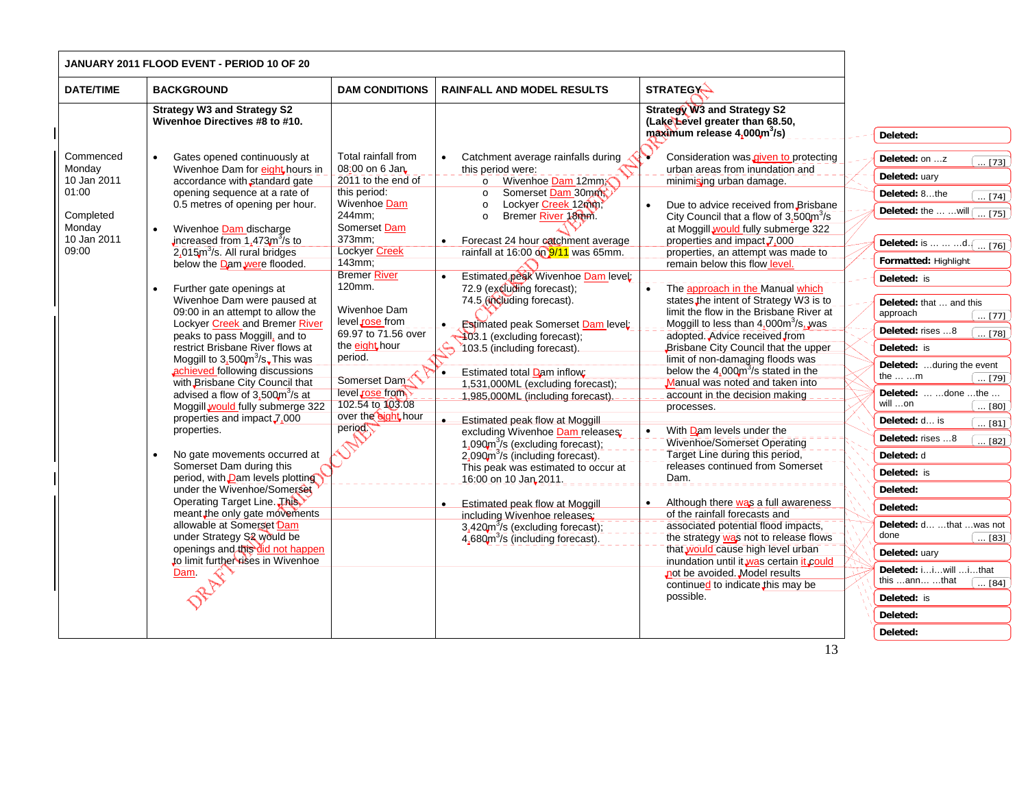|                                                                                            | JANUARY 2011 FLOOD EVENT - PERIOD 10 OF 20                                                                                                                                                                                                                                                                                                                                                                                                                                                                                                                                                                                                                                                                                                                                                                                                                                                                                                                                                                                                                                                                               |                                                                                                                                                                                                                                                                                                                                                                                                          |                                                                                                                                                                                                                                                                                                                                                                                                                                                                                                                                                                                                                                                                                                                                                                                                                                                                                                                                                                                                                                |                                                                                                                                                                                                                                                                                                                                                                                                                                                                                                                                                                                                                                                                                                                                                                                                                                                                                                                                                                                                                                                                                                                                                                                               |                                                                                                                                                                                                                                                                                                                                                                                                                                                                                                                                                                                                                                                            |
|--------------------------------------------------------------------------------------------|--------------------------------------------------------------------------------------------------------------------------------------------------------------------------------------------------------------------------------------------------------------------------------------------------------------------------------------------------------------------------------------------------------------------------------------------------------------------------------------------------------------------------------------------------------------------------------------------------------------------------------------------------------------------------------------------------------------------------------------------------------------------------------------------------------------------------------------------------------------------------------------------------------------------------------------------------------------------------------------------------------------------------------------------------------------------------------------------------------------------------|----------------------------------------------------------------------------------------------------------------------------------------------------------------------------------------------------------------------------------------------------------------------------------------------------------------------------------------------------------------------------------------------------------|--------------------------------------------------------------------------------------------------------------------------------------------------------------------------------------------------------------------------------------------------------------------------------------------------------------------------------------------------------------------------------------------------------------------------------------------------------------------------------------------------------------------------------------------------------------------------------------------------------------------------------------------------------------------------------------------------------------------------------------------------------------------------------------------------------------------------------------------------------------------------------------------------------------------------------------------------------------------------------------------------------------------------------|-----------------------------------------------------------------------------------------------------------------------------------------------------------------------------------------------------------------------------------------------------------------------------------------------------------------------------------------------------------------------------------------------------------------------------------------------------------------------------------------------------------------------------------------------------------------------------------------------------------------------------------------------------------------------------------------------------------------------------------------------------------------------------------------------------------------------------------------------------------------------------------------------------------------------------------------------------------------------------------------------------------------------------------------------------------------------------------------------------------------------------------------------------------------------------------------------|------------------------------------------------------------------------------------------------------------------------------------------------------------------------------------------------------------------------------------------------------------------------------------------------------------------------------------------------------------------------------------------------------------------------------------------------------------------------------------------------------------------------------------------------------------------------------------------------------------------------------------------------------------|
| <b>DATE/TIME</b>                                                                           | <b>BACKGROUND</b>                                                                                                                                                                                                                                                                                                                                                                                                                                                                                                                                                                                                                                                                                                                                                                                                                                                                                                                                                                                                                                                                                                        | <b>DAM CONDITIONS</b>                                                                                                                                                                                                                                                                                                                                                                                    | <b>RAINFALL AND MODEL RESULTS</b>                                                                                                                                                                                                                                                                                                                                                                                                                                                                                                                                                                                                                                                                                                                                                                                                                                                                                                                                                                                              | <b>STRATEGY-</b>                                                                                                                                                                                                                                                                                                                                                                                                                                                                                                                                                                                                                                                                                                                                                                                                                                                                                                                                                                                                                                                                                                                                                                              |                                                                                                                                                                                                                                                                                                                                                                                                                                                                                                                                                                                                                                                            |
|                                                                                            | <b>Strategy W3 and Strategy S2</b><br>Wivenhoe Directives #8 to #10.                                                                                                                                                                                                                                                                                                                                                                                                                                                                                                                                                                                                                                                                                                                                                                                                                                                                                                                                                                                                                                                     |                                                                                                                                                                                                                                                                                                                                                                                                          |                                                                                                                                                                                                                                                                                                                                                                                                                                                                                                                                                                                                                                                                                                                                                                                                                                                                                                                                                                                                                                | <b>Strategy W3 and Strategy S2</b><br>(Lake Level greater than 68.50,<br>maximum release 4,000m <sup>3</sup> /s)                                                                                                                                                                                                                                                                                                                                                                                                                                                                                                                                                                                                                                                                                                                                                                                                                                                                                                                                                                                                                                                                              | Deleted:                                                                                                                                                                                                                                                                                                                                                                                                                                                                                                                                                                                                                                                   |
| Commenced<br>Monday<br>10 Jan 2011<br>01:00<br>Completed<br>Monday<br>10 Jan 2011<br>09:00 | Gates opened continuously at<br>Wivenhoe Dam for eight hours in<br>accordance with standard gate<br>opening sequence at a rate of<br>0.5 metres of opening per hour.<br>Wivenhoe Dam discharge<br>increased from $1,473m3/s$ to<br>2,015m <sup>3</sup> /s. All rural bridges<br>below the Dam were flooded.<br>Further gate openings at<br>Wivenhoe Dam were paused at<br>09:00 in an attempt to allow the<br>Lockyer Creek and Bremer River<br>peaks to pass Moggill, and to<br>restrict Brisbane River flows at<br>Moggill to $3,500\text{m}^3/\text{s}$ . This was<br>achieved following discussions<br>with Brisbane City Council that<br>advised a flow of 3,500m <sup>3</sup> /s at<br>Moggill would fully submerge 322<br>properties and impact, 7,000<br>properties.<br>No gate movements occurred at<br>Somerset Dam during this<br>period, with <b>Dam</b> levels plotting<br>under the Wivenhoe/Somerset<br>Operating Target Line. This<br>meant the only gate movements<br>allowable at Somerset Dam<br>under Strategy S2 would be<br>openings and this did not happen<br>to limit further rises in Wivenhoe | Total rainfall from<br>08:00 on 6 Jan<br>2011 to the end of<br>this period:<br>Wivenhoe Dam<br>244mm;<br>Somerset Dam<br>373mm:<br><b>Lockyer Creek</b><br>143mm;<br><b>Bremer River</b><br>120mm.<br>Wivenhoe Dam<br>level <sub>sose</sub> from<br>69.97 to 71.56 over<br>the eight hour<br>period.<br>Somerset Dam <sup></sup><br>level rose from<br>102.54 to 103.08<br>over the eight hour<br>period | Catchment average rainfalls during<br>this period were:<br>o Wivenhoe Dam 12mm<br>Somerset Dam 30mm<br>$\circ$<br>Lockyer Creek 12mm<br>$\circ$<br>Bremer River 18mm.<br>$\circ$<br>Forecast 24 hour catchment average<br>$\bullet$<br>rainfall at 16:00 on 9/11 was 65mm.<br>Estimated peak Wivenhoe Dam level:<br>72.9 (excluding forecast);<br>74.5 (including forecast).<br><b>Estimated peak Somerset Dam level</b><br>403.1 (excluding forecast);<br>ے<br>103.5 (including forecast).<br>Estimated total Dam inflow:<br>$\bullet$<br>1,531,000ML (excluding forecast);<br>1,985,000ML (including forecast).<br><b>Estimated peak flow at Moggill</b><br>excluding Wivenhoe Dam releases;<br>1,090 $\text{m}^3$ /s (excluding forecast);<br>2,090m <sup>3</sup> /s (including forecast).<br>This peak was estimated to occur at<br>16:00 on 10 Jan 2011.<br><b>Estimated peak flow at Moggill</b><br>including Wivenhoe releases:<br>3,420 $m^3$ /s (excluding forecast);<br>4,680m <sup>3</sup> /s (including forecast). | Consideration was given to protecting<br>urban areas from inundation and<br>minimising urban damage.<br>Due to advice received from Brisbane<br>$\bullet$<br>City Council that a flow of $3.500m^{3}/s$<br>at Moggill would fully submerge 322<br>properties and impact 7,000<br>properties, an attempt was made to<br>remain below this flow level<br>The approach in the Manual which<br>states the intent of Strategy W3 is to<br>limit the flow in the Brisbane River at<br>MoggilLto less than $4.000 \text{m}^3/\text{s}$ , was<br>adopted. Advice received from<br>Brisbane City Council that the upper<br>limit of non-damaging floods was<br>below the $4.000 \text{m}^3/\text{s}$ stated in the<br>Manual was noted and taken into<br>account in the decision making<br>processes.<br>With Dam levels under the<br>Wivenhoe/Somerset Operating<br>Target Line during this period,<br>releases continued from Somerset<br>Dam.<br>Although there was a full awareness<br>$\bullet$<br>of the rainfall forecasts and<br>associated potential flood impacts,<br>the strategy was not to release flows<br>that would cause high level urban<br>inundation until it was certain it could | Deleted: on z<br>$\overline{ [73]}$<br>Deleted: uary<br>Deleted: 8the<br>$\overline{\ldots [74]}$<br>Deleted: the   will r<br>$\overline{\ldots$ [75]<br>Deleted: is    d. $\sqrt{76}$<br>Formatted: Highlight<br>Deleted: is<br>Deleted: that  and this<br>approach<br>$\ldots$ [77]<br>Deleted: rises 8<br>$\ldots$ [78]<br>Deleted: is<br>Deleted: during the event<br>the  m<br>$\ldots$ [79]<br>Deleted:  done the<br>will on<br>$\ldots$ [80]<br>Deleted: d is<br>$\overline{\ldots}$ [81]<br>Deleted: rises 8<br>[82]<br>Deleted: d<br>Deleted: is<br>Deleted:<br>Deleted:<br>Deleted: d  that  was not<br>done<br>$\boxed{ [83]}$<br>Deleted: uary |
|                                                                                            | Dam.                                                                                                                                                                                                                                                                                                                                                                                                                                                                                                                                                                                                                                                                                                                                                                                                                                                                                                                                                                                                                                                                                                                     |                                                                                                                                                                                                                                                                                                                                                                                                          |                                                                                                                                                                                                                                                                                                                                                                                                                                                                                                                                                                                                                                                                                                                                                                                                                                                                                                                                                                                                                                | not be avoided. Model results<br>continued to indicate this may be<br>possible.                                                                                                                                                                                                                                                                                                                                                                                                                                                                                                                                                                                                                                                                                                                                                                                                                                                                                                                                                                                                                                                                                                               | Deleted: iiwill ithat<br>this ann that<br>$\ldots$ [84]<br>Deleted: is<br>Deleted:                                                                                                                                                                                                                                                                                                                                                                                                                                                                                                                                                                         |
|                                                                                            |                                                                                                                                                                                                                                                                                                                                                                                                                                                                                                                                                                                                                                                                                                                                                                                                                                                                                                                                                                                                                                                                                                                          |                                                                                                                                                                                                                                                                                                                                                                                                          |                                                                                                                                                                                                                                                                                                                                                                                                                                                                                                                                                                                                                                                                                                                                                                                                                                                                                                                                                                                                                                |                                                                                                                                                                                                                                                                                                                                                                                                                                                                                                                                                                                                                                                                                                                                                                                                                                                                                                                                                                                                                                                                                                                                                                                               | Deleted:                                                                                                                                                                                                                                                                                                                                                                                                                                                                                                                                                                                                                                                   |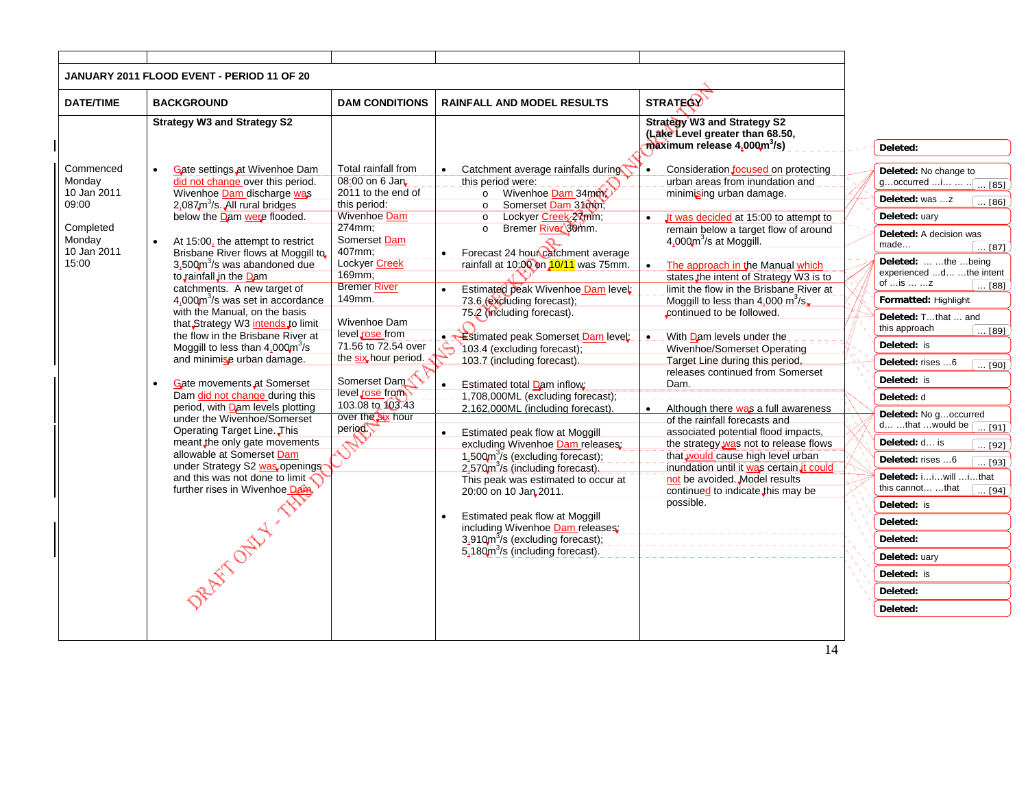|                                                                                            | JANUARY 2011 FLOOD EVENT - PERIOD 11 OF 20                                                                                                                                                                                                                                                                                                                                                                                                                                                                                                                                                                                                                                                                                                                                                                                                                                                                                                                         |                                                                                                                                                                                                                                                                                                                                                                                        |                                                                                                                                                                                                                                                                                                                                                                                                                                                                                                                                                                                                                                                                                                                                                                                                                                                                                                                                                                                                                                                                       |                                                                                                                                                                                                                                                                                                                                                                                                                                                                                                                                                                                                                                                                                                                                                                                                                                                                                                                                                                            |                                                                                                                                                                                                                                                                                                                                                                                                                                                                                                                                                                                                                                                                                                                         |
|--------------------------------------------------------------------------------------------|--------------------------------------------------------------------------------------------------------------------------------------------------------------------------------------------------------------------------------------------------------------------------------------------------------------------------------------------------------------------------------------------------------------------------------------------------------------------------------------------------------------------------------------------------------------------------------------------------------------------------------------------------------------------------------------------------------------------------------------------------------------------------------------------------------------------------------------------------------------------------------------------------------------------------------------------------------------------|----------------------------------------------------------------------------------------------------------------------------------------------------------------------------------------------------------------------------------------------------------------------------------------------------------------------------------------------------------------------------------------|-----------------------------------------------------------------------------------------------------------------------------------------------------------------------------------------------------------------------------------------------------------------------------------------------------------------------------------------------------------------------------------------------------------------------------------------------------------------------------------------------------------------------------------------------------------------------------------------------------------------------------------------------------------------------------------------------------------------------------------------------------------------------------------------------------------------------------------------------------------------------------------------------------------------------------------------------------------------------------------------------------------------------------------------------------------------------|----------------------------------------------------------------------------------------------------------------------------------------------------------------------------------------------------------------------------------------------------------------------------------------------------------------------------------------------------------------------------------------------------------------------------------------------------------------------------------------------------------------------------------------------------------------------------------------------------------------------------------------------------------------------------------------------------------------------------------------------------------------------------------------------------------------------------------------------------------------------------------------------------------------------------------------------------------------------------|-------------------------------------------------------------------------------------------------------------------------------------------------------------------------------------------------------------------------------------------------------------------------------------------------------------------------------------------------------------------------------------------------------------------------------------------------------------------------------------------------------------------------------------------------------------------------------------------------------------------------------------------------------------------------------------------------------------------------|
| <b>DATE/TIME</b>                                                                           | <b>BACKGROUND</b>                                                                                                                                                                                                                                                                                                                                                                                                                                                                                                                                                                                                                                                                                                                                                                                                                                                                                                                                                  | <b>DAM CONDITIONS</b>                                                                                                                                                                                                                                                                                                                                                                  | <b>RAINFALL AND MODEL RESULTS</b>                                                                                                                                                                                                                                                                                                                                                                                                                                                                                                                                                                                                                                                                                                                                                                                                                                                                                                                                                                                                                                     | <b>STRATEGY</b>                                                                                                                                                                                                                                                                                                                                                                                                                                                                                                                                                                                                                                                                                                                                                                                                                                                                                                                                                            |                                                                                                                                                                                                                                                                                                                                                                                                                                                                                                                                                                                                                                                                                                                         |
|                                                                                            | <b>Strategy W3 and Strategy S2</b>                                                                                                                                                                                                                                                                                                                                                                                                                                                                                                                                                                                                                                                                                                                                                                                                                                                                                                                                 |                                                                                                                                                                                                                                                                                                                                                                                        |                                                                                                                                                                                                                                                                                                                                                                                                                                                                                                                                                                                                                                                                                                                                                                                                                                                                                                                                                                                                                                                                       | <b>Strategy W3 and Strategy S2</b><br>(Lake Level greater than 68.50,<br>$\hat{\mathbf{m}}$ aximum release 4,000 $\mathbf{m}^3$ /s)                                                                                                                                                                                                                                                                                                                                                                                                                                                                                                                                                                                                                                                                                                                                                                                                                                        | Deleted:                                                                                                                                                                                                                                                                                                                                                                                                                                                                                                                                                                                                                                                                                                                |
| Commenced<br>Monday<br>10 Jan 2011<br>09:00<br>Completed<br>Monday<br>10 Jan 2011<br>15:00 | Gate settings at Wivenhoe Dam<br>did not change over this period.<br>Wivenhoe Dam discharge was<br>$2.087m3/s$ . All rural bridges<br>below the Dam were flooded.<br>At 15:00, the attempt to restrict<br>Brisbane River flows at Moggill to<br>3.500m <sup>3</sup> /s was abandoned due<br>to rainfall in the Dam<br>catchments. A new target of<br>4.000 m <sup>3</sup> /s was set in accordance<br>with the Manual, on the basis<br>that Strategy W3 intends to limit<br>the flow in the Brisbane River at<br>Moggill to less than $4.000 \text{m}^3/\text{s}$<br>and minimise urban damage.<br>Gate movements at Somerset<br>Dam did not change during this<br>period, with Dam levels plotting<br>under the Wivenhoe/Somerset<br>Operating Target Line. This<br>meant the only gate movements<br>allowable at Somerset Dam<br>under Strategy S2 was openings<br>and this was not done to limit $\triangle$<br>further rises in Wivenhoe Dam<br>Weiss Vivening | Total rainfall from<br>08:00 on 6 Jan<br>2011 to the end of<br>this period:<br><b>Wivenhoe Dam</b><br>274mm;<br>Somerset Dam<br>407mm:<br>Lockyer Creek<br>169mm;<br><b>Bremer River</b><br>149mm.<br>Wivenhoe Dam<br>level rose from<br>71.56 to 72.54 over<br>the six hour period.<br>Somerset Dam <sup></sup><br>level rose from<br>103.08 to 103.43<br>over the six hour<br>period | Catchment average rainfalls during<br>this period were:<br>o Wivenhoe Dam 34mm<br>Somerset Dam 31000.<br>$\circ$<br>Lockyer Creek 2xmm;<br>$\circ$<br>Bremer River 30mm.<br>$\circ$<br>Forecast 24 hour catchment average<br>$\bullet$<br>rainfall at 10:00 on 10/11 was 75mm.<br>Estimated peak Wivenhoe Dam level:<br>73.6 (excluding forecast);<br>75.2 (including forecast).<br>Estimated peak Somerset Dam level:<br>$\bullet$ $\triangle$<br>103.4 (excluding forecast);<br>103.7 (including forecast).<br>Estimated total Dam inflow:<br>$\bullet$<br>-1,708,000ML (excluding forecast);<br>2,162,000ML (including forecast).<br><b>Estimated peak flow at Moggill</b><br>$\bullet$<br>excluding Wivenhoe Dam releases:<br>1,500 $\text{m}^3$ /s (excluding forecast);<br>2,570m <sup>3</sup> /s (including forecast).<br>This peak was estimated to occur at<br>20:00 on 10 Jan 2011.<br>Estimated peak flow at Moggill<br>including Wivenhoe Dam releases;<br>$3,910m$ <sup>3</sup> /s (excluding forecast);<br>5,180m <sup>3</sup> /s (including forecast). | Consideration focused on protecting<br>$\bullet$<br>urban areas from inundation and<br>minimising urban damage.<br>It was decided at 15:00 to attempt to<br>$\bullet$<br>remain below a target flow of around<br>$4,000m^3$ /s at Moggill.<br>The approach in the Manual which<br>$\bullet$<br>states the intent of Strategy W3 is to<br>limit the flow in the Brisbane River at<br>Moggill to less than 4,000 m <sup>3</sup> /s.<br>continued to be followed.<br>With Dam levels under the<br>$\bullet$ $-$<br>Wivenhoe/Somerset Operating<br>Target Line during this period,<br>releases continued from Somerset<br>Dam.<br>Although there was a full awareness<br>$\bullet$<br>of the rainfall forecasts and<br>associated potential flood impacts,<br>the strategy was not to release flows<br>that would cause high level urban<br>inundation until it was certain, it could<br>not be avoided. Model results<br>continued to indicate this may be<br>possible.<br>14 | Deleted: No change to<br>goccurred i<br>$\overline{\ldots$ [85]<br>Deleted: was z<br>[86]<br>Deleted: uary<br>Deleted: A decision was<br>made<br>[87]<br>Deleted:  the being<br>experienced dthe intent<br>of $$ is $$ $$ z<br>. [88]<br>Formatted: Highlight<br>Deleted: Tthat  and<br>this approach<br>$\overline{\ldots$ [89]<br>Deleted: is<br>Deleted: rises 6<br>$\ldots$ [90]<br>Deleted: is<br>Deleted: d<br>Deleted: No goccurred<br>d that would be f<br>$\overline{}$ [91]<br>Deleted: d is<br>$\ldots$ [92]<br>Deleted: rises 6<br>$\overline{}$ [93]<br>Deleted: iiwill ithat<br>this cannot that<br>$[94]$<br>Deleted: is<br>Deleted:<br>Deleted:<br>Deleted: uary<br>Deleted: is<br>Deleted:<br>Deleted: |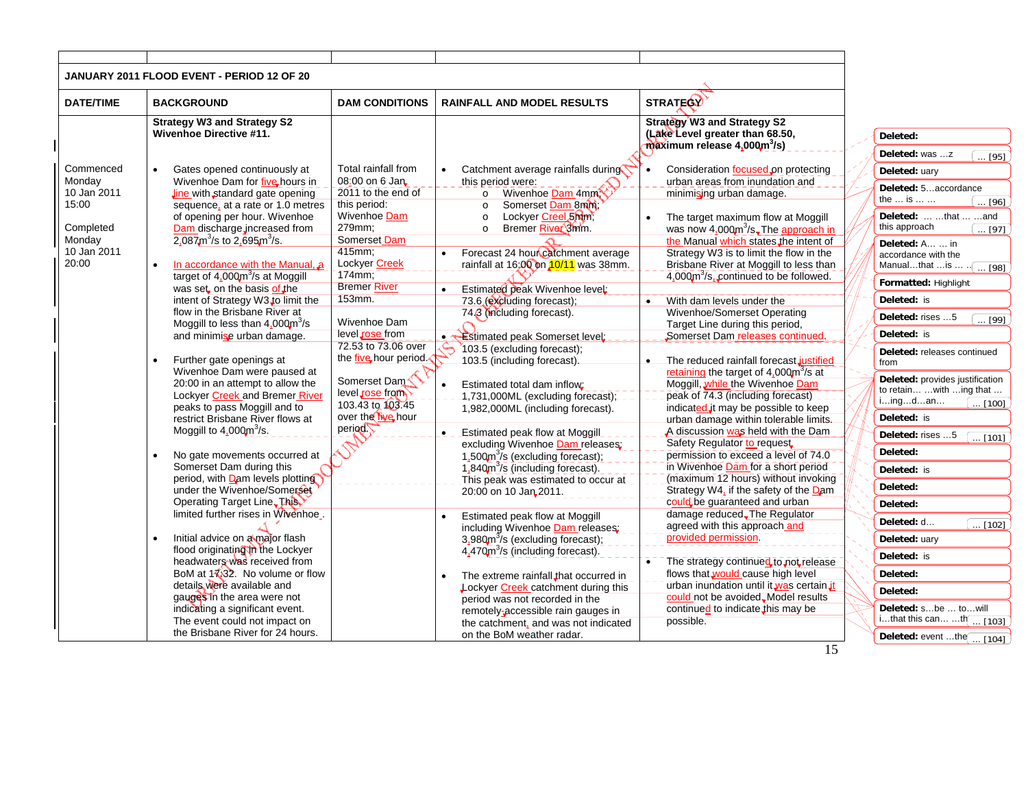| JANUARY 2011 FLOOD EVENT - PERIOD 12 OF 20<br><b>STRATEGY</b><br><b>DATE/TIME</b><br><b>BACKGROUND</b><br><b>DAM CONDITIONS</b><br><b>RAINFALL AND MODEL RESULTS</b><br><b>Strategy W3 and Strategy S2</b><br><b>Strategy W3 and Strategy S2</b><br><b>Wivenhoe Directive #11.</b><br>(Lake Level greater than 68.50,<br>Deleted:<br>$m\alpha$ zimum release 4,000 $m^3$ /s)<br>Deleted: was z<br>$\overline{\ldots$ [95]<br>Total rainfall from<br>Commenced<br>Catchment average rainfalls during<br>Gates opened continuously at<br>Consideration focused on protecting<br>Deleted: uary<br>Monday<br>Wivenhoe Dam for five hours in<br>08:00 on 6 Jan<br>urban areas from inundation and<br>this period were:<br>Deleted: 5accordance<br>2011 to the end of<br>o Wivenhoe Dam 4mm<br>10 Jan 2011<br><b>Jine with standard gate opening</b><br>minimising urban damage.<br>the  is<br>$\ldots$ [96]<br>15:00<br>this period:<br>sequence, at a rate or 1.0 metres<br>Somerset Dam 8mm;<br>$\circ$<br>Deleted:   that   and<br>of opening per hour. Wivenhoe<br>Wivenhoe Dam<br>Lockyer Creel 5mm;<br>$\circ$<br>The target maximum flow at Moggill<br>$\bullet$<br>this approach<br>Completed<br>Dam discharge increased from<br>279mm;<br>Bremer River 3mm.<br>was now $4,000m^3$ /s. The approach in<br>$\circ$<br>[97]<br>2,087 $m^3$ /s to 2,695 $m^3$ /s.<br>Somerset Dam<br>Monday<br>the Manual which states the intent of<br>Deleted: A  in<br>10 Jan 2011<br>415mm;<br>Forecast 24 hour catchment average<br>Strategy W3 is to limit the flow in the<br>accordance with the<br>20:00<br>Lockyer Creek<br>In accordance with the Manual, a<br>rainfall at 16:00 on 10/11 was 38mm.<br>Brisbane River at Moggill to less than<br>Manualthat  is<br>$\ldots$ [98]<br>$174$ <sub>mm</sub> :<br>target of 4,000m <sup>3</sup> /s at Moggill<br>4,000m <sup>3</sup> /s, continued to be followed.<br>Formatted: Highlight<br><b>Bremer River</b><br>was set on the basis of the<br>Estimated peak Wivenhoe level:<br>$\bullet$<br>153mm.<br>intent of Strategy W3 to limit the<br>Deleted: is<br>73.6 (excluding forecast);<br>With dam levels under the<br>$\bullet$<br>flow in the Brisbane River at<br>Wivenhoe/Somerset Operating<br>74.3 (including forecast).<br>Deleted: rises 5<br>. [99]<br>Wivenhoe Dam<br>Moggill to less than $4.000 \text{m}^3/\text{s}$<br>Target Line during this period,<br>level rose from<br>Deleted: is<br>and minimise urban damage.<br>Somerset Dam releases continued.<br>. <b>Estimated peak Somerset level</b> :<br>72.53 to 73.06 over<br>103.5 (excluding forecast);<br>Deleted: releases continued<br>the five hour period.<br>Further gate openings at<br>103.5 (including forecast).<br>The reduced rainfall forecast justified<br>from<br>Wivenhoe Dam were paused at<br>retaining the target of $4,000\text{m}^3\text{/s}$ at<br>Deleted: provides justification<br>Somerset Dam<br>20:00 in an attempt to allow the<br>Moggill, while the Wivenhoe Dam<br>Estimated total dam inflow:<br>to retain  with  ing that<br>level rose from<br>Lockyer Creek and Bremer River<br>peak of 74.3 (including forecast)<br>-1,731,000ML (excluding forecast);<br>iingdan<br>$\ldots$ [100]<br>103.43 to 103.45<br>peaks to pass Moggill and to<br>indicated it may be possible to keep<br>1,982,000ML (including forecast).<br>over the tive hour<br>Deleted: is<br>restrict Brisbane River flows at<br>urban damage within tolerable limits.<br>period<br>Moggill to $4.000m^3/s$ .<br>A discussion was held with the Dam<br><b>Estimated peak flow at Moggill</b><br>$\bullet$<br>Deleted: rises 5<br>[101]<br>Safety Regulator to request<br>excluding Wivenhoe Dam releases;<br>Deleted:<br>No gate movements occurred at<br>permission to exceed a level of 74.0<br>1,500 $\text{m}^3$ /s (excluding forecast);<br>Somerset Dam during this<br>in Wivenhoe Dam for a short period<br>1,840m <sup>3</sup> /s (including forecast).<br>Deleted: is<br>period, with Dam levels plotting<br>(maximum 12 hours) without invoking<br>This peak was estimated to occur at<br>Deleted:<br>under the Wivenhoe/Somerset<br>Strategy W4, if the safety of the Dam<br>20:00 on 10 Jan 2011.<br>Operating Target Line. This<br>could be guaranteed and urban<br>Deleted:<br>limited further rises in Wivenhoe.<br>damage reduced. The Regulator<br>Estimated peak flow at Moggill<br>Deleted: d<br>$\ldots$ [102]<br>agreed with this approach_and<br>including Wivenhoe Dam releases:<br>provided permission<br>Initial advice on a major flash<br>$3.980m3/s$ (excluding forecast);<br>Deleted: uary<br>flood originating in the Lockyer<br>4,470m <sup>3</sup> /s (including forecast).<br>Deleted: is<br>headwaters was received from<br>The strategy continued to not release<br>BoM at $1\sqrt{32}$ . No volume or flow<br>flows that would cause high level<br>Deleted:<br>The extreme rainfall that occurred in<br>$\bullet$<br>urban inundation until it was certain it<br>details were available and<br>Lockyer Creek catchment during this<br>Deleted:<br>could not be avoided. Model results<br>gauges in the area were not<br>period was not recorded in the<br>indicating a significant event.<br>continued to indicate, this may be<br>Deleted: sbe  towill<br>remotely-accessible rain gauges in<br>ithat this can th $\sqrt{103}$<br>The event could not impact on<br>possible.<br>the catchment, and was not indicated<br>the Brisbane River for 24 hours.<br>on the BoM weather radar.<br>Deleted: event the $\boxed{ [104]}$ |  |  |    |  |
|-------------------------------------------------------------------------------------------------------------------------------------------------------------------------------------------------------------------------------------------------------------------------------------------------------------------------------------------------------------------------------------------------------------------------------------------------------------------------------------------------------------------------------------------------------------------------------------------------------------------------------------------------------------------------------------------------------------------------------------------------------------------------------------------------------------------------------------------------------------------------------------------------------------------------------------------------------------------------------------------------------------------------------------------------------------------------------------------------------------------------------------------------------------------------------------------------------------------------------------------------------------------------------------------------------------------------------------------------------------------------------------------------------------------------------------------------------------------------------------------------------------------------------------------------------------------------------------------------------------------------------------------------------------------------------------------------------------------------------------------------------------------------------------------------------------------------------------------------------------------------------------------------------------------------------------------------------------------------------------------------------------------------------------------------------------------------------------------------------------------------------------------------------------------------------------------------------------------------------------------------------------------------------------------------------------------------------------------------------------------------------------------------------------------------------------------------------------------------------------------------------------------------------------------------------------------------------------------------------------------------------------------------------------------------------------------------------------------------------------------------------------------------------------------------------------------------------------------------------------------------------------------------------------------------------------------------------------------------------------------------------------------------------------------------------------------------------------------------------------------------------------------------------------------------------------------------------------------------------------------------------------------------------------------------------------------------------------------------------------------------------------------------------------------------------------------------------------------------------------------------------------------------------------------------------------------------------------------------------------------------------------------------------------------------------------------------------------------------------------------------------------------------------------------------------------------------------------------------------------------------------------------------------------------------------------------------------------------------------------------------------------------------------------------------------------------------------------------------------------------------------------------------------------------------------------------------------------------------------------------------------------------------------------------------------------------------------------------------------------------------------------------------------------------------------------------------------------------------------------------------------------------------------------------------------------------------------------------------------------------------------------------------------------------------------------------------------------------------------------------------------------------------------------------------------------------------------------------------------------------------------------------------------------------------------------------------------------------------------------------------------------------------------------------------------------------------------------------------------------------------------------------------------------------------------------------------------------------------------------------------------------------------------------------------------------------------------------------------------------------------------------------------------------------------------------------------------------------------------------------------------------------------------------------------------------------------------------|--|--|----|--|
|                                                                                                                                                                                                                                                                                                                                                                                                                                                                                                                                                                                                                                                                                                                                                                                                                                                                                                                                                                                                                                                                                                                                                                                                                                                                                                                                                                                                                                                                                                                                                                                                                                                                                                                                                                                                                                                                                                                                                                                                                                                                                                                                                                                                                                                                                                                                                                                                                                                                                                                                                                                                                                                                                                                                                                                                                                                                                                                                                                                                                                                                                                                                                                                                                                                                                                                                                                                                                                                                                                                                                                                                                                                                                                                                                                                                                                                                                                                                                                                                                                                                                                                                                                                                                                                                                                                                                                                                                                                                                                                                                                                                                                                                                                                                                                                                                                                                                                                                                                                                                                                                                                                                                                                                                                                                                                                                                                                                                                                                                                                                                                                     |  |  |    |  |
|                                                                                                                                                                                                                                                                                                                                                                                                                                                                                                                                                                                                                                                                                                                                                                                                                                                                                                                                                                                                                                                                                                                                                                                                                                                                                                                                                                                                                                                                                                                                                                                                                                                                                                                                                                                                                                                                                                                                                                                                                                                                                                                                                                                                                                                                                                                                                                                                                                                                                                                                                                                                                                                                                                                                                                                                                                                                                                                                                                                                                                                                                                                                                                                                                                                                                                                                                                                                                                                                                                                                                                                                                                                                                                                                                                                                                                                                                                                                                                                                                                                                                                                                                                                                                                                                                                                                                                                                                                                                                                                                                                                                                                                                                                                                                                                                                                                                                                                                                                                                                                                                                                                                                                                                                                                                                                                                                                                                                                                                                                                                                                                     |  |  |    |  |
|                                                                                                                                                                                                                                                                                                                                                                                                                                                                                                                                                                                                                                                                                                                                                                                                                                                                                                                                                                                                                                                                                                                                                                                                                                                                                                                                                                                                                                                                                                                                                                                                                                                                                                                                                                                                                                                                                                                                                                                                                                                                                                                                                                                                                                                                                                                                                                                                                                                                                                                                                                                                                                                                                                                                                                                                                                                                                                                                                                                                                                                                                                                                                                                                                                                                                                                                                                                                                                                                                                                                                                                                                                                                                                                                                                                                                                                                                                                                                                                                                                                                                                                                                                                                                                                                                                                                                                                                                                                                                                                                                                                                                                                                                                                                                                                                                                                                                                                                                                                                                                                                                                                                                                                                                                                                                                                                                                                                                                                                                                                                                                                     |  |  |    |  |
|                                                                                                                                                                                                                                                                                                                                                                                                                                                                                                                                                                                                                                                                                                                                                                                                                                                                                                                                                                                                                                                                                                                                                                                                                                                                                                                                                                                                                                                                                                                                                                                                                                                                                                                                                                                                                                                                                                                                                                                                                                                                                                                                                                                                                                                                                                                                                                                                                                                                                                                                                                                                                                                                                                                                                                                                                                                                                                                                                                                                                                                                                                                                                                                                                                                                                                                                                                                                                                                                                                                                                                                                                                                                                                                                                                                                                                                                                                                                                                                                                                                                                                                                                                                                                                                                                                                                                                                                                                                                                                                                                                                                                                                                                                                                                                                                                                                                                                                                                                                                                                                                                                                                                                                                                                                                                                                                                                                                                                                                                                                                                                                     |  |  |    |  |
|                                                                                                                                                                                                                                                                                                                                                                                                                                                                                                                                                                                                                                                                                                                                                                                                                                                                                                                                                                                                                                                                                                                                                                                                                                                                                                                                                                                                                                                                                                                                                                                                                                                                                                                                                                                                                                                                                                                                                                                                                                                                                                                                                                                                                                                                                                                                                                                                                                                                                                                                                                                                                                                                                                                                                                                                                                                                                                                                                                                                                                                                                                                                                                                                                                                                                                                                                                                                                                                                                                                                                                                                                                                                                                                                                                                                                                                                                                                                                                                                                                                                                                                                                                                                                                                                                                                                                                                                                                                                                                                                                                                                                                                                                                                                                                                                                                                                                                                                                                                                                                                                                                                                                                                                                                                                                                                                                                                                                                                                                                                                                                                     |  |  |    |  |
|                                                                                                                                                                                                                                                                                                                                                                                                                                                                                                                                                                                                                                                                                                                                                                                                                                                                                                                                                                                                                                                                                                                                                                                                                                                                                                                                                                                                                                                                                                                                                                                                                                                                                                                                                                                                                                                                                                                                                                                                                                                                                                                                                                                                                                                                                                                                                                                                                                                                                                                                                                                                                                                                                                                                                                                                                                                                                                                                                                                                                                                                                                                                                                                                                                                                                                                                                                                                                                                                                                                                                                                                                                                                                                                                                                                                                                                                                                                                                                                                                                                                                                                                                                                                                                                                                                                                                                                                                                                                                                                                                                                                                                                                                                                                                                                                                                                                                                                                                                                                                                                                                                                                                                                                                                                                                                                                                                                                                                                                                                                                                                                     |  |  |    |  |
|                                                                                                                                                                                                                                                                                                                                                                                                                                                                                                                                                                                                                                                                                                                                                                                                                                                                                                                                                                                                                                                                                                                                                                                                                                                                                                                                                                                                                                                                                                                                                                                                                                                                                                                                                                                                                                                                                                                                                                                                                                                                                                                                                                                                                                                                                                                                                                                                                                                                                                                                                                                                                                                                                                                                                                                                                                                                                                                                                                                                                                                                                                                                                                                                                                                                                                                                                                                                                                                                                                                                                                                                                                                                                                                                                                                                                                                                                                                                                                                                                                                                                                                                                                                                                                                                                                                                                                                                                                                                                                                                                                                                                                                                                                                                                                                                                                                                                                                                                                                                                                                                                                                                                                                                                                                                                                                                                                                                                                                                                                                                                                                     |  |  |    |  |
|                                                                                                                                                                                                                                                                                                                                                                                                                                                                                                                                                                                                                                                                                                                                                                                                                                                                                                                                                                                                                                                                                                                                                                                                                                                                                                                                                                                                                                                                                                                                                                                                                                                                                                                                                                                                                                                                                                                                                                                                                                                                                                                                                                                                                                                                                                                                                                                                                                                                                                                                                                                                                                                                                                                                                                                                                                                                                                                                                                                                                                                                                                                                                                                                                                                                                                                                                                                                                                                                                                                                                                                                                                                                                                                                                                                                                                                                                                                                                                                                                                                                                                                                                                                                                                                                                                                                                                                                                                                                                                                                                                                                                                                                                                                                                                                                                                                                                                                                                                                                                                                                                                                                                                                                                                                                                                                                                                                                                                                                                                                                                                                     |  |  |    |  |
|                                                                                                                                                                                                                                                                                                                                                                                                                                                                                                                                                                                                                                                                                                                                                                                                                                                                                                                                                                                                                                                                                                                                                                                                                                                                                                                                                                                                                                                                                                                                                                                                                                                                                                                                                                                                                                                                                                                                                                                                                                                                                                                                                                                                                                                                                                                                                                                                                                                                                                                                                                                                                                                                                                                                                                                                                                                                                                                                                                                                                                                                                                                                                                                                                                                                                                                                                                                                                                                                                                                                                                                                                                                                                                                                                                                                                                                                                                                                                                                                                                                                                                                                                                                                                                                                                                                                                                                                                                                                                                                                                                                                                                                                                                                                                                                                                                                                                                                                                                                                                                                                                                                                                                                                                                                                                                                                                                                                                                                                                                                                                                                     |  |  |    |  |
|                                                                                                                                                                                                                                                                                                                                                                                                                                                                                                                                                                                                                                                                                                                                                                                                                                                                                                                                                                                                                                                                                                                                                                                                                                                                                                                                                                                                                                                                                                                                                                                                                                                                                                                                                                                                                                                                                                                                                                                                                                                                                                                                                                                                                                                                                                                                                                                                                                                                                                                                                                                                                                                                                                                                                                                                                                                                                                                                                                                                                                                                                                                                                                                                                                                                                                                                                                                                                                                                                                                                                                                                                                                                                                                                                                                                                                                                                                                                                                                                                                                                                                                                                                                                                                                                                                                                                                                                                                                                                                                                                                                                                                                                                                                                                                                                                                                                                                                                                                                                                                                                                                                                                                                                                                                                                                                                                                                                                                                                                                                                                                                     |  |  |    |  |
|                                                                                                                                                                                                                                                                                                                                                                                                                                                                                                                                                                                                                                                                                                                                                                                                                                                                                                                                                                                                                                                                                                                                                                                                                                                                                                                                                                                                                                                                                                                                                                                                                                                                                                                                                                                                                                                                                                                                                                                                                                                                                                                                                                                                                                                                                                                                                                                                                                                                                                                                                                                                                                                                                                                                                                                                                                                                                                                                                                                                                                                                                                                                                                                                                                                                                                                                                                                                                                                                                                                                                                                                                                                                                                                                                                                                                                                                                                                                                                                                                                                                                                                                                                                                                                                                                                                                                                                                                                                                                                                                                                                                                                                                                                                                                                                                                                                                                                                                                                                                                                                                                                                                                                                                                                                                                                                                                                                                                                                                                                                                                                                     |  |  |    |  |
|                                                                                                                                                                                                                                                                                                                                                                                                                                                                                                                                                                                                                                                                                                                                                                                                                                                                                                                                                                                                                                                                                                                                                                                                                                                                                                                                                                                                                                                                                                                                                                                                                                                                                                                                                                                                                                                                                                                                                                                                                                                                                                                                                                                                                                                                                                                                                                                                                                                                                                                                                                                                                                                                                                                                                                                                                                                                                                                                                                                                                                                                                                                                                                                                                                                                                                                                                                                                                                                                                                                                                                                                                                                                                                                                                                                                                                                                                                                                                                                                                                                                                                                                                                                                                                                                                                                                                                                                                                                                                                                                                                                                                                                                                                                                                                                                                                                                                                                                                                                                                                                                                                                                                                                                                                                                                                                                                                                                                                                                                                                                                                                     |  |  |    |  |
|                                                                                                                                                                                                                                                                                                                                                                                                                                                                                                                                                                                                                                                                                                                                                                                                                                                                                                                                                                                                                                                                                                                                                                                                                                                                                                                                                                                                                                                                                                                                                                                                                                                                                                                                                                                                                                                                                                                                                                                                                                                                                                                                                                                                                                                                                                                                                                                                                                                                                                                                                                                                                                                                                                                                                                                                                                                                                                                                                                                                                                                                                                                                                                                                                                                                                                                                                                                                                                                                                                                                                                                                                                                                                                                                                                                                                                                                                                                                                                                                                                                                                                                                                                                                                                                                                                                                                                                                                                                                                                                                                                                                                                                                                                                                                                                                                                                                                                                                                                                                                                                                                                                                                                                                                                                                                                                                                                                                                                                                                                                                                                                     |  |  |    |  |
|                                                                                                                                                                                                                                                                                                                                                                                                                                                                                                                                                                                                                                                                                                                                                                                                                                                                                                                                                                                                                                                                                                                                                                                                                                                                                                                                                                                                                                                                                                                                                                                                                                                                                                                                                                                                                                                                                                                                                                                                                                                                                                                                                                                                                                                                                                                                                                                                                                                                                                                                                                                                                                                                                                                                                                                                                                                                                                                                                                                                                                                                                                                                                                                                                                                                                                                                                                                                                                                                                                                                                                                                                                                                                                                                                                                                                                                                                                                                                                                                                                                                                                                                                                                                                                                                                                                                                                                                                                                                                                                                                                                                                                                                                                                                                                                                                                                                                                                                                                                                                                                                                                                                                                                                                                                                                                                                                                                                                                                                                                                                                                                     |  |  |    |  |
|                                                                                                                                                                                                                                                                                                                                                                                                                                                                                                                                                                                                                                                                                                                                                                                                                                                                                                                                                                                                                                                                                                                                                                                                                                                                                                                                                                                                                                                                                                                                                                                                                                                                                                                                                                                                                                                                                                                                                                                                                                                                                                                                                                                                                                                                                                                                                                                                                                                                                                                                                                                                                                                                                                                                                                                                                                                                                                                                                                                                                                                                                                                                                                                                                                                                                                                                                                                                                                                                                                                                                                                                                                                                                                                                                                                                                                                                                                                                                                                                                                                                                                                                                                                                                                                                                                                                                                                                                                                                                                                                                                                                                                                                                                                                                                                                                                                                                                                                                                                                                                                                                                                                                                                                                                                                                                                                                                                                                                                                                                                                                                                     |  |  |    |  |
|                                                                                                                                                                                                                                                                                                                                                                                                                                                                                                                                                                                                                                                                                                                                                                                                                                                                                                                                                                                                                                                                                                                                                                                                                                                                                                                                                                                                                                                                                                                                                                                                                                                                                                                                                                                                                                                                                                                                                                                                                                                                                                                                                                                                                                                                                                                                                                                                                                                                                                                                                                                                                                                                                                                                                                                                                                                                                                                                                                                                                                                                                                                                                                                                                                                                                                                                                                                                                                                                                                                                                                                                                                                                                                                                                                                                                                                                                                                                                                                                                                                                                                                                                                                                                                                                                                                                                                                                                                                                                                                                                                                                                                                                                                                                                                                                                                                                                                                                                                                                                                                                                                                                                                                                                                                                                                                                                                                                                                                                                                                                                                                     |  |  |    |  |
|                                                                                                                                                                                                                                                                                                                                                                                                                                                                                                                                                                                                                                                                                                                                                                                                                                                                                                                                                                                                                                                                                                                                                                                                                                                                                                                                                                                                                                                                                                                                                                                                                                                                                                                                                                                                                                                                                                                                                                                                                                                                                                                                                                                                                                                                                                                                                                                                                                                                                                                                                                                                                                                                                                                                                                                                                                                                                                                                                                                                                                                                                                                                                                                                                                                                                                                                                                                                                                                                                                                                                                                                                                                                                                                                                                                                                                                                                                                                                                                                                                                                                                                                                                                                                                                                                                                                                                                                                                                                                                                                                                                                                                                                                                                                                                                                                                                                                                                                                                                                                                                                                                                                                                                                                                                                                                                                                                                                                                                                                                                                                                                     |  |  |    |  |
|                                                                                                                                                                                                                                                                                                                                                                                                                                                                                                                                                                                                                                                                                                                                                                                                                                                                                                                                                                                                                                                                                                                                                                                                                                                                                                                                                                                                                                                                                                                                                                                                                                                                                                                                                                                                                                                                                                                                                                                                                                                                                                                                                                                                                                                                                                                                                                                                                                                                                                                                                                                                                                                                                                                                                                                                                                                                                                                                                                                                                                                                                                                                                                                                                                                                                                                                                                                                                                                                                                                                                                                                                                                                                                                                                                                                                                                                                                                                                                                                                                                                                                                                                                                                                                                                                                                                                                                                                                                                                                                                                                                                                                                                                                                                                                                                                                                                                                                                                                                                                                                                                                                                                                                                                                                                                                                                                                                                                                                                                                                                                                                     |  |  |    |  |
|                                                                                                                                                                                                                                                                                                                                                                                                                                                                                                                                                                                                                                                                                                                                                                                                                                                                                                                                                                                                                                                                                                                                                                                                                                                                                                                                                                                                                                                                                                                                                                                                                                                                                                                                                                                                                                                                                                                                                                                                                                                                                                                                                                                                                                                                                                                                                                                                                                                                                                                                                                                                                                                                                                                                                                                                                                                                                                                                                                                                                                                                                                                                                                                                                                                                                                                                                                                                                                                                                                                                                                                                                                                                                                                                                                                                                                                                                                                                                                                                                                                                                                                                                                                                                                                                                                                                                                                                                                                                                                                                                                                                                                                                                                                                                                                                                                                                                                                                                                                                                                                                                                                                                                                                                                                                                                                                                                                                                                                                                                                                                                                     |  |  |    |  |
|                                                                                                                                                                                                                                                                                                                                                                                                                                                                                                                                                                                                                                                                                                                                                                                                                                                                                                                                                                                                                                                                                                                                                                                                                                                                                                                                                                                                                                                                                                                                                                                                                                                                                                                                                                                                                                                                                                                                                                                                                                                                                                                                                                                                                                                                                                                                                                                                                                                                                                                                                                                                                                                                                                                                                                                                                                                                                                                                                                                                                                                                                                                                                                                                                                                                                                                                                                                                                                                                                                                                                                                                                                                                                                                                                                                                                                                                                                                                                                                                                                                                                                                                                                                                                                                                                                                                                                                                                                                                                                                                                                                                                                                                                                                                                                                                                                                                                                                                                                                                                                                                                                                                                                                                                                                                                                                                                                                                                                                                                                                                                                                     |  |  |    |  |
|                                                                                                                                                                                                                                                                                                                                                                                                                                                                                                                                                                                                                                                                                                                                                                                                                                                                                                                                                                                                                                                                                                                                                                                                                                                                                                                                                                                                                                                                                                                                                                                                                                                                                                                                                                                                                                                                                                                                                                                                                                                                                                                                                                                                                                                                                                                                                                                                                                                                                                                                                                                                                                                                                                                                                                                                                                                                                                                                                                                                                                                                                                                                                                                                                                                                                                                                                                                                                                                                                                                                                                                                                                                                                                                                                                                                                                                                                                                                                                                                                                                                                                                                                                                                                                                                                                                                                                                                                                                                                                                                                                                                                                                                                                                                                                                                                                                                                                                                                                                                                                                                                                                                                                                                                                                                                                                                                                                                                                                                                                                                                                                     |  |  |    |  |
|                                                                                                                                                                                                                                                                                                                                                                                                                                                                                                                                                                                                                                                                                                                                                                                                                                                                                                                                                                                                                                                                                                                                                                                                                                                                                                                                                                                                                                                                                                                                                                                                                                                                                                                                                                                                                                                                                                                                                                                                                                                                                                                                                                                                                                                                                                                                                                                                                                                                                                                                                                                                                                                                                                                                                                                                                                                                                                                                                                                                                                                                                                                                                                                                                                                                                                                                                                                                                                                                                                                                                                                                                                                                                                                                                                                                                                                                                                                                                                                                                                                                                                                                                                                                                                                                                                                                                                                                                                                                                                                                                                                                                                                                                                                                                                                                                                                                                                                                                                                                                                                                                                                                                                                                                                                                                                                                                                                                                                                                                                                                                                                     |  |  |    |  |
|                                                                                                                                                                                                                                                                                                                                                                                                                                                                                                                                                                                                                                                                                                                                                                                                                                                                                                                                                                                                                                                                                                                                                                                                                                                                                                                                                                                                                                                                                                                                                                                                                                                                                                                                                                                                                                                                                                                                                                                                                                                                                                                                                                                                                                                                                                                                                                                                                                                                                                                                                                                                                                                                                                                                                                                                                                                                                                                                                                                                                                                                                                                                                                                                                                                                                                                                                                                                                                                                                                                                                                                                                                                                                                                                                                                                                                                                                                                                                                                                                                                                                                                                                                                                                                                                                                                                                                                                                                                                                                                                                                                                                                                                                                                                                                                                                                                                                                                                                                                                                                                                                                                                                                                                                                                                                                                                                                                                                                                                                                                                                                                     |  |  |    |  |
|                                                                                                                                                                                                                                                                                                                                                                                                                                                                                                                                                                                                                                                                                                                                                                                                                                                                                                                                                                                                                                                                                                                                                                                                                                                                                                                                                                                                                                                                                                                                                                                                                                                                                                                                                                                                                                                                                                                                                                                                                                                                                                                                                                                                                                                                                                                                                                                                                                                                                                                                                                                                                                                                                                                                                                                                                                                                                                                                                                                                                                                                                                                                                                                                                                                                                                                                                                                                                                                                                                                                                                                                                                                                                                                                                                                                                                                                                                                                                                                                                                                                                                                                                                                                                                                                                                                                                                                                                                                                                                                                                                                                                                                                                                                                                                                                                                                                                                                                                                                                                                                                                                                                                                                                                                                                                                                                                                                                                                                                                                                                                                                     |  |  |    |  |
|                                                                                                                                                                                                                                                                                                                                                                                                                                                                                                                                                                                                                                                                                                                                                                                                                                                                                                                                                                                                                                                                                                                                                                                                                                                                                                                                                                                                                                                                                                                                                                                                                                                                                                                                                                                                                                                                                                                                                                                                                                                                                                                                                                                                                                                                                                                                                                                                                                                                                                                                                                                                                                                                                                                                                                                                                                                                                                                                                                                                                                                                                                                                                                                                                                                                                                                                                                                                                                                                                                                                                                                                                                                                                                                                                                                                                                                                                                                                                                                                                                                                                                                                                                                                                                                                                                                                                                                                                                                                                                                                                                                                                                                                                                                                                                                                                                                                                                                                                                                                                                                                                                                                                                                                                                                                                                                                                                                                                                                                                                                                                                                     |  |  |    |  |
|                                                                                                                                                                                                                                                                                                                                                                                                                                                                                                                                                                                                                                                                                                                                                                                                                                                                                                                                                                                                                                                                                                                                                                                                                                                                                                                                                                                                                                                                                                                                                                                                                                                                                                                                                                                                                                                                                                                                                                                                                                                                                                                                                                                                                                                                                                                                                                                                                                                                                                                                                                                                                                                                                                                                                                                                                                                                                                                                                                                                                                                                                                                                                                                                                                                                                                                                                                                                                                                                                                                                                                                                                                                                                                                                                                                                                                                                                                                                                                                                                                                                                                                                                                                                                                                                                                                                                                                                                                                                                                                                                                                                                                                                                                                                                                                                                                                                                                                                                                                                                                                                                                                                                                                                                                                                                                                                                                                                                                                                                                                                                                                     |  |  |    |  |
|                                                                                                                                                                                                                                                                                                                                                                                                                                                                                                                                                                                                                                                                                                                                                                                                                                                                                                                                                                                                                                                                                                                                                                                                                                                                                                                                                                                                                                                                                                                                                                                                                                                                                                                                                                                                                                                                                                                                                                                                                                                                                                                                                                                                                                                                                                                                                                                                                                                                                                                                                                                                                                                                                                                                                                                                                                                                                                                                                                                                                                                                                                                                                                                                                                                                                                                                                                                                                                                                                                                                                                                                                                                                                                                                                                                                                                                                                                                                                                                                                                                                                                                                                                                                                                                                                                                                                                                                                                                                                                                                                                                                                                                                                                                                                                                                                                                                                                                                                                                                                                                                                                                                                                                                                                                                                                                                                                                                                                                                                                                                                                                     |  |  |    |  |
|                                                                                                                                                                                                                                                                                                                                                                                                                                                                                                                                                                                                                                                                                                                                                                                                                                                                                                                                                                                                                                                                                                                                                                                                                                                                                                                                                                                                                                                                                                                                                                                                                                                                                                                                                                                                                                                                                                                                                                                                                                                                                                                                                                                                                                                                                                                                                                                                                                                                                                                                                                                                                                                                                                                                                                                                                                                                                                                                                                                                                                                                                                                                                                                                                                                                                                                                                                                                                                                                                                                                                                                                                                                                                                                                                                                                                                                                                                                                                                                                                                                                                                                                                                                                                                                                                                                                                                                                                                                                                                                                                                                                                                                                                                                                                                                                                                                                                                                                                                                                                                                                                                                                                                                                                                                                                                                                                                                                                                                                                                                                                                                     |  |  |    |  |
|                                                                                                                                                                                                                                                                                                                                                                                                                                                                                                                                                                                                                                                                                                                                                                                                                                                                                                                                                                                                                                                                                                                                                                                                                                                                                                                                                                                                                                                                                                                                                                                                                                                                                                                                                                                                                                                                                                                                                                                                                                                                                                                                                                                                                                                                                                                                                                                                                                                                                                                                                                                                                                                                                                                                                                                                                                                                                                                                                                                                                                                                                                                                                                                                                                                                                                                                                                                                                                                                                                                                                                                                                                                                                                                                                                                                                                                                                                                                                                                                                                                                                                                                                                                                                                                                                                                                                                                                                                                                                                                                                                                                                                                                                                                                                                                                                                                                                                                                                                                                                                                                                                                                                                                                                                                                                                                                                                                                                                                                                                                                                                                     |  |  |    |  |
|                                                                                                                                                                                                                                                                                                                                                                                                                                                                                                                                                                                                                                                                                                                                                                                                                                                                                                                                                                                                                                                                                                                                                                                                                                                                                                                                                                                                                                                                                                                                                                                                                                                                                                                                                                                                                                                                                                                                                                                                                                                                                                                                                                                                                                                                                                                                                                                                                                                                                                                                                                                                                                                                                                                                                                                                                                                                                                                                                                                                                                                                                                                                                                                                                                                                                                                                                                                                                                                                                                                                                                                                                                                                                                                                                                                                                                                                                                                                                                                                                                                                                                                                                                                                                                                                                                                                                                                                                                                                                                                                                                                                                                                                                                                                                                                                                                                                                                                                                                                                                                                                                                                                                                                                                                                                                                                                                                                                                                                                                                                                                                                     |  |  |    |  |
|                                                                                                                                                                                                                                                                                                                                                                                                                                                                                                                                                                                                                                                                                                                                                                                                                                                                                                                                                                                                                                                                                                                                                                                                                                                                                                                                                                                                                                                                                                                                                                                                                                                                                                                                                                                                                                                                                                                                                                                                                                                                                                                                                                                                                                                                                                                                                                                                                                                                                                                                                                                                                                                                                                                                                                                                                                                                                                                                                                                                                                                                                                                                                                                                                                                                                                                                                                                                                                                                                                                                                                                                                                                                                                                                                                                                                                                                                                                                                                                                                                                                                                                                                                                                                                                                                                                                                                                                                                                                                                                                                                                                                                                                                                                                                                                                                                                                                                                                                                                                                                                                                                                                                                                                                                                                                                                                                                                                                                                                                                                                                                                     |  |  |    |  |
|                                                                                                                                                                                                                                                                                                                                                                                                                                                                                                                                                                                                                                                                                                                                                                                                                                                                                                                                                                                                                                                                                                                                                                                                                                                                                                                                                                                                                                                                                                                                                                                                                                                                                                                                                                                                                                                                                                                                                                                                                                                                                                                                                                                                                                                                                                                                                                                                                                                                                                                                                                                                                                                                                                                                                                                                                                                                                                                                                                                                                                                                                                                                                                                                                                                                                                                                                                                                                                                                                                                                                                                                                                                                                                                                                                                                                                                                                                                                                                                                                                                                                                                                                                                                                                                                                                                                                                                                                                                                                                                                                                                                                                                                                                                                                                                                                                                                                                                                                                                                                                                                                                                                                                                                                                                                                                                                                                                                                                                                                                                                                                                     |  |  |    |  |
|                                                                                                                                                                                                                                                                                                                                                                                                                                                                                                                                                                                                                                                                                                                                                                                                                                                                                                                                                                                                                                                                                                                                                                                                                                                                                                                                                                                                                                                                                                                                                                                                                                                                                                                                                                                                                                                                                                                                                                                                                                                                                                                                                                                                                                                                                                                                                                                                                                                                                                                                                                                                                                                                                                                                                                                                                                                                                                                                                                                                                                                                                                                                                                                                                                                                                                                                                                                                                                                                                                                                                                                                                                                                                                                                                                                                                                                                                                                                                                                                                                                                                                                                                                                                                                                                                                                                                                                                                                                                                                                                                                                                                                                                                                                                                                                                                                                                                                                                                                                                                                                                                                                                                                                                                                                                                                                                                                                                                                                                                                                                                                                     |  |  |    |  |
|                                                                                                                                                                                                                                                                                                                                                                                                                                                                                                                                                                                                                                                                                                                                                                                                                                                                                                                                                                                                                                                                                                                                                                                                                                                                                                                                                                                                                                                                                                                                                                                                                                                                                                                                                                                                                                                                                                                                                                                                                                                                                                                                                                                                                                                                                                                                                                                                                                                                                                                                                                                                                                                                                                                                                                                                                                                                                                                                                                                                                                                                                                                                                                                                                                                                                                                                                                                                                                                                                                                                                                                                                                                                                                                                                                                                                                                                                                                                                                                                                                                                                                                                                                                                                                                                                                                                                                                                                                                                                                                                                                                                                                                                                                                                                                                                                                                                                                                                                                                                                                                                                                                                                                                                                                                                                                                                                                                                                                                                                                                                                                                     |  |  |    |  |
|                                                                                                                                                                                                                                                                                                                                                                                                                                                                                                                                                                                                                                                                                                                                                                                                                                                                                                                                                                                                                                                                                                                                                                                                                                                                                                                                                                                                                                                                                                                                                                                                                                                                                                                                                                                                                                                                                                                                                                                                                                                                                                                                                                                                                                                                                                                                                                                                                                                                                                                                                                                                                                                                                                                                                                                                                                                                                                                                                                                                                                                                                                                                                                                                                                                                                                                                                                                                                                                                                                                                                                                                                                                                                                                                                                                                                                                                                                                                                                                                                                                                                                                                                                                                                                                                                                                                                                                                                                                                                                                                                                                                                                                                                                                                                                                                                                                                                                                                                                                                                                                                                                                                                                                                                                                                                                                                                                                                                                                                                                                                                                                     |  |  |    |  |
|                                                                                                                                                                                                                                                                                                                                                                                                                                                                                                                                                                                                                                                                                                                                                                                                                                                                                                                                                                                                                                                                                                                                                                                                                                                                                                                                                                                                                                                                                                                                                                                                                                                                                                                                                                                                                                                                                                                                                                                                                                                                                                                                                                                                                                                                                                                                                                                                                                                                                                                                                                                                                                                                                                                                                                                                                                                                                                                                                                                                                                                                                                                                                                                                                                                                                                                                                                                                                                                                                                                                                                                                                                                                                                                                                                                                                                                                                                                                                                                                                                                                                                                                                                                                                                                                                                                                                                                                                                                                                                                                                                                                                                                                                                                                                                                                                                                                                                                                                                                                                                                                                                                                                                                                                                                                                                                                                                                                                                                                                                                                                                                     |  |  |    |  |
|                                                                                                                                                                                                                                                                                                                                                                                                                                                                                                                                                                                                                                                                                                                                                                                                                                                                                                                                                                                                                                                                                                                                                                                                                                                                                                                                                                                                                                                                                                                                                                                                                                                                                                                                                                                                                                                                                                                                                                                                                                                                                                                                                                                                                                                                                                                                                                                                                                                                                                                                                                                                                                                                                                                                                                                                                                                                                                                                                                                                                                                                                                                                                                                                                                                                                                                                                                                                                                                                                                                                                                                                                                                                                                                                                                                                                                                                                                                                                                                                                                                                                                                                                                                                                                                                                                                                                                                                                                                                                                                                                                                                                                                                                                                                                                                                                                                                                                                                                                                                                                                                                                                                                                                                                                                                                                                                                                                                                                                                                                                                                                                     |  |  |    |  |
|                                                                                                                                                                                                                                                                                                                                                                                                                                                                                                                                                                                                                                                                                                                                                                                                                                                                                                                                                                                                                                                                                                                                                                                                                                                                                                                                                                                                                                                                                                                                                                                                                                                                                                                                                                                                                                                                                                                                                                                                                                                                                                                                                                                                                                                                                                                                                                                                                                                                                                                                                                                                                                                                                                                                                                                                                                                                                                                                                                                                                                                                                                                                                                                                                                                                                                                                                                                                                                                                                                                                                                                                                                                                                                                                                                                                                                                                                                                                                                                                                                                                                                                                                                                                                                                                                                                                                                                                                                                                                                                                                                                                                                                                                                                                                                                                                                                                                                                                                                                                                                                                                                                                                                                                                                                                                                                                                                                                                                                                                                                                                                                     |  |  |    |  |
|                                                                                                                                                                                                                                                                                                                                                                                                                                                                                                                                                                                                                                                                                                                                                                                                                                                                                                                                                                                                                                                                                                                                                                                                                                                                                                                                                                                                                                                                                                                                                                                                                                                                                                                                                                                                                                                                                                                                                                                                                                                                                                                                                                                                                                                                                                                                                                                                                                                                                                                                                                                                                                                                                                                                                                                                                                                                                                                                                                                                                                                                                                                                                                                                                                                                                                                                                                                                                                                                                                                                                                                                                                                                                                                                                                                                                                                                                                                                                                                                                                                                                                                                                                                                                                                                                                                                                                                                                                                                                                                                                                                                                                                                                                                                                                                                                                                                                                                                                                                                                                                                                                                                                                                                                                                                                                                                                                                                                                                                                                                                                                                     |  |  |    |  |
|                                                                                                                                                                                                                                                                                                                                                                                                                                                                                                                                                                                                                                                                                                                                                                                                                                                                                                                                                                                                                                                                                                                                                                                                                                                                                                                                                                                                                                                                                                                                                                                                                                                                                                                                                                                                                                                                                                                                                                                                                                                                                                                                                                                                                                                                                                                                                                                                                                                                                                                                                                                                                                                                                                                                                                                                                                                                                                                                                                                                                                                                                                                                                                                                                                                                                                                                                                                                                                                                                                                                                                                                                                                                                                                                                                                                                                                                                                                                                                                                                                                                                                                                                                                                                                                                                                                                                                                                                                                                                                                                                                                                                                                                                                                                                                                                                                                                                                                                                                                                                                                                                                                                                                                                                                                                                                                                                                                                                                                                                                                                                                                     |  |  |    |  |
|                                                                                                                                                                                                                                                                                                                                                                                                                                                                                                                                                                                                                                                                                                                                                                                                                                                                                                                                                                                                                                                                                                                                                                                                                                                                                                                                                                                                                                                                                                                                                                                                                                                                                                                                                                                                                                                                                                                                                                                                                                                                                                                                                                                                                                                                                                                                                                                                                                                                                                                                                                                                                                                                                                                                                                                                                                                                                                                                                                                                                                                                                                                                                                                                                                                                                                                                                                                                                                                                                                                                                                                                                                                                                                                                                                                                                                                                                                                                                                                                                                                                                                                                                                                                                                                                                                                                                                                                                                                                                                                                                                                                                                                                                                                                                                                                                                                                                                                                                                                                                                                                                                                                                                                                                                                                                                                                                                                                                                                                                                                                                                                     |  |  | 15 |  |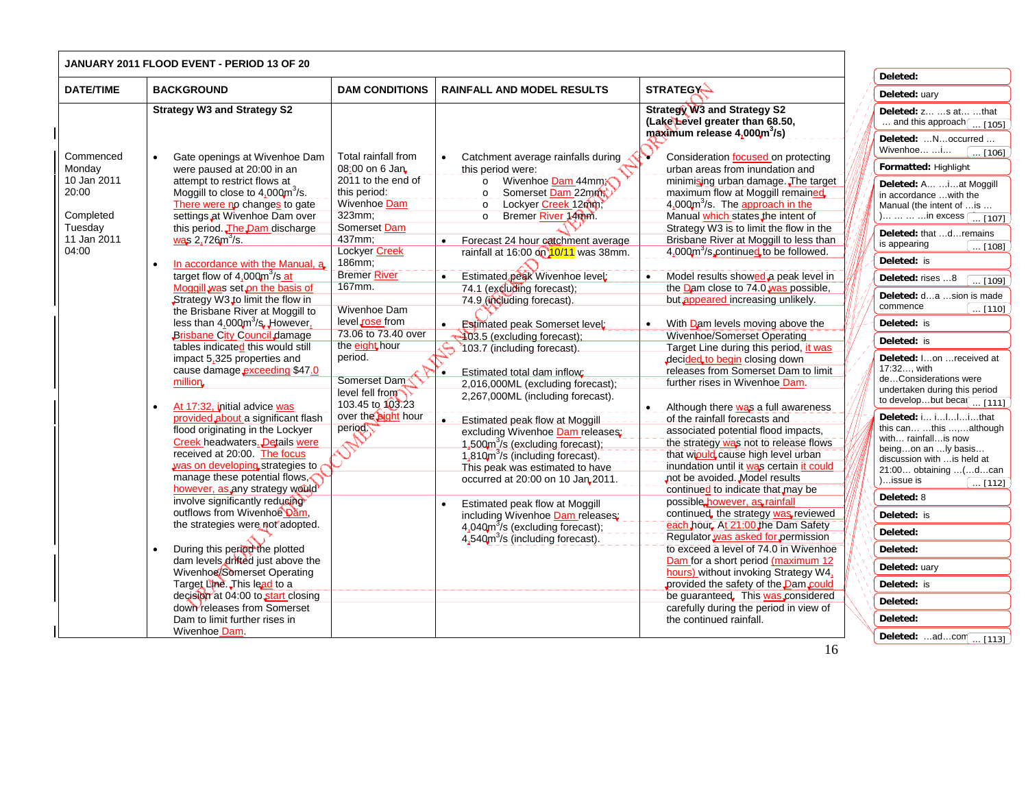|                                                                                             | <b>JANUARY 2011 FLOOD EVENT - PERIOD 13 OF 20</b>                                                                                                                                                                                                                                                                                                                                                                                                                                                                                                                                                                                                                                                                                                                                                                                                                                                                                                                                                                                                                                                                                                                                                                                                                                                                                          |                                                                                                                                                                                                                                                                                                                                                                                                     |                                                                                                                                                                                                                                                                                                                                                                                                                                                                                                                                                                                                                                                                                                                                                                                                                                                                                                                                                                                                 |                                                                                                                                                                                                                                                                                                                                                                                                                                                                                                                                                                                                                                                                                                                                                                                                                                                                                                                                                                                                                                                                                                                                                                                                                                                                                                                                                                                                                                                                          |                                                                                                                                                                                                                                                                                                                                                                                                                                                                                                                                                                                                                                                                                                                                                                                                                                                                          |
|---------------------------------------------------------------------------------------------|--------------------------------------------------------------------------------------------------------------------------------------------------------------------------------------------------------------------------------------------------------------------------------------------------------------------------------------------------------------------------------------------------------------------------------------------------------------------------------------------------------------------------------------------------------------------------------------------------------------------------------------------------------------------------------------------------------------------------------------------------------------------------------------------------------------------------------------------------------------------------------------------------------------------------------------------------------------------------------------------------------------------------------------------------------------------------------------------------------------------------------------------------------------------------------------------------------------------------------------------------------------------------------------------------------------------------------------------|-----------------------------------------------------------------------------------------------------------------------------------------------------------------------------------------------------------------------------------------------------------------------------------------------------------------------------------------------------------------------------------------------------|-------------------------------------------------------------------------------------------------------------------------------------------------------------------------------------------------------------------------------------------------------------------------------------------------------------------------------------------------------------------------------------------------------------------------------------------------------------------------------------------------------------------------------------------------------------------------------------------------------------------------------------------------------------------------------------------------------------------------------------------------------------------------------------------------------------------------------------------------------------------------------------------------------------------------------------------------------------------------------------------------|--------------------------------------------------------------------------------------------------------------------------------------------------------------------------------------------------------------------------------------------------------------------------------------------------------------------------------------------------------------------------------------------------------------------------------------------------------------------------------------------------------------------------------------------------------------------------------------------------------------------------------------------------------------------------------------------------------------------------------------------------------------------------------------------------------------------------------------------------------------------------------------------------------------------------------------------------------------------------------------------------------------------------------------------------------------------------------------------------------------------------------------------------------------------------------------------------------------------------------------------------------------------------------------------------------------------------------------------------------------------------------------------------------------------------------------------------------------------------|--------------------------------------------------------------------------------------------------------------------------------------------------------------------------------------------------------------------------------------------------------------------------------------------------------------------------------------------------------------------------------------------------------------------------------------------------------------------------------------------------------------------------------------------------------------------------------------------------------------------------------------------------------------------------------------------------------------------------------------------------------------------------------------------------------------------------------------------------------------------------|
|                                                                                             |                                                                                                                                                                                                                                                                                                                                                                                                                                                                                                                                                                                                                                                                                                                                                                                                                                                                                                                                                                                                                                                                                                                                                                                                                                                                                                                                            |                                                                                                                                                                                                                                                                                                                                                                                                     |                                                                                                                                                                                                                                                                                                                                                                                                                                                                                                                                                                                                                                                                                                                                                                                                                                                                                                                                                                                                 |                                                                                                                                                                                                                                                                                                                                                                                                                                                                                                                                                                                                                                                                                                                                                                                                                                                                                                                                                                                                                                                                                                                                                                                                                                                                                                                                                                                                                                                                          | Deleted:                                                                                                                                                                                                                                                                                                                                                                                                                                                                                                                                                                                                                                                                                                                                                                                                                                                                 |
| <b>DATE/TIME</b>                                                                            | <b>BACKGROUND</b>                                                                                                                                                                                                                                                                                                                                                                                                                                                                                                                                                                                                                                                                                                                                                                                                                                                                                                                                                                                                                                                                                                                                                                                                                                                                                                                          | <b>DAM CONDITIONS</b>                                                                                                                                                                                                                                                                                                                                                                               | <b>RAINFALL AND MODEL RESULTS</b>                                                                                                                                                                                                                                                                                                                                                                                                                                                                                                                                                                                                                                                                                                                                                                                                                                                                                                                                                               | <b>STRATEGY-</b>                                                                                                                                                                                                                                                                                                                                                                                                                                                                                                                                                                                                                                                                                                                                                                                                                                                                                                                                                                                                                                                                                                                                                                                                                                                                                                                                                                                                                                                         | Deleted: uary                                                                                                                                                                                                                                                                                                                                                                                                                                                                                                                                                                                                                                                                                                                                                                                                                                                            |
|                                                                                             | <b>Strategy W3 and Strategy S2</b>                                                                                                                                                                                                                                                                                                                                                                                                                                                                                                                                                                                                                                                                                                                                                                                                                                                                                                                                                                                                                                                                                                                                                                                                                                                                                                         |                                                                                                                                                                                                                                                                                                                                                                                                     |                                                                                                                                                                                                                                                                                                                                                                                                                                                                                                                                                                                                                                                                                                                                                                                                                                                                                                                                                                                                 | <b>Strategy W3 and Strategy S2</b><br>(Lake Level greater than 68.50,<br>maximum release 4,000m <sup>3</sup> /s)                                                                                                                                                                                                                                                                                                                                                                                                                                                                                                                                                                                                                                                                                                                                                                                                                                                                                                                                                                                                                                                                                                                                                                                                                                                                                                                                                         | Deleted: z s at that<br>and this approach $\boxed{ [105]}$<br>Deleted: Noccurred                                                                                                                                                                                                                                                                                                                                                                                                                                                                                                                                                                                                                                                                                                                                                                                         |
| Commenced<br>Monday<br>10 Jan 2011<br>20:00<br>Completed<br>Tuesday<br>11 Jan 2011<br>04:00 | Gate openings at Wivenhoe Dam<br>were paused at 20:00 in an<br>attempt to restrict flows at<br>Moggill to close to $4.000 \text{m}^3/\text{s}$ .<br>There were no changes to gate<br>settings at Wivenhoe Dam over<br>this period. The Dam discharge<br>was 2.726m <sup>3</sup> /s.<br>In accordance with the Manual, a<br>target flow of $4.000 \text{m}^3/\text{s}$ at<br>Moggill was set on the basis of<br>Strategy W3 to limit the flow in<br>the Brisbane River at Moggill to<br>less than $4.000m^3$ /s, However.<br><b>Brisbane City Council damage</b><br>tables indicated this would still<br>impact 5,325 properties and<br>cause damage exceeding \$47.0<br>million.<br>At 17:32, initial advice was<br>provided about a significant flash<br>flood originating in the Lockyer<br><b>Creek headwaters. Details were</b><br>received at 20:00. The focus<br>was on developing strategies to<br>manage these potential flows,<br>however, as any strategy would<br>involve significantly reducing<br>outflows from Wivenhoe Dam,<br>the strategies were not adopted.<br>During this period the plotted<br>dam levels dritted just above the<br>Wivenhoe/Somerset Operating<br>Target Line. This lead to a<br>decision at 04:00 to start closing<br>down releases from Somerset<br>Dam to limit further rises in<br>Wivenhoe Dam. | Total rainfall from<br>08:00 on 6 Jan<br>2011 to the end of<br>this period:<br>Wivenhoe Dam<br>323mm;<br>Somerset Dam<br>437mm;<br>Lockyer Creek<br>186mm:<br><b>Bremer River</b><br>167mm.<br>Wivenhoe Dam<br>level rose from<br>73.06 to 73.40 over<br>the eight <sub>, hour</sub><br>period.<br>Somerset Dam <sup></sup><br>level fell from<br>103.45 to 103.23<br>over the bight hour<br>period | Catchment average rainfalls during<br>this period were:<br>o Wivenhoe Dam 44mm<br>Somerset Dam 22mm<br>$\circ$<br>Lockyer Creek 12mm,<br>$\circ$<br>Bremer River 14mm.<br>$\circ$<br>Forecast 24 hour catchment average<br>$\bullet$<br>rainfall at 16:00 on 10/11 was 38mm.<br>Estimated peak Wivenhoe level:<br>74.1 (excluding forecast);<br>74.9 (including forecast).<br>. _ Estimated peak Somerset level:<br>403.5 (excluding forecast);<br>103.7 (including forecast).<br>Estimated total dam inflow:<br>2,016,000ML (excluding forecast);<br>2,267,000ML (including forecast).<br>. Detaimated peak-flow at Moggill-<br>excluding Wivenhoe Dam releases:<br>$1,500$ $\mathrm{m}^3$ /s (excluding forecast);<br>1,810m <sup>3</sup> /s (including forecast).<br>This peak was estimated to have<br>occurred at 20:00 on 10 Jan 2011.<br>Estimated peak flow at Moggill<br>including Wivenhoe Dam releases;<br>$4.040m3/s$ (excluding forecast);<br>$4.540m^{3}/s$ (including forecast). | Consideration focused on protecting<br>urban areas from inundation and<br>minimising urban damage. The target<br>maximum flow at Moggill remained<br>$4,000$ <sup>3</sup> /s. The approach in the<br>Manual which states the intent of<br>Strategy W3 is to limit the flow in the<br>Brisbane River at Moggill to less than<br>4,000m <sup>3</sup> /s continued to be followed.<br>Model results showed a peak level in<br>the Dam close to 74.0 was possible,<br>but appeared increasing unlikely.<br>With Dam levels moving above the<br>Wivenhoe/Somerset Operating<br>Target Line during this period, it was<br>decided to begin closing down<br>releases from Somerset Dam to limit<br>further rises in Wivenhoe Dam.<br>Although there was a full awareness<br>of the rainfall forecasts and<br>associated potential flood impacts,<br>the strategy was not to release flows<br>that winuld cause high level urban<br>inundation until it was certain it could<br>not be avoided. Model results<br>continued to indicate that may be<br>possible however, as rainfall<br>continued, the strategy was reviewed<br>each hour At 21:00 the Dam Safety<br>Regulator was asked for permission<br>to exceed a level of 74.0 in Wivenhoe<br>Dam for a short period (maximum 12<br>hours) without invoking Strategy W4,<br>provided the safety of the Dam could<br>be guaranteed. This was considered<br>carefully during the period in view of<br>the continued rainfall. | Wivenhoe i<br>$\ldots$ [106]<br>Formatted: Highlight<br>Deleted: A  i at Moggill<br>in accordance  with the<br>Manual (the intent of  is<br>)    in excess [  [107]<br>Deleted: that dremains<br>is appearing<br>$\ldots$ [108]<br>Deleted: is<br>Deleted: rises 8<br>$\overline{109}$<br>Deleted: da sion is made<br>commence<br>$\ldots$ [110]<br>Deleted: is<br>Deleted: is<br>Deleted: Ion  received at<br>17:32, with<br>deConsiderations were<br>undertaken during this period<br>to developbut beca $\boxed{ [111]}$<br>Deleted: i i I I i that<br>this can this ,although<br>with rainfall is now<br>beingon an ly basis<br>discussion with  is held at<br>21:00 obtaining  (dcan<br>)issue is<br>$\ldots$ [112]<br>Deleted: 8<br>Deleted: is<br>Deleted:<br>Deleted:<br>Deleted: uary<br>Deleted: is<br>Deleted:<br>Deleted:<br>Deleted: adcom $\boxed{ [113]}$ |

 $\overline{\phantom{0}}$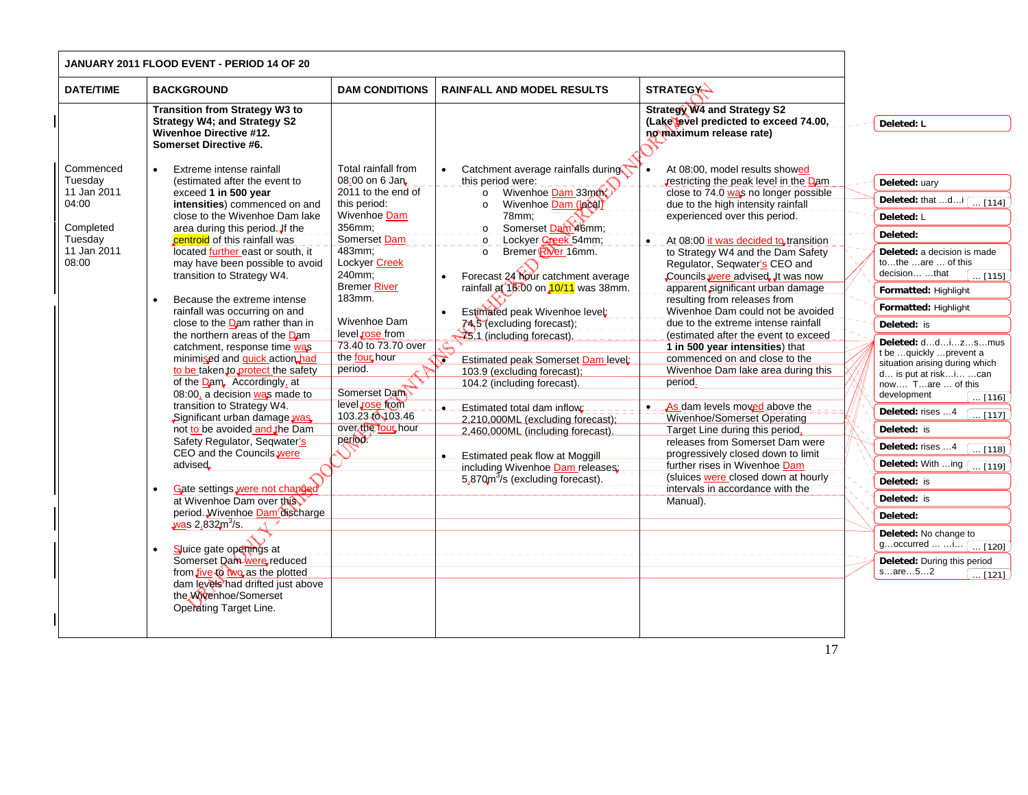| JANUARY 2011 FLOOD EVENT - PERIOD 14 OF 20                                                   |                                                                                                                                                                                                                                                                                                                                                                                                                                                                                                                                                                                                                                                                                                                                                                                                                                                                                                                                                                                                                                                                                                                                                    |                                                                                                                                                                                                                                                                                                                                                                           |                                                                                                                                                                                                                                                                                                                                                                                                                                                                                                                                                                                                                                                                                                                                                                      |                                                                                                                                                                                                                                                                                                                                                                                                                                                                                                                                                                                                                                                                                                                                                                                                                                                                                                                                                                                        |                                                                                                                                                                                                                                                                                                                                                                                                                                                                                                                                                                                                                                                                                                 |
|----------------------------------------------------------------------------------------------|----------------------------------------------------------------------------------------------------------------------------------------------------------------------------------------------------------------------------------------------------------------------------------------------------------------------------------------------------------------------------------------------------------------------------------------------------------------------------------------------------------------------------------------------------------------------------------------------------------------------------------------------------------------------------------------------------------------------------------------------------------------------------------------------------------------------------------------------------------------------------------------------------------------------------------------------------------------------------------------------------------------------------------------------------------------------------------------------------------------------------------------------------|---------------------------------------------------------------------------------------------------------------------------------------------------------------------------------------------------------------------------------------------------------------------------------------------------------------------------------------------------------------------------|----------------------------------------------------------------------------------------------------------------------------------------------------------------------------------------------------------------------------------------------------------------------------------------------------------------------------------------------------------------------------------------------------------------------------------------------------------------------------------------------------------------------------------------------------------------------------------------------------------------------------------------------------------------------------------------------------------------------------------------------------------------------|----------------------------------------------------------------------------------------------------------------------------------------------------------------------------------------------------------------------------------------------------------------------------------------------------------------------------------------------------------------------------------------------------------------------------------------------------------------------------------------------------------------------------------------------------------------------------------------------------------------------------------------------------------------------------------------------------------------------------------------------------------------------------------------------------------------------------------------------------------------------------------------------------------------------------------------------------------------------------------------|-------------------------------------------------------------------------------------------------------------------------------------------------------------------------------------------------------------------------------------------------------------------------------------------------------------------------------------------------------------------------------------------------------------------------------------------------------------------------------------------------------------------------------------------------------------------------------------------------------------------------------------------------------------------------------------------------|
| <b>DATE/TIME</b>                                                                             | <b>BACKGROUND</b>                                                                                                                                                                                                                                                                                                                                                                                                                                                                                                                                                                                                                                                                                                                                                                                                                                                                                                                                                                                                                                                                                                                                  | <b>DAM CONDITIONS</b>                                                                                                                                                                                                                                                                                                                                                     | <b>RAINFALL AND MODEL RESULTS</b>                                                                                                                                                                                                                                                                                                                                                                                                                                                                                                                                                                                                                                                                                                                                    | <b>STRATEGY-</b>                                                                                                                                                                                                                                                                                                                                                                                                                                                                                                                                                                                                                                                                                                                                                                                                                                                                                                                                                                       |                                                                                                                                                                                                                                                                                                                                                                                                                                                                                                                                                                                                                                                                                                 |
|                                                                                              | <b>Transition from Strategy W3 to</b><br><b>Strategy W4; and Strategy S2</b><br><b>Wivenhoe Directive #12.</b><br>Somerset Directive #6.                                                                                                                                                                                                                                                                                                                                                                                                                                                                                                                                                                                                                                                                                                                                                                                                                                                                                                                                                                                                           |                                                                                                                                                                                                                                                                                                                                                                           |                                                                                                                                                                                                                                                                                                                                                                                                                                                                                                                                                                                                                                                                                                                                                                      | <b>Strategy W4 and Strategy S2</b><br>(Lake level predicted to exceed 74.00,<br>no maximum release rate)                                                                                                                                                                                                                                                                                                                                                                                                                                                                                                                                                                                                                                                                                                                                                                                                                                                                               | Deleted: L                                                                                                                                                                                                                                                                                                                                                                                                                                                                                                                                                                                                                                                                                      |
| Commenced<br>Tuesday<br>11 Jan 2011<br>04:00<br>Completed<br>Tuesday<br>11 Jan 2011<br>08:00 | Extreme intense rainfall<br>$\bullet$<br>(estimated after the event to<br>exceed 1 in 500 year<br>intensities) commenced on and<br>close to the Wivenhoe Dam lake<br>area during this period. If the<br>centroid of this rainfall was<br>located further east or south, it<br>may have been possible to avoid<br>transition to Strategy W4.<br>Because the extreme intense<br>rainfall was occurring on and<br>close to the Dam rather than in<br>the northern areas of the Dam<br>catchment, response time was<br>minimised and quick action had<br>to be taken to protect the safety<br>of the Dam, Accordingly, at<br>08:00, a decision was made to<br>transition to Strategy W4.<br>Significant urban damage was<br>not to be avoided and the Dam<br>Safety Regulator, Seqwater's<br>CEO and the Councils were<br>advised<br>Gate settings were not changed<br>at Wivenhoe Dam over this<br>period. Wivenhoe Dam discharge<br>was $2.8323/s$ .<br>Sluice gate openings at<br>$\bullet$<br>Somerset Dam were reduced<br>from five to two as the plotted<br>dam levels had drifted just above<br>the Wivenhoe/Somerset<br>Operating Target Line. | Total rainfall from<br>08:00 on 6 Jan.<br>2011 to the end of<br>this period:<br>Wivenhoe Dam<br>356mm;<br>Somerset Dam<br>483mm;<br>Lockyer Creek<br>240mm:<br><b>Bremer River</b><br>183mm.<br>Wivenhoe Dam<br>level rose from<br>73.40 to 73.70 over<br>the four hour<br>period.<br>Somerset Dam<br>level rose from<br>103.23 (0103.46<br>over the four hour<br>period. | Catchment average rainfalls during<br>this period were:<br>Wivenhoe Dam 33mm<br>$\circ$<br>Wivenhoe Dam (local)<br>$\circ$<br>78mm:<br>Somerset Dam 46mm;<br>$\circ$<br>Lockyer Creek 54mm;<br>$\circ$<br>Bremer River 16mm.<br>$\circ$<br>Forecast 24 hour catchment average<br>rainfall at 16:00 on 10/11 was 38mm.<br>Estimated peak Wivenhoe level:<br>74,5 (excluding forecast);<br>25.1 (including forecast)<br><b>Estimated peak Somerset Dam level</b><br>$\rightarrow$<br>103.9 (excluding forecast);<br>104.2 (including forecast).<br>Estimated total dam inflow:<br>2,210,000ML (excluding forecast);<br>2,460,000ML (including forecast).<br>Estimated peak flow at Moggill<br>including Wivenhoe Dam releases:<br>5,870 $m^3$ /s (excluding forecast). | At 08:00, model results showed<br>restricting the peak level in the Dam<br>close to 74.0 was no longer possible<br>due to the high intensity rainfall<br>experienced over this period.<br>At 08:00 it was decided to transition<br>$\bullet$<br>to Strategy W4 and the Dam Safety<br>Regulator, Seqwater's CEO and<br>Councils were advised. It was now<br>apparent significant urban damage<br>resulting from releases from<br>Wivenhoe Dam could not be avoided<br>due to the extreme intense rainfall<br>(estimated after the event to exceed<br>1 in 500 year intensities) that<br>commenced on and close to the<br>Wivenhoe Dam lake area during this<br>period.<br><b>P</b> _ _ As dam levels moved above the<br>Wivenhoe/Somerset Operating<br>Target Line during this period.<br>releases from Somerset Dam were<br>progressively closed down to limit<br>further rises in Wivenhoe Dam<br>(sluices were closed down at hourly<br>intervals in accordance with the<br>Manual). | Deleted: uary<br>Deleted: that d $\sqrt{114}$<br>Deleted: L<br>Deleted:<br>Deleted: a decision is made<br>tothe are  of this<br>decisionthat<br>[115] ]<br>Formatted: Highlight<br>Formatted: Highlight<br>Deleted: is<br>Deleted: ddizsmus<br>t be quickly prevent a<br>situation arising during which<br>d is put at riski can<br>now Tare  of this<br>development<br>$\ldots$ [116] ]<br>Deleted: rises 4<br>$\ldots$ [117]<br>Deleted: is<br>Deleted: rises 4<br>$\ldots$ [118]<br>Deleted: With ing $\boxed{ [119]}$<br>Deleted: is<br>Deleted: is<br>Deleted:<br>Deleted: No change to<br>goccurred $\begin{bmatrix} 120 \end{bmatrix}$<br>Deleted: During this period<br>sare52<br>[121] |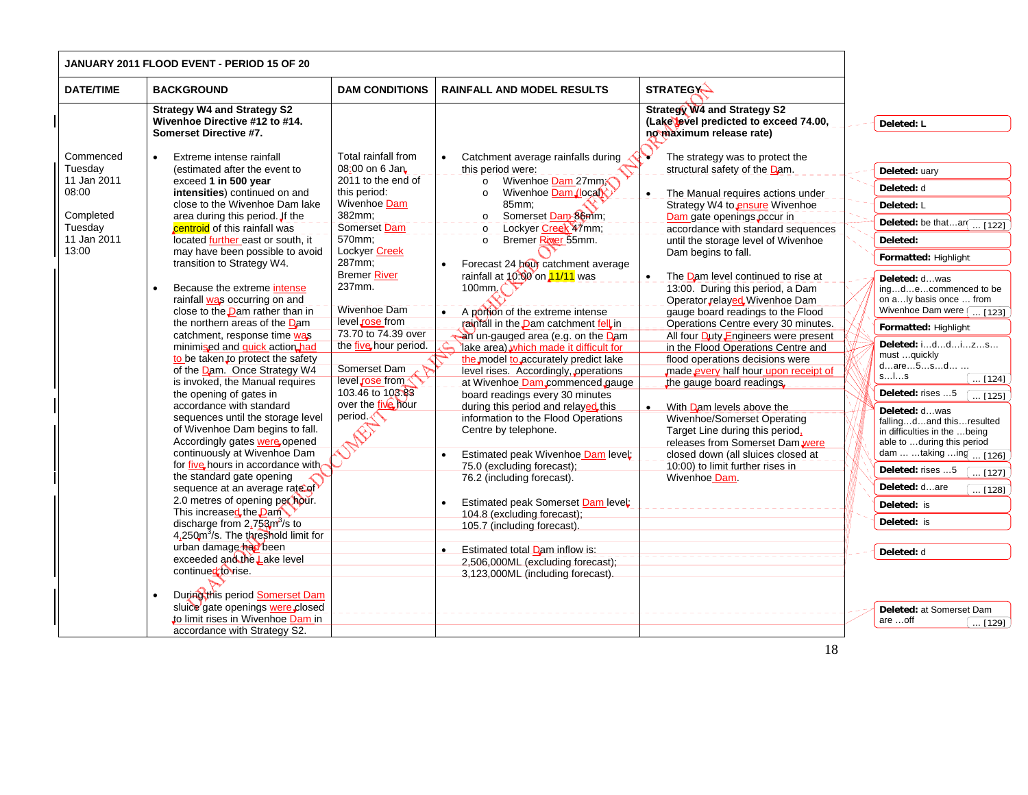| JANUARY 2011 FLOOD EVENT - PERIOD 15 OF 20                                                   |                                                                                                                                                                                                                                                                                                                                                                                                                                                                                                                                                                                                                                                                                                                                                                                                                                                                                                                                                                                                                                                                                                                                                                                                                                                                                                                                                                    |                                                                                                                                                                                                                                                                                                                                                                        |                                                                                                                                                                                                                                                                                                                                                                                                                                                                                                                                                                                                                                                                                                                                                                                                                                                                                                                                                                                                                                                                                                                                          |                                                                                                                                                                                                                                                                                                                                                                                                                                                                                                                                                                                                                                                                                                                                                                                                                                                                                                    |                                                                                                                                                                                                                                                                                                                                                                                                                                                                                                                                                                                                                                                                                                  |
|----------------------------------------------------------------------------------------------|--------------------------------------------------------------------------------------------------------------------------------------------------------------------------------------------------------------------------------------------------------------------------------------------------------------------------------------------------------------------------------------------------------------------------------------------------------------------------------------------------------------------------------------------------------------------------------------------------------------------------------------------------------------------------------------------------------------------------------------------------------------------------------------------------------------------------------------------------------------------------------------------------------------------------------------------------------------------------------------------------------------------------------------------------------------------------------------------------------------------------------------------------------------------------------------------------------------------------------------------------------------------------------------------------------------------------------------------------------------------|------------------------------------------------------------------------------------------------------------------------------------------------------------------------------------------------------------------------------------------------------------------------------------------------------------------------------------------------------------------------|------------------------------------------------------------------------------------------------------------------------------------------------------------------------------------------------------------------------------------------------------------------------------------------------------------------------------------------------------------------------------------------------------------------------------------------------------------------------------------------------------------------------------------------------------------------------------------------------------------------------------------------------------------------------------------------------------------------------------------------------------------------------------------------------------------------------------------------------------------------------------------------------------------------------------------------------------------------------------------------------------------------------------------------------------------------------------------------------------------------------------------------|----------------------------------------------------------------------------------------------------------------------------------------------------------------------------------------------------------------------------------------------------------------------------------------------------------------------------------------------------------------------------------------------------------------------------------------------------------------------------------------------------------------------------------------------------------------------------------------------------------------------------------------------------------------------------------------------------------------------------------------------------------------------------------------------------------------------------------------------------------------------------------------------------|--------------------------------------------------------------------------------------------------------------------------------------------------------------------------------------------------------------------------------------------------------------------------------------------------------------------------------------------------------------------------------------------------------------------------------------------------------------------------------------------------------------------------------------------------------------------------------------------------------------------------------------------------------------------------------------------------|
| <b>DATE/TIME</b>                                                                             | <b>BACKGROUND</b>                                                                                                                                                                                                                                                                                                                                                                                                                                                                                                                                                                                                                                                                                                                                                                                                                                                                                                                                                                                                                                                                                                                                                                                                                                                                                                                                                  | <b>DAM CONDITIONS</b>                                                                                                                                                                                                                                                                                                                                                  | <b>RAINFALL AND MODEL RESULTS</b>                                                                                                                                                                                                                                                                                                                                                                                                                                                                                                                                                                                                                                                                                                                                                                                                                                                                                                                                                                                                                                                                                                        | <b>STRATEGY-</b>                                                                                                                                                                                                                                                                                                                                                                                                                                                                                                                                                                                                                                                                                                                                                                                                                                                                                   |                                                                                                                                                                                                                                                                                                                                                                                                                                                                                                                                                                                                                                                                                                  |
|                                                                                              | <b>Strategy W4 and Strategy S2</b><br>Wivenhoe Directive #12 to #14.<br>Somerset Directive #7.                                                                                                                                                                                                                                                                                                                                                                                                                                                                                                                                                                                                                                                                                                                                                                                                                                                                                                                                                                                                                                                                                                                                                                                                                                                                     |                                                                                                                                                                                                                                                                                                                                                                        |                                                                                                                                                                                                                                                                                                                                                                                                                                                                                                                                                                                                                                                                                                                                                                                                                                                                                                                                                                                                                                                                                                                                          | <b>Strategy W4 and Strategy S2</b><br>(Lake level predicted to exceed 74.00,<br>no maximum release rate)                                                                                                                                                                                                                                                                                                                                                                                                                                                                                                                                                                                                                                                                                                                                                                                           | Deleted: L                                                                                                                                                                                                                                                                                                                                                                                                                                                                                                                                                                                                                                                                                       |
| Commenced<br>Tuesday<br>11 Jan 2011<br>08:00<br>Completed<br>Tuesday<br>11 Jan 2011<br>13:00 | Extreme intense rainfall<br>(estimated after the event to<br>exceed 1 in 500 year<br>intensities) continued on and<br>close to the Wivenhoe Dam lake<br>area during this period. If the<br>centroid of this rainfall was<br>located <u>further</u> east or south, it<br>may have been possible to avoid<br>transition to Strategy W4.<br>Because the extreme intense<br>rainfall was occurring on and<br>close to the <b>Dam</b> rather than in<br>the northern areas of the Dam<br>catchment, response time was<br>minimised and <b>quick</b> action had<br>to be taken to protect the safety<br>of the Dam. Once Strategy W4<br>is invoked, the Manual requires<br>the opening of gates in<br>accordance with standard<br>sequences until the storage level<br>of Wivenhoe Dam begins to fall.<br>Accordingly gates were opened<br>continuously at Wivenhoe Dam<br>for five hours in accordance with<br>the standard gate opening<br>sequence at an average rate of<br>2.0 metres of opening per hour.<br>This increased the <b>Dam</b><br>discharge from 2,758m <sup>3</sup> /s to<br>4,250m <sup>3</sup> /s. The threshold limit for<br>urban damage had been<br>exceeded and the Lake level<br>continued to rise.<br>During this period Somerset Dam<br>sluice gate openings were closed<br>to limit rises in Wivenhoe Dam in<br>accordance with Strategy S2. | Total rainfall from<br>08:00 on 6 Jan<br>2011 to the end of<br>this period:<br>Wivenhoe Dam<br>382mm;<br>Somerset Dam<br>570mm;<br>Lockyer Creek<br>287mm;<br><b>Bremer River</b><br>237mm.<br>Wivenhoe Dam<br>level rose from<br>73.70 to 74.39 over<br>the five hour period.<br>Somerset Dam<br>level rose from<br>103.46 to 103.83<br>over the five hour<br>period. | Catchment average rainfalls during<br>$\bullet$<br>this period were:<br>Wivenhoe Dam 27mm<br>$\circ$<br>Wivenhoe Dam (local)<br>$\Omega$<br>85mm;<br>Somerset Dam-86mm;<br>$\circ$<br>Lockyer Creek 47mm;<br>$\circ$<br>Bremer River 55mm.<br>$\circ$<br>Forecast 24 hour catchment average<br>rainfall at $10.00$ on $11/11$ was<br>100mm. $\bigcap$<br>• A portion of the extreme intense<br>rainfall in the Dam catchment fell in<br>an un-gauged area (e.g. on the Dam<br>lake area) which made it difficult for<br>the model to accurately predict lake<br>level rises. Accordingly, operations<br>at Wivenhoe Dam commenced gauge<br>board readings every 30 minutes<br>during this period and relayed this<br>information to the Flood Operations<br>Centre by telephone.<br>Estimated peak Wivenhoe Dam level:<br>$\bullet$<br>75.0 (excluding forecast);<br>76.2 (including forecast).<br>Estimated peak Somerset Dam level<br>$\bullet$<br>104.8 (excluding forecast);<br>105.7 (including forecast).<br>Estimated total Dam inflow is:<br>$\bullet$<br>2,506,000ML (excluding forecast);<br>3,123,000ML (including forecast). | The strategy was to protect the<br>structural safety of the Dam.<br>The Manual requires actions under<br>$\bullet$<br>Strategy W4 to ensure Wivenhoe<br>Dam gate openings occur in<br>accordance with standard sequences<br>until the storage level of Wivenhoe<br>Dam begins to fall.<br>The Dam level continued to rise at<br>13:00. During this period, a Dam<br>Operator relayed Wivenhoe Dam<br>gauge board readings to the Flood<br>Operations Centre every 30 minutes.<br>All four Duty Engineers were present<br>in the Flood Operations Centre and<br>flood operations decisions were<br>made every half hour upon receipt of<br>the gauge board readings.<br>• With Dam levels above the<br>Wivenhoe/Somerset Operating<br>Target Line during this period,<br>releases from Somerset Dam were<br>closed down (all sluices closed at<br>10:00) to limit further rises in<br>Wivenhoe Dam. | Deleted: uary<br>Deleted: d<br>Deleted: L<br>Deleted: be thatar $\boxed{ [122]}$<br>Deleted:<br>Formatted: Highlight<br>Deleted: dwas<br>ingdecommenced to be<br>on aly basis once  from<br>Wivenhoe Dam were [ [123]<br>Formatted: Highlight<br>Deleted: iddizs<br>must quickly<br>dare5sd<br>sls<br>$\left[\ldots\left[124\right]\right]$<br>Deleted: rises 5<br>$\sqrt{125}$<br>Deleted: dwas<br>fallingdand thisresulted<br>in difficulties in the  being<br>able to during this period<br>dam  taking  ing  [126]<br>Deleted: rises 5<br>[127]<br>Deleted: dare<br>$\ldots$ [128]<br>Deleted: is<br>Deleted: is<br>Deleted: d<br>Deleted: at Somerset Dam<br>are off<br>$\overline{}$ [129] |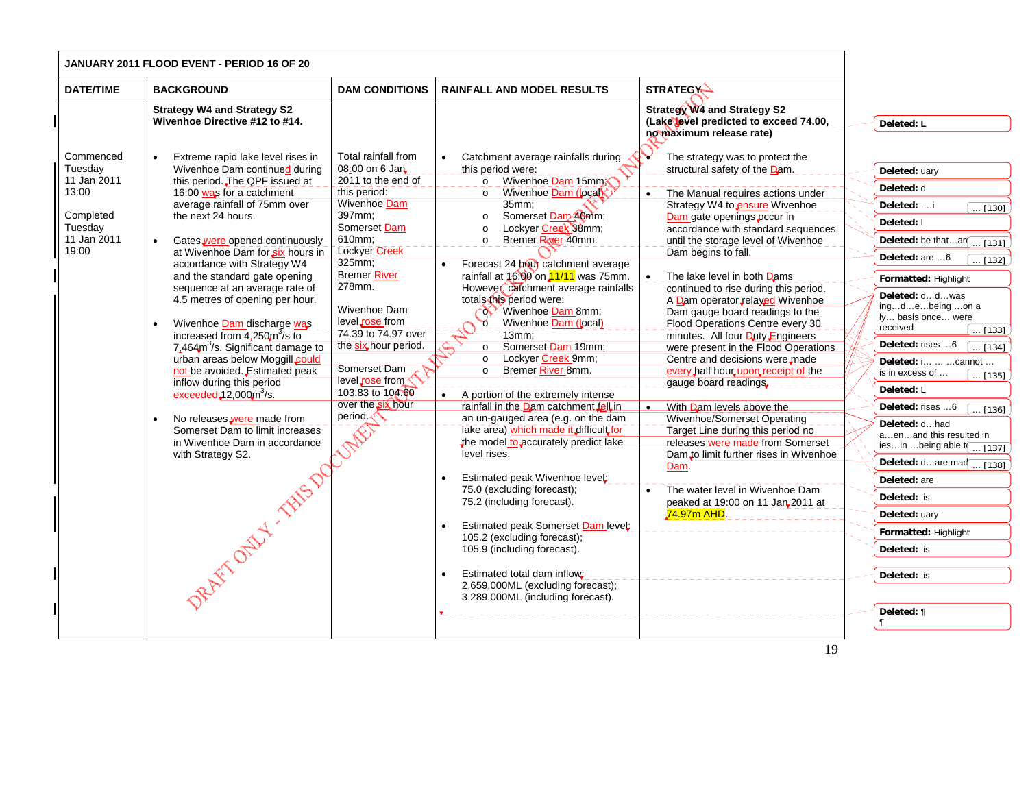| JANUARY 2011 FLOOD EVENT - PERIOD 16 OF 20                                                   |                                                                                                                                                                                                                                                                                                                                                                                                                                                                                                                                                                                                                                                                                                                                                                                                                   |                                                                                                                                                                                                                                                                                                                                                                                                     |                                                                                                                                                                                                                                                                                                                                                                                                                                                                                                                                                                                                                                                                                                                                                                                                                                                                                                                                                                                                                                                                                                |                                                                                                                                                                                                                                                                                                                                                                                                                                                                                                                                                                                                                                                                                                                                                                                                                                                                                                                                                  |                                                                                                                                                                                                                                                                                                                                                                                                                                                                                                                                                                                                                                                                      |
|----------------------------------------------------------------------------------------------|-------------------------------------------------------------------------------------------------------------------------------------------------------------------------------------------------------------------------------------------------------------------------------------------------------------------------------------------------------------------------------------------------------------------------------------------------------------------------------------------------------------------------------------------------------------------------------------------------------------------------------------------------------------------------------------------------------------------------------------------------------------------------------------------------------------------|-----------------------------------------------------------------------------------------------------------------------------------------------------------------------------------------------------------------------------------------------------------------------------------------------------------------------------------------------------------------------------------------------------|------------------------------------------------------------------------------------------------------------------------------------------------------------------------------------------------------------------------------------------------------------------------------------------------------------------------------------------------------------------------------------------------------------------------------------------------------------------------------------------------------------------------------------------------------------------------------------------------------------------------------------------------------------------------------------------------------------------------------------------------------------------------------------------------------------------------------------------------------------------------------------------------------------------------------------------------------------------------------------------------------------------------------------------------------------------------------------------------|--------------------------------------------------------------------------------------------------------------------------------------------------------------------------------------------------------------------------------------------------------------------------------------------------------------------------------------------------------------------------------------------------------------------------------------------------------------------------------------------------------------------------------------------------------------------------------------------------------------------------------------------------------------------------------------------------------------------------------------------------------------------------------------------------------------------------------------------------------------------------------------------------------------------------------------------------|----------------------------------------------------------------------------------------------------------------------------------------------------------------------------------------------------------------------------------------------------------------------------------------------------------------------------------------------------------------------------------------------------------------------------------------------------------------------------------------------------------------------------------------------------------------------------------------------------------------------------------------------------------------------|
| <b>DATE/TIME</b>                                                                             | <b>BACKGROUND</b>                                                                                                                                                                                                                                                                                                                                                                                                                                                                                                                                                                                                                                                                                                                                                                                                 | <b>DAM CONDITIONS</b>                                                                                                                                                                                                                                                                                                                                                                               | <b>RAINFALL AND MODEL RESULTS</b>                                                                                                                                                                                                                                                                                                                                                                                                                                                                                                                                                                                                                                                                                                                                                                                                                                                                                                                                                                                                                                                              | <b>STRATEGY-</b>                                                                                                                                                                                                                                                                                                                                                                                                                                                                                                                                                                                                                                                                                                                                                                                                                                                                                                                                 |                                                                                                                                                                                                                                                                                                                                                                                                                                                                                                                                                                                                                                                                      |
|                                                                                              | <b>Strategy W4 and Strategy S2</b><br>Wivenhoe Directive #12 to #14.                                                                                                                                                                                                                                                                                                                                                                                                                                                                                                                                                                                                                                                                                                                                              |                                                                                                                                                                                                                                                                                                                                                                                                     |                                                                                                                                                                                                                                                                                                                                                                                                                                                                                                                                                                                                                                                                                                                                                                                                                                                                                                                                                                                                                                                                                                | <b>Strategy W4 and Strategy S2</b><br>(Lake level predicted to exceed 74.00,<br>no maximum release rate)                                                                                                                                                                                                                                                                                                                                                                                                                                                                                                                                                                                                                                                                                                                                                                                                                                         | Deleted: L                                                                                                                                                                                                                                                                                                                                                                                                                                                                                                                                                                                                                                                           |
| Commenced<br>Tuesday<br>11 Jan 2011<br>13:00<br>Completed<br>Tuesday<br>11 Jan 2011<br>19:00 | Extreme rapid lake level rises in<br>Wivenhoe Dam continued during<br>this period. The QPF issued at<br>16:00 was for a catchment<br>average rainfall of 75mm over<br>the next 24 hours.<br>Gates were opened continuously<br>at Wivenhoe Dam for six hours in<br>accordance with Strategy W4<br>and the standard gate opening<br>sequence at an average rate of<br>4.5 metres of opening per hour.<br>Wivenhoe Dam discharge was<br>increased from $4,250\text{m}^3\text{/s}$ to<br>7,464m <sup>3</sup> /s. Significant damage to<br>urban areas below Moggill could<br>not be avoided. Estimated peak<br>inflow during this period<br>$exceeded$ $12,000m3/s$ .<br>No releases were made from<br>Somerset Dam to limit increases<br>in Wivenhoe Dam in accordance<br>with Strategy S2.<br>DRAFT OF ST. THIS DOG | Total rainfall from<br>08:00 on 6 Jan<br>2011 to the end of<br>this period:<br><b>Wivenhoe Dam</b><br>397mm;<br>Somerset Dam<br>610mm:<br><b>Lockyer Creek</b><br>325mm;<br><b>Bremer River</b><br>278mm.<br>Wivenhoe Dam<br>level rose from<br>74.39 to 74.97 over<br>the six hour period.<br>Somerset Dam<br>level rose from<br>103.83 to 104.60<br>over the six hour<br>period $\sqrt{\sqrt{ }}$ | Catchment average rainfalls during<br>this period were:<br>Wivenhoe Dam 15mm<br>$\Omega$<br>Wivenhoe Dam (local)<br>$\circ$<br>35mm:<br>Somerset Dam 40mm;<br>$\circ$<br>Lockyer Creek 38mm;<br>$\circ$<br>Bremer River 40mm.<br>$\circ$<br>Forecast 24 hour catchment average<br>rainfall at 16:00 on 11/11 was 75mm.<br>However, catchment average rainfalls<br>totals this period were:<br>Wivenhoe Dam 8mm;<br>Wivenhoe Dam (local)<br>$\circ$<br>13mm<br>Somerset Dam 19mm;<br>$\circ$<br>Lockyer Creek 9mm;<br>$\circ$<br>Bremer River 8mm.<br>$\circ$<br>A portion of the extremely intense<br>rainfall in the Dam catchment fell in<br>an un-gauged area (e.g. on the dam<br>lake area) which made it difficult for<br>the model to accurately predict lake<br>level rises.<br>Estimated peak Wivenhoe level;<br>75.0 (excluding forecast);<br>75.2 (including forecast).<br>Estimated peak Somerset Dam level:<br>105.2 (excluding forecast);<br>105.9 (including forecast).<br>Estimated total dam inflow;<br>2,659,000ML (excluding forecast);<br>3,289,000ML (including forecast). | The strategy was to protect the<br>structural safety of the Dam.<br>The Manual requires actions under<br>Strategy W4 to ensure Wivenhoe<br>Dam gate openings occur in<br>accordance with standard sequences<br>until the storage level of Wivenhoe<br>Dam begins to fall.<br>The lake level in both Dams<br>$\bullet$<br>continued to rise during this period.<br>A Dam operator relayed Wivenhoe<br>Dam gauge board readings to the<br>Flood Operations Centre every 30<br>minutes. All four Duty Engineers<br>were present in the Flood Operations<br>Centre and decisions were made<br>every half hour upon receipt of the<br>gauge board readings.<br>With Dam levels above the<br>Wivenhoe/Somerset Operating<br>Target Line during this period no<br>releases were made from Somerset<br>Dam to limit further rises in Wivenhoe<br>Dam<br>The water level in Wivenhoe Dam<br>peaked at 19:00 on 11 Jan 2011 at<br><mark>.74.97m AHD</mark> | Deleted: uary<br>Deleted: d<br>Deleted: i<br>$\ldots$ [130]<br>Deleted: L<br>Deleted: be thatar $\boxed{ [131]}$<br>Deleted: are 6<br>$\ldots$ [132]<br>Formatted: Highlight<br>Deleted: ddwas<br>ingdebeing on a<br>ly basis once were<br>received<br>$\ldots$ [133]<br>Deleted: rises 6<br>$\ldots$ [134]<br>Deleted: i  cannot<br>is in excess of<br>$\overline{}$ [135]<br>Deleted: L<br>Deleted: rises 6<br>$\ldots$ [136]<br>Deleted: dhad<br>aenand this resulted in<br>iesin being able $t$ $\boxed{ [137]}$<br>Deleted: dare maq  [138]<br>Deleted: are<br>Deleted: is<br>Deleted: uary<br>Formatted: Highlight<br>Deleted: is<br>Deleted: is<br>Deleted: ¶ |
|                                                                                              |                                                                                                                                                                                                                                                                                                                                                                                                                                                                                                                                                                                                                                                                                                                                                                                                                   |                                                                                                                                                                                                                                                                                                                                                                                                     |                                                                                                                                                                                                                                                                                                                                                                                                                                                                                                                                                                                                                                                                                                                                                                                                                                                                                                                                                                                                                                                                                                | 19                                                                                                                                                                                                                                                                                                                                                                                                                                                                                                                                                                                                                                                                                                                                                                                                                                                                                                                                               | ſ                                                                                                                                                                                                                                                                                                                                                                                                                                                                                                                                                                                                                                                                    |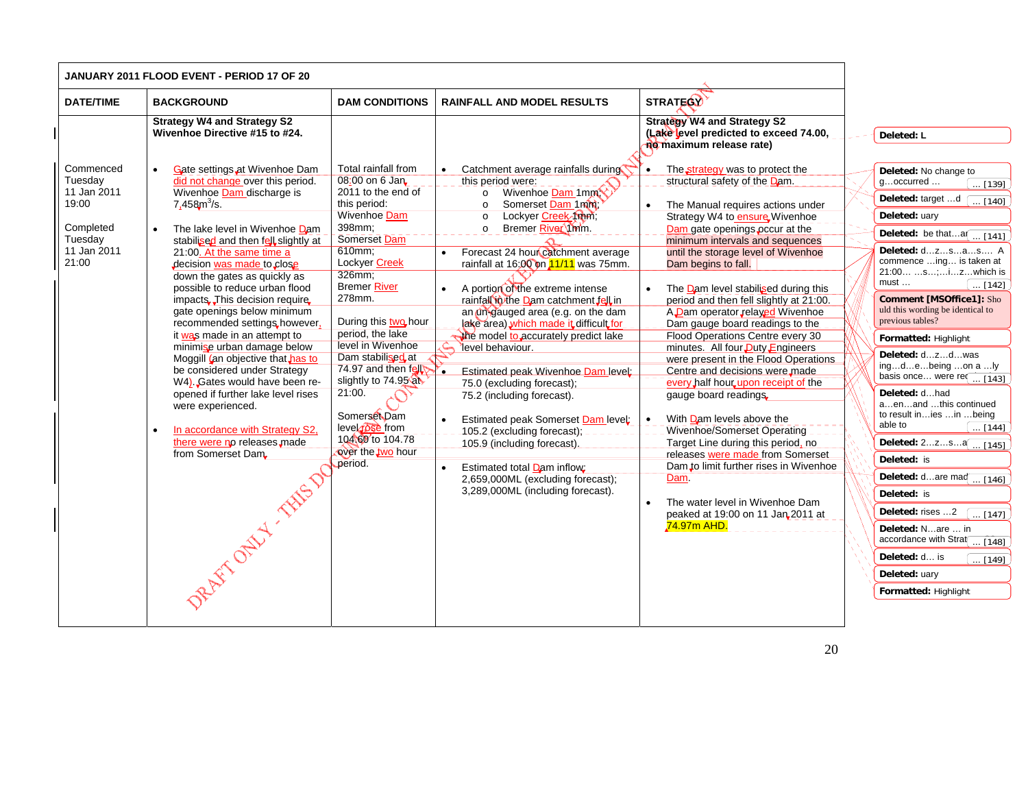|                                                                                              | <b>JANUARY 2011 FLOOD EVENT - PERIOD 17 OF 20</b>                                                                                                                                                                                                                                                                                                                                                                                                                                                                                                                                                                                                                                                                                                                          |                                                                                                                                                                                                                                                                                                                                                                                                                                                    |                                                                                                                                                                                                                                                                                                                                                                                                                                                                                                                                                                                                                                                                                                                                                                                                                                                  |                                                                                                                                                                                                                                                                                                                                                                                                                                                                                                                                                                                                                                                                                                                                                                                                                                                                                                                                                                                   |                                                                                                                                                                                                                                                                                                                                                                                                                                                                                                                                                                                                                                                                                                                                                                                                                         |
|----------------------------------------------------------------------------------------------|----------------------------------------------------------------------------------------------------------------------------------------------------------------------------------------------------------------------------------------------------------------------------------------------------------------------------------------------------------------------------------------------------------------------------------------------------------------------------------------------------------------------------------------------------------------------------------------------------------------------------------------------------------------------------------------------------------------------------------------------------------------------------|----------------------------------------------------------------------------------------------------------------------------------------------------------------------------------------------------------------------------------------------------------------------------------------------------------------------------------------------------------------------------------------------------------------------------------------------------|--------------------------------------------------------------------------------------------------------------------------------------------------------------------------------------------------------------------------------------------------------------------------------------------------------------------------------------------------------------------------------------------------------------------------------------------------------------------------------------------------------------------------------------------------------------------------------------------------------------------------------------------------------------------------------------------------------------------------------------------------------------------------------------------------------------------------------------------------|-----------------------------------------------------------------------------------------------------------------------------------------------------------------------------------------------------------------------------------------------------------------------------------------------------------------------------------------------------------------------------------------------------------------------------------------------------------------------------------------------------------------------------------------------------------------------------------------------------------------------------------------------------------------------------------------------------------------------------------------------------------------------------------------------------------------------------------------------------------------------------------------------------------------------------------------------------------------------------------|-------------------------------------------------------------------------------------------------------------------------------------------------------------------------------------------------------------------------------------------------------------------------------------------------------------------------------------------------------------------------------------------------------------------------------------------------------------------------------------------------------------------------------------------------------------------------------------------------------------------------------------------------------------------------------------------------------------------------------------------------------------------------------------------------------------------------|
| <b>DATE/TIME</b>                                                                             | <b>BACKGROUND</b>                                                                                                                                                                                                                                                                                                                                                                                                                                                                                                                                                                                                                                                                                                                                                          | <b>DAM CONDITIONS</b>                                                                                                                                                                                                                                                                                                                                                                                                                              | <b>RAINFALL AND MODEL RESULTS</b>                                                                                                                                                                                                                                                                                                                                                                                                                                                                                                                                                                                                                                                                                                                                                                                                                | <b>STRATEGY</b>                                                                                                                                                                                                                                                                                                                                                                                                                                                                                                                                                                                                                                                                                                                                                                                                                                                                                                                                                                   |                                                                                                                                                                                                                                                                                                                                                                                                                                                                                                                                                                                                                                                                                                                                                                                                                         |
|                                                                                              | <b>Strategy W4 and Strategy S2</b><br>Wivenhoe Directive #15 to #24.                                                                                                                                                                                                                                                                                                                                                                                                                                                                                                                                                                                                                                                                                                       |                                                                                                                                                                                                                                                                                                                                                                                                                                                    |                                                                                                                                                                                                                                                                                                                                                                                                                                                                                                                                                                                                                                                                                                                                                                                                                                                  | <b>Strategy W4 and Strategy S2</b><br>(Lake level predicted to exceed 74.00,<br>no maximum release rate)                                                                                                                                                                                                                                                                                                                                                                                                                                                                                                                                                                                                                                                                                                                                                                                                                                                                          | Deleted: L                                                                                                                                                                                                                                                                                                                                                                                                                                                                                                                                                                                                                                                                                                                                                                                                              |
| Commenced<br>Tuesday<br>11 Jan 2011<br>19:00<br>Completed<br>Tuesday<br>11 Jan 2011<br>21:00 | Gate settings at Wivenhoe Dam<br>did not change over this period.<br>Wivenhoe Dam discharge is<br>7,458 $m^3$ /s.<br>The lake level in Wivenhoe Dam<br>stabilised and then fell slightly at<br>21:00. At the same time a<br>decision was made to close<br>down the gates as quickly as<br>possible to reduce urban flood<br>impacts. This decision require.<br>gate openings below minimum<br>recommended settings, however,<br>it was made in an attempt to<br>minimise urban damage below<br>Moggill (an objective that has to<br>be considered under Strategy<br>W4). Gates would have been re-<br>opened if further lake level rises<br>were experienced.<br>In accordance with Strategy S2,<br>there were no releases made<br>from Somerset Dam.<br>REATTORELY TANSON | Total rainfall from<br>08:00 on 6 Jan<br>2011 to the end of<br>this period:<br><b>Wivenhoe Dam</b><br>398mm;<br>Somerset Dam<br>610mm;<br>Lockyer Creek<br>326mm:<br><b>Bremer River</b><br>278mm.<br>During this two hour<br>period, the lake<br>level in Wivenhoe<br>Dam stabilised at<br>74.97 and then $f$ <b>ell</b><br>slightly to 74.95 at<br>21:00.<br>Somerset Dam<br>level rose from<br>104\60 to 104.78<br>over the two hour<br>period. | Catchment average rainfalls during<br>$\bullet$<br>this period were:<br>Wivenhoe Dam 1mm<br>$\circ$<br>Somerset Dam 1mm<br>$\circ$<br>Lockyer Creek Mm;<br>$\circ$<br>o Bremer River 1mm.<br>Forecast 24 hour catchment average<br>$\bullet$<br>rainfall at 16:00 on 11/11 was 75mm.<br>A portion of the extreme intense<br>rainfall in the Dam catchment fell in<br>an un-gauged area (e.g. on the dam<br>lake area) which made it difficult for<br>the model to accurately predict lake<br>level behaviour.<br>۰.<br>Estimated peak Wivenhoe Dam level:<br>75.0 (excluding forecast);<br>75.2 (including forecast).<br>Estimated peak Somerset Dam level:<br>-105.2 (excluding forecast);<br>105.9 (including forecast).<br>Estimated total Dam inflow:<br>$\bullet$<br>2,659,000ML (excluding forecast);<br>3,289,000ML (including forecast). | The strategy was to protect the<br>$\bullet$<br>structural safety of the Dam.<br>The Manual requires actions under<br>Strategy W4 to ensure Wivenhoe<br>Dam gate openings occur at the<br>minimum intervals and sequences<br>until the storage level of Wivenhoe<br>Dam begins to fall.<br>The Dam level stabilised during this<br>period and then fell slightly at 21:00.<br>A Dam operator relayed Wivenhoe<br>Dam gauge board readings to the<br>Flood Operations Centre every 30<br>minutes. All four Duty Engineers<br>were present in the Flood Operations<br>Centre and decisions were made<br>every half hour upon receipt of the<br>gauge board readings.<br>With Dam levels above the<br>$\bullet$<br>Wivenhoe/Somerset Operating<br>Target Line during this period, no<br>releases were made from Somerset<br>Dam to limit further rises in Wivenhoe<br>Dam<br>The water level in Wivenhoe Dam<br>$\bullet$<br>peaked at 19:00 on 11 Jan 2011 at<br><b>74.97m AHD.</b> | Deleted: No change to<br>goccurred<br>$\ldots$ [139]<br>Deleted: target d<br>[140]<br>Deleted: uary<br>Deleted: be thata $\boxed{ [141]}$<br>Deleted: dzsas A<br>commence  ing is taken at<br>21:00 s;izwhich is<br>$must \dots$<br>$\ldots$ [142]<br><b>Comment [MSOffice1]: Sho</b><br>uld this wording be identical to<br>previous tables?<br>Formatted: Highlight<br>Deleted: dzdwas<br>ingdebeing on a ly<br>basis once were re $\sqrt{143}$<br>Deleted: dhad<br>aenand this continued<br>to result inies in being<br>able to<br>$\ldots$ [144]<br>Deleted: 2zsa [ [145]<br>Deleted: is<br>Deleted: dare maq $\frac{1}{146}$<br>Deleted: is<br>Deleted: rises 2<br>$\ldots$ [147]<br>Deleted: Nare  in<br>accordance with Strat[ [148]<br>Deleted: d is<br>$\ldots$ [149]<br>Deleted: uary<br>Formatted: Highlight |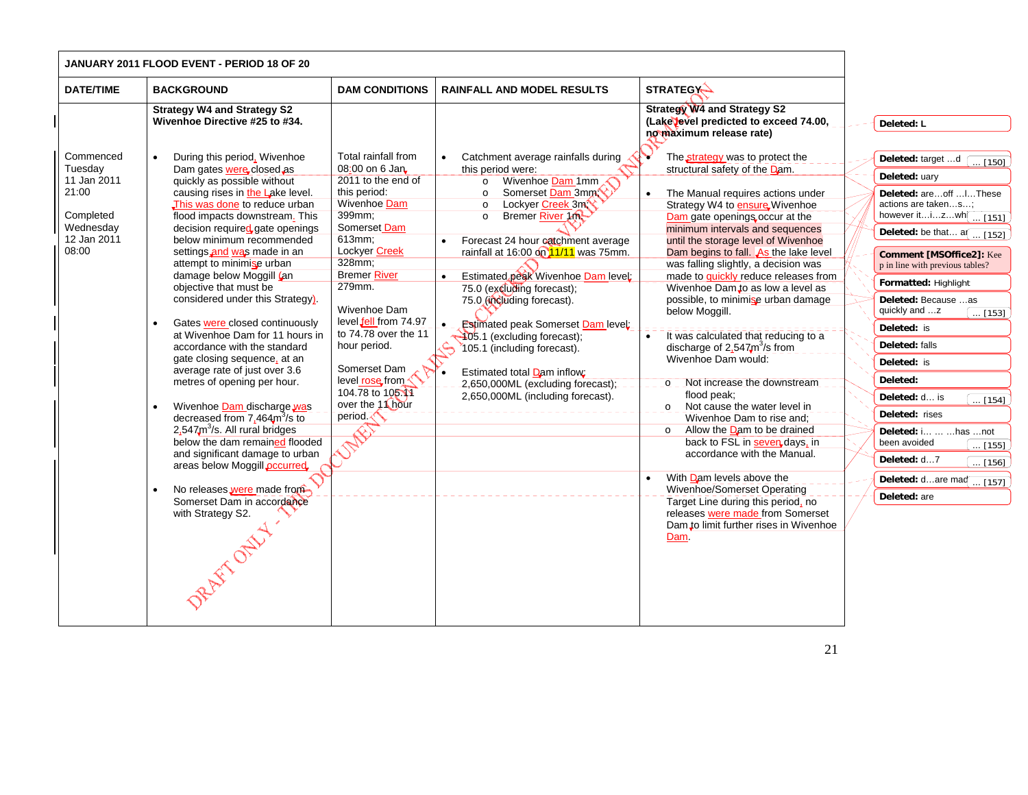| JANUARY 2011 FLOOD EVENT - PERIOD 18 OF 20                                                     |                                                                                                                                                                                                                                                                                                                                                                                                                                                                                                                                                                                                                                                                                                                                                                                                                                                                                                                                                                               |                                                                                                                                                                                                                                                                                                                                                                            |                                                                                                                                                                                                                                                                                                                                                                                                                                                                                                                                                                                                       |                                                                                                                                                                                                                                                                                                                                                                                                                                                                                                                                                                                                                                                                                                                                                                                                                                                                                                                                                                                                                |  |                                                                                                                                                                                                                                                                                                                                                                                                                                                                                                                                                                                                               |
|------------------------------------------------------------------------------------------------|-------------------------------------------------------------------------------------------------------------------------------------------------------------------------------------------------------------------------------------------------------------------------------------------------------------------------------------------------------------------------------------------------------------------------------------------------------------------------------------------------------------------------------------------------------------------------------------------------------------------------------------------------------------------------------------------------------------------------------------------------------------------------------------------------------------------------------------------------------------------------------------------------------------------------------------------------------------------------------|----------------------------------------------------------------------------------------------------------------------------------------------------------------------------------------------------------------------------------------------------------------------------------------------------------------------------------------------------------------------------|-------------------------------------------------------------------------------------------------------------------------------------------------------------------------------------------------------------------------------------------------------------------------------------------------------------------------------------------------------------------------------------------------------------------------------------------------------------------------------------------------------------------------------------------------------------------------------------------------------|----------------------------------------------------------------------------------------------------------------------------------------------------------------------------------------------------------------------------------------------------------------------------------------------------------------------------------------------------------------------------------------------------------------------------------------------------------------------------------------------------------------------------------------------------------------------------------------------------------------------------------------------------------------------------------------------------------------------------------------------------------------------------------------------------------------------------------------------------------------------------------------------------------------------------------------------------------------------------------------------------------------|--|---------------------------------------------------------------------------------------------------------------------------------------------------------------------------------------------------------------------------------------------------------------------------------------------------------------------------------------------------------------------------------------------------------------------------------------------------------------------------------------------------------------------------------------------------------------------------------------------------------------|
| <b>DATE/TIME</b>                                                                               | <b>BACKGROUND</b>                                                                                                                                                                                                                                                                                                                                                                                                                                                                                                                                                                                                                                                                                                                                                                                                                                                                                                                                                             | <b>DAM CONDITIONS</b>                                                                                                                                                                                                                                                                                                                                                      | <b>RAINFALL AND MODEL RESULTS</b>                                                                                                                                                                                                                                                                                                                                                                                                                                                                                                                                                                     | <b>STRATEGY-</b>                                                                                                                                                                                                                                                                                                                                                                                                                                                                                                                                                                                                                                                                                                                                                                                                                                                                                                                                                                                               |  |                                                                                                                                                                                                                                                                                                                                                                                                                                                                                                                                                                                                               |
|                                                                                                | <b>Strategy W4 and Strategy S2</b><br>Wivenhoe Directive #25 to #34.                                                                                                                                                                                                                                                                                                                                                                                                                                                                                                                                                                                                                                                                                                                                                                                                                                                                                                          |                                                                                                                                                                                                                                                                                                                                                                            |                                                                                                                                                                                                                                                                                                                                                                                                                                                                                                                                                                                                       | <b>Strategy W4 and Strategy S2</b><br>(Lake level predicted to exceed 74.00,<br>no maximum release rate)                                                                                                                                                                                                                                                                                                                                                                                                                                                                                                                                                                                                                                                                                                                                                                                                                                                                                                       |  | Deleted: L                                                                                                                                                                                                                                                                                                                                                                                                                                                                                                                                                                                                    |
| Commenced<br>Tuesday<br>11 Jan 2011<br>21:00<br>Completed<br>Wednesday<br>12 Jan 2011<br>08:00 | During this period, Wivenhoe<br>$\bullet$<br>Dam gates were closed as<br>quickly as possible without<br>causing rises in the Lake level.<br>This was done to reduce urban<br>flood impacts downstream. This<br>decision required gate openings<br>below minimum recommended<br>settings and was made in an<br>attempt to minimise urban<br>damage below Moggill (an<br>objective that must be<br>considered under this Strategy).<br>Gates were closed continuously<br>$\bullet$<br>at Wivenhoe Dam for 11 hours in<br>accordance with the standard<br>gate closing sequence, at an<br>average rate of just over 3.6<br>metres of opening per hour.<br>Wivenhoe Dam discharge was<br>decreased from $7,464m3/s$ to<br>$2.547m3/s$ . All rural bridges<br>below the dam remained flooded<br>and significant damage to urban<br>areas below Moggill <b>pccurred</b><br>No releases were made from<br>$\bullet$<br>Somerset Dam in accordance<br>with Strategy S2.<br>RAYT OFFER | Total rainfall from<br>08:00 on 6 Jan<br>2011 to the end of<br>this period:<br>Wivenhoe Dam<br>399mm;<br>Somerset Dam<br>613mm;<br>Lockyer Creek<br>328mm;<br><b>Bremer River</b><br>279mm.<br>Wivenhoe Dam<br>level fell from 74.97<br>to 74.78 over the 11<br>hour period.<br>Somerset Dam<br>level rose from<br>104.78 to 105.11<br>over the 11 hour<br>period <b>T</b> | Catchment average rainfalls during<br>this period were:<br>Wivenhoe Dam 1mm<br>$\circ$<br>Somerset Dam 3mm<br>$\circ$<br>Lockyer Creek 3m<br>$\circ$<br>Bremer River 10<br>$\circ$<br>Forecast 24 hour catchment average<br>rainfall at 16:00 on $11/11$ was 75mm.<br>Estimated peak Wivenhoe Dam level:<br>75.0 (excluding forecast);<br>75.0 (including forecast).<br><b>Estimated peak Somerset Dam level:</b><br>$\bullet$<br>405.1 (excluding forecast);<br>105.1 (including forecast).<br>Estimated total Dam inflow:<br>2,650,000ML (excluding forecast):<br>2,650,000ML (including forecast). | The strategy was to protect the<br>structural safety of the Dam.<br>The Manual requires actions under<br>Strategy W4 to ensure Wivenhoe<br>Dam gate openings occur at the<br>minimum intervals and sequences<br>until the storage level of Wivenhoe<br>Dam begins to fall. As the lake level<br>was falling slightly, a decision was<br>made to quickly reduce releases from<br>Wivenhoe Dam to as low a level as<br>possible, to minimise urban damage<br>below Moggill.<br>It was calculated that reducing to a<br>discharge of $2.547 \text{m}^3/\text{s}$ from<br>Wivenhoe Dam would:<br>Not increase the downstream<br>$Q_$<br>flood peak;<br>Not cause the water level in<br>Wivenhoe Dam to rise and:<br>Allow the Dam to be drained<br>$\circ$<br>back to FSL in seven days, in<br>accordance with the Manual.<br>With Dam levels above the<br>Wivenhoe/Somerset Operating<br>Target Line during this period, no<br>releases were made from Somerset<br>Dam to limit further rises in Wivenhoe<br>Dam. |  | Deleted: target d<br>$\overline{}$ [150]<br>Deleted: uary<br>Deleted: areoff  I These<br>actions are takens;<br>however itizwh $\boxed{ [151]}$<br>Deleted: be that $a$ $\boxed{ [152]}$<br><b>Comment [MSOffice2]:</b> Kee<br>p in line with previous tables?<br>Formatted: Highlight<br>Deleted: Because as<br>quickly and z<br>$\ldots$ [153]<br>Deleted: is<br>Deleted: falls<br>Deleted: is<br>Deleted:<br>Deleted: d is<br>$\ldots$ [154]<br>Deleted: rises<br>Deleted: i   has  not<br>been avoided<br>$\overline{\ldots}$ [155]<br>Deleted: d7<br>[156] ]<br>Deleted: dare maq  [157]<br>Deleted: are |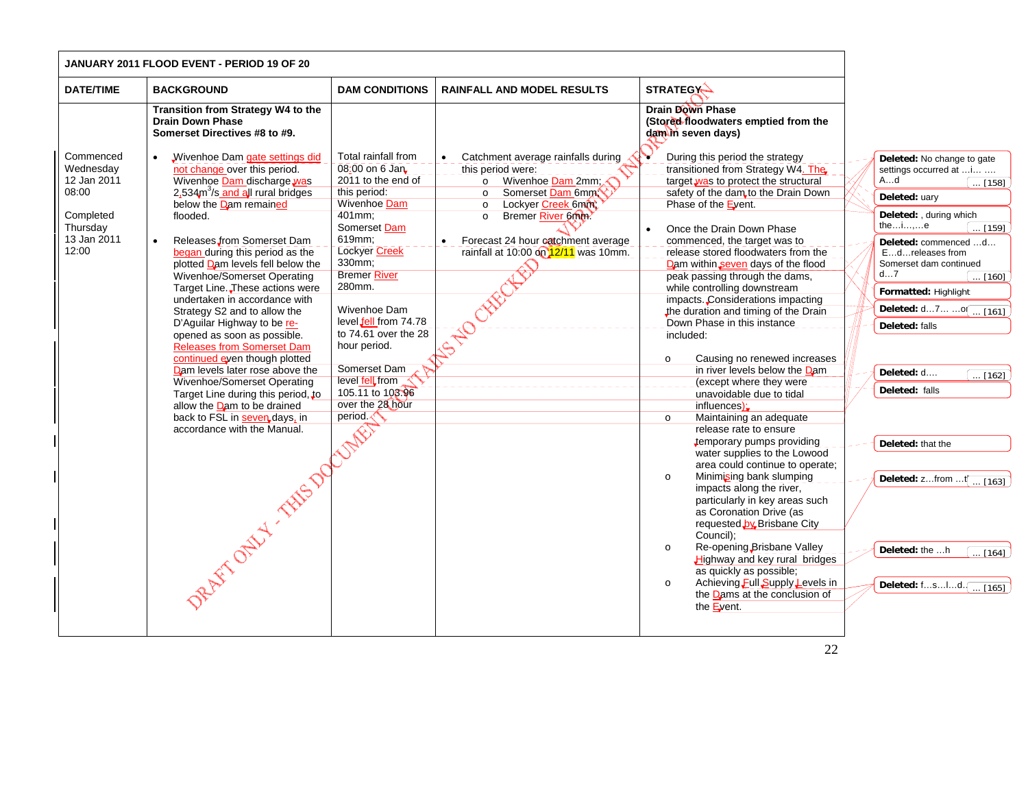|                                                                                                 | JANUARY 2011 FLOOD EVENT - PERIOD 19 OF 20                                                                                                                                                                                                                                                                                                                                                                                                                                                                                                                                                                                                                                                                                                                                                               |                                                                                                                                                                                                                                                                                                                                                                  |                                                                                                                                                                                                                                                            |                                                                                                                                                                                                                                                                                                                                                                                                                                                                                                                                                                                                                                                                                                                                                                                                                                                                                                                                                                                                                                                                                                                                                                                                                                              |                                                                                                                                                                                                                                                                                                                                                                                                                                                                                                |
|-------------------------------------------------------------------------------------------------|----------------------------------------------------------------------------------------------------------------------------------------------------------------------------------------------------------------------------------------------------------------------------------------------------------------------------------------------------------------------------------------------------------------------------------------------------------------------------------------------------------------------------------------------------------------------------------------------------------------------------------------------------------------------------------------------------------------------------------------------------------------------------------------------------------|------------------------------------------------------------------------------------------------------------------------------------------------------------------------------------------------------------------------------------------------------------------------------------------------------------------------------------------------------------------|------------------------------------------------------------------------------------------------------------------------------------------------------------------------------------------------------------------------------------------------------------|----------------------------------------------------------------------------------------------------------------------------------------------------------------------------------------------------------------------------------------------------------------------------------------------------------------------------------------------------------------------------------------------------------------------------------------------------------------------------------------------------------------------------------------------------------------------------------------------------------------------------------------------------------------------------------------------------------------------------------------------------------------------------------------------------------------------------------------------------------------------------------------------------------------------------------------------------------------------------------------------------------------------------------------------------------------------------------------------------------------------------------------------------------------------------------------------------------------------------------------------|------------------------------------------------------------------------------------------------------------------------------------------------------------------------------------------------------------------------------------------------------------------------------------------------------------------------------------------------------------------------------------------------------------------------------------------------------------------------------------------------|
| <b>DATE/TIME</b>                                                                                | <b>BACKGROUND</b>                                                                                                                                                                                                                                                                                                                                                                                                                                                                                                                                                                                                                                                                                                                                                                                        | <b>DAM CONDITIONS</b>                                                                                                                                                                                                                                                                                                                                            | <b>RAINFALL AND MODEL RESULTS</b>                                                                                                                                                                                                                          | <b>STRATEGY-</b>                                                                                                                                                                                                                                                                                                                                                                                                                                                                                                                                                                                                                                                                                                                                                                                                                                                                                                                                                                                                                                                                                                                                                                                                                             |                                                                                                                                                                                                                                                                                                                                                                                                                                                                                                |
|                                                                                                 | Transition from Strategy W4 to the<br><b>Drain Down Phase</b><br>Somerset Directives #8 to #9.                                                                                                                                                                                                                                                                                                                                                                                                                                                                                                                                                                                                                                                                                                           |                                                                                                                                                                                                                                                                                                                                                                  |                                                                                                                                                                                                                                                            | <b>Drain Down Phase</b><br>(Stored floodwaters emptied from the<br>dam in seven days)                                                                                                                                                                                                                                                                                                                                                                                                                                                                                                                                                                                                                                                                                                                                                                                                                                                                                                                                                                                                                                                                                                                                                        |                                                                                                                                                                                                                                                                                                                                                                                                                                                                                                |
| Commenced<br>Wednesday<br>12 Jan 2011<br>08:00<br>Completed<br>Thursday<br>13 Jan 2011<br>12:00 | Wivenhoe Dam gate settings did<br>not change over this period.<br>Wivenhoe Dam discharge was<br>2,534m <sup>3</sup> /s and all rural bridges<br>below the Dam remained<br>flooded.<br>Releases from Somerset Dam<br>began during this period as the<br>plotted Dam levels fell below the<br>Wivenhoe/Somerset Operating<br>Target Line. These actions were<br>undertaken in accordance with<br>Strategy S2 and to allow the<br>D'Aquilar Highway to be re-<br>opened as soon as possible.<br><b>Releases from Somerset Dam</b><br>continued even though plotted<br>Dam levels later rose above the<br>Wivenhoe/Somerset Operating<br>Target Line during this period, to<br>allow the Dam to be drained<br>back to FSL in seven days, in<br>accordance with the Manual.<br>Retrit only 1 Times of Chatter | Total rainfall from<br>$08:00$ on 6 Jan<br>2011 to the end of<br>this period:<br>Wivenhoe Dam<br>401mm;<br>Somerset Dam<br>619mm;<br>Lockver Creek<br>330mm;<br><b>Bremer River</b><br>280mm.<br>Wivenhoe Dam<br>level fell from 74.78<br>to 74.61 over the 28<br>hour period.<br><b>Somerset Dam</b><br>level fell from<br>105.11 to 103.96<br>over the 28 hour | Catchment average rainfalls during<br>this period were:<br>o Wivenhoe Dam 2mm:<br>Somerset Dam 6mm<br>$\circ$<br>Lockyer Creek 6mm<br>$\circ$<br>Bremer River 6mm<br>$\circ$<br>Forecast 24 hour catchment average<br>rainfall at 10:00 on 12/11 was 10mm. | During this period the strategy<br>Y<br>transitioned from Strategy W4. The<br>target was to protect the structural<br>safety of the dam to the Drain Down<br>Phase of the Eyent.<br>Once the Drain Down Phase<br>$\bullet$<br>commenced, the target was to<br>release stored floodwaters from the<br>Dam within seven days of the flood<br>peak passing through the dams,<br>while controlling downstream<br>impacts. Considerations impacting<br>the duration and timing of the Drain<br>Down Phase in this instance<br>included:<br>Causing no renewed increases<br>$\circ$<br>in river levels below the $D$ am<br>(except where they were<br>unavoidable due to tidal<br>influences):<br>Maintaining an adequate<br>$\circ$<br>release rate to ensure<br>temporary pumps providing<br>water supplies to the Lowood<br>area could continue to operate;<br>Minimising bank slumping<br>$\circ$<br>impacts along the river,<br>particularly in key areas such<br>as Coronation Drive (as<br>requested by Brisbane City<br>Council);<br>Re-opening Brisbane Valley<br>$\circ$<br><b>Highway and key rural bridges</b><br>as quickly as possible;<br>Achieving Full Supply Levels in<br>$\circ$<br>the Dams at the conclusion of<br>the Event. | Deleted: No change to gate<br>settings occurred at i<br>Ad<br>$\ldots$ [158]<br>Deleted: uary<br>Deleted: , during which<br>the $i$ ,e<br>. [159]<br>Deleted: commenced d<br>Edreleases from<br>Somerset dam continued<br>d7<br>$\ldots$ [160]<br>Formatted: Highlight<br>Deleted: d7  0 [ [161]<br>Deleted: falls<br>Deleted: d<br>$\boxed{ [162]}$<br>Deleted: falls<br>Deleted: that the<br>Deleted: zfrom t<br>$\dots$ [163]<br>Deleted: the h<br>$\boxed{164}$<br>Deleted: fsld.<br>[165] |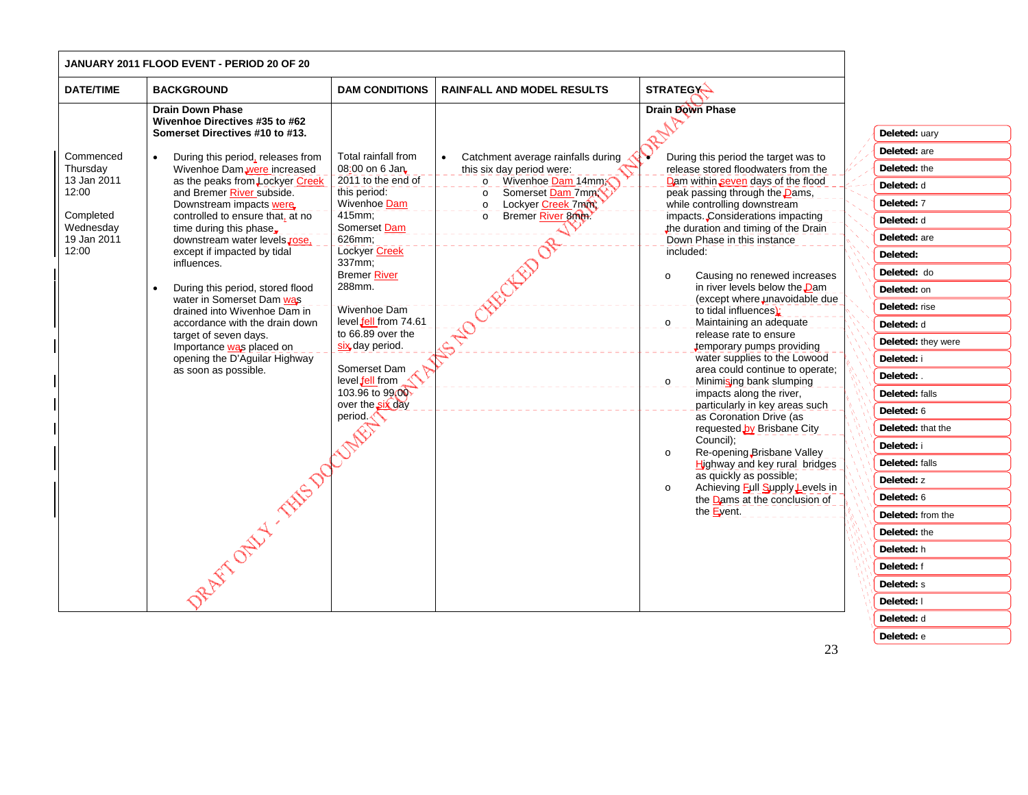|                                                | JANUARY 2011 FLOOD EVENT - PERIOD 20 OF 20                                                                                                                                                                                                                                                                                                                                                                              |                                                                                                                                                                                                                                                                                    |                                                                                                                                                                 |                                                                                                                                                                                                                                                                                                                                                                                                                                                                                                                                                                                                                                                                                                                                                                                                                       |                                                                                                                                                                                                                                                                                                                           |
|------------------------------------------------|-------------------------------------------------------------------------------------------------------------------------------------------------------------------------------------------------------------------------------------------------------------------------------------------------------------------------------------------------------------------------------------------------------------------------|------------------------------------------------------------------------------------------------------------------------------------------------------------------------------------------------------------------------------------------------------------------------------------|-----------------------------------------------------------------------------------------------------------------------------------------------------------------|-----------------------------------------------------------------------------------------------------------------------------------------------------------------------------------------------------------------------------------------------------------------------------------------------------------------------------------------------------------------------------------------------------------------------------------------------------------------------------------------------------------------------------------------------------------------------------------------------------------------------------------------------------------------------------------------------------------------------------------------------------------------------------------------------------------------------|---------------------------------------------------------------------------------------------------------------------------------------------------------------------------------------------------------------------------------------------------------------------------------------------------------------------------|
| <b>DATE/TIME</b>                               | <b>BACKGROUND</b>                                                                                                                                                                                                                                                                                                                                                                                                       | <b>DAM CONDITIONS</b>                                                                                                                                                                                                                                                              | <b>RAINFALL AND MODEL RESULTS</b>                                                                                                                               | <b>STRATEGY</b>                                                                                                                                                                                                                                                                                                                                                                                                                                                                                                                                                                                                                                                                                                                                                                                                       |                                                                                                                                                                                                                                                                                                                           |
| Commenced<br>Thursday<br>13 Jan 2011<br>12:00  | <b>Drain Down Phase</b><br>Wivenhoe Directives #35 to #62<br>Somerset Directives #10 to #13.<br>During this period, releases from<br>$\bullet$<br>Wivenhoe Dam were increased<br>as the peaks from Lockyer Creek<br>and Bremer River subside.<br>Downstream impacts were                                                                                                                                                | Total rainfall from<br>08:00 on 6 Jan<br>2011 to the end of<br>this period:<br>Wivenhoe Dam                                                                                                                                                                                        | Catchment average rainfalls during<br>this six day period were:<br>Wivenhoe Dam 14mm<br>$\circ$<br>Somerset Dam 7mm<br>$\circ$<br>Lockyer Creek 7mm<br>$\Omega$ | <b>Drain Down Phase</b><br>During this period the target was to<br>release stored floodwaters from the<br>Dam within seven days of the flood<br>peak passing through the <b>Dams</b> ,<br>while controlling downstream                                                                                                                                                                                                                                                                                                                                                                                                                                                                                                                                                                                                | Deleted: uary<br>Deleted: are<br>Deleted: the<br>Deleted: d<br>Deleted: 7                                                                                                                                                                                                                                                 |
| Completed<br>Wednesday<br>19 Jan 2011<br>12:00 | controlled to ensure that, at no<br>time during this phase.<br>downstream water levels, rose,<br>except if impacted by tidal<br>influences.<br>During this period, stored flood<br>water in Somerset Dam was<br>drained into Wivenhoe Dam in<br>accordance with the drain down<br>target of seven days.<br>Importance was placed on<br>opening the D'Aguilar Highway<br>as soon as possible.<br>2 AFT OFFER TAILS DOCK! | 415mm;<br>Somerset Dam<br>626mm;<br>Lockyer Creek<br>337mm:<br><b>Bremer River</b><br>288mm.<br>Wivenhoe Dam<br>level fell from 74.61<br>to 66.89 over the<br>six day period.<br>Somerset Dam<br>level fell from<br>103.96 to 99.00<br>over the six day<br>period.<br><b>NAMES</b> | Bremer River 8000<br>$\circ$<br>$\mathbb{R}^{3}$                                                                                                                | impacts. Considerations impacting<br>the duration and timing of the Drain<br>Down Phase in this instance<br>included:<br>Causing no renewed increases<br>$\circ$<br>in river levels below the Dam<br>(except where unavoidable due<br>to tidal influences):<br>Maintaining an adequate<br>$\circ$<br>release rate to ensure<br>temporary pumps providing<br>water supplies to the Lowood<br>area could continue to operate;<br>Minimising bank slumping<br>$\circ$<br>impacts along the river,<br>particularly in key areas such<br>as Coronation Drive (as<br>requested by Brisbane City<br>Council);<br>Re-opening Brisbane Valley<br>$\circ$<br>Highway and key rural bridges<br>as quickly as possible;<br>Achieving Full Supply Levels in<br>$\circ$<br>the $\frac{D}{2}$ ams at the conclusion of<br>the Event. | Deleted: d<br>Deleted: are<br>Deleted:<br>Deleted: do<br>Deleted: on<br>Deleted: rise<br>Deleted: d<br>Deleted: they were<br>Deleted: i<br>Deleted: .<br>Deleted: falls<br>Deleted: 6<br>Deleted: that the<br>Deleted: i<br>Deleted: falls<br>Deleted: z<br>Deleted: 6<br>Deleted: from the<br>Deleted: the<br>Deleted: h |
|                                                |                                                                                                                                                                                                                                                                                                                                                                                                                         |                                                                                                                                                                                                                                                                                    |                                                                                                                                                                 |                                                                                                                                                                                                                                                                                                                                                                                                                                                                                                                                                                                                                                                                                                                                                                                                                       | Deleted: f<br>Deleted: s<br>Deleted: I<br>Deleted: d                                                                                                                                                                                                                                                                      |

**Deleted:** e

 $\overline{\phantom{0}}$ 

—<br>—<br>—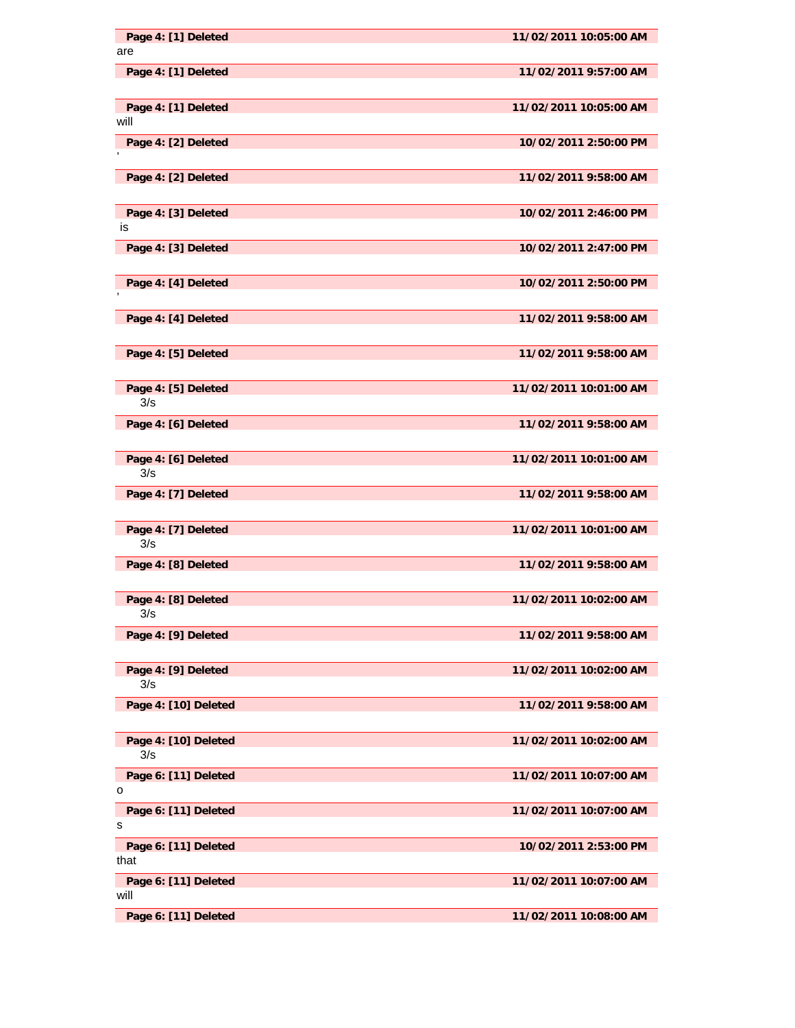| Page 4: [1] Deleted<br>are   | 11/02/2011 10:05:00 AM |
|------------------------------|------------------------|
| Page 4: [1] Deleted          | 11/02/2011 9:57:00 AM  |
| Page 4: [1] Deleted<br>will  | 11/02/2011 10:05:00 AM |
| Page 4: [2] Deleted          | 10/02/2011 2:50:00 PM  |
| Page 4: [2] Deleted          | 11/02/2011 9:58:00 AM  |
| Page 4: [3] Deleted<br>is    | 10/02/2011 2:46:00 PM  |
| Page 4: [3] Deleted          | 10/02/2011 2:47:00 PM  |
| Page 4: [4] Deleted          | 10/02/2011 2:50:00 PM  |
| Page 4: [4] Deleted          | 11/02/2011 9:58:00 AM  |
| Page 4: [5] Deleted          | 11/02/2011 9:58:00 AM  |
| Page 4: [5] Deleted<br>3/s   | 11/02/2011 10:01:00 AM |
| Page 4: [6] Deleted          | 11/02/2011 9:58:00 AM  |
| Page 4: [6] Deleted<br>3/s   | 11/02/2011 10:01:00 AM |
| Page 4: [7] Deleted          | 11/02/2011 9:58:00 AM  |
| Page 4: [7] Deleted<br>3/s   | 11/02/2011 10:01:00 AM |
| Page 4: [8] Deleted          | 11/02/2011 9:58:00 AM  |
| Page 4: [8] Deleted<br>3/s   | 11/02/2011 10:02:00 AM |
| Page 4: [9] Deleted          | 11/02/2011 9:58:00 AM  |
| Page 4: [9] Deleted<br>3/s   | 11/02/2011 10:02:00 AM |
| Page 4: [10] Deleted         | 11/02/2011 9:58:00 AM  |
| Page 4: [10] Deleted<br>3/s  | 11/02/2011 10:02:00 AM |
| Page 6: [11] Deleted<br>о    | 11/02/2011 10:07:00 AM |
| Page 6: [11] Deleted<br>s    | 11/02/2011 10:07:00 AM |
| Page 6: [11] Deleted<br>that | 10/02/2011 2:53:00 PM  |
| Page 6: [11] Deleted<br>will | 11/02/2011 10:07:00 AM |
| Page 6: [11] Deleted         | 11/02/2011 10:08:00 AM |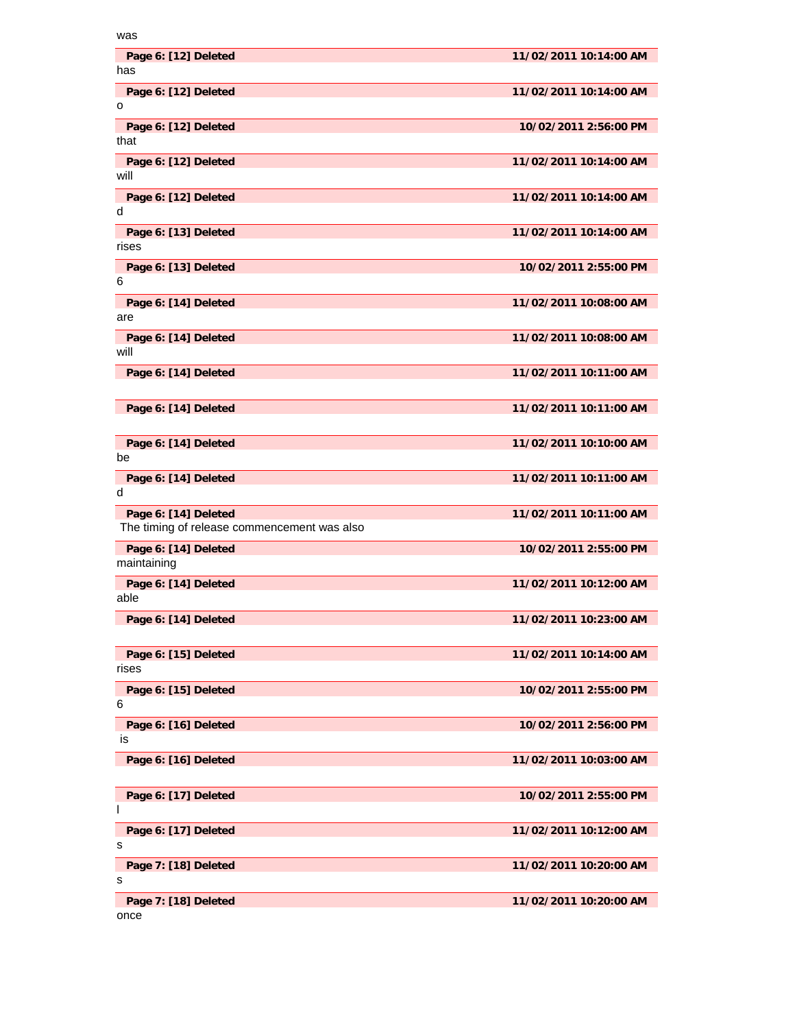| was                                         |                        |
|---------------------------------------------|------------------------|
| Page 6: [12] Deleted<br>has                 | 11/02/2011 10:14:00 AM |
| Page 6: [12] Deleted<br>o                   | 11/02/2011 10:14:00 AM |
| Page 6: [12] Deleted<br>that                | 10/02/2011 2:56:00 PM  |
| Page 6: [12] Deleted<br>will                | 11/02/2011 10:14:00 AM |
| Page 6: [12] Deleted<br>d                   | 11/02/2011 10:14:00 AM |
| Page 6: [13] Deleted<br>rises               | 11/02/2011 10:14:00 AM |
| Page 6: [13] Deleted<br>6                   | 10/02/2011 2:55:00 PM  |
| Page 6: [14] Deleted<br>are                 | 11/02/2011 10:08:00 AM |
| Page 6: [14] Deleted<br>will                | 11/02/2011 10:08:00 AM |
| Page 6: [14] Deleted                        | 11/02/2011 10:11:00 AM |
| Page 6: [14] Deleted                        | 11/02/2011 10:11:00 AM |
| Page 6: [14] Deleted<br>be                  | 11/02/2011 10:10:00 AM |
|                                             |                        |
| Page 6: [14] Deleted<br>d                   | 11/02/2011 10:11:00 AM |
| Page 6: [14] Deleted                        | 11/02/2011 10:11:00 AM |
| The timing of release commencement was also |                        |
| Page 6: [14] Deleted<br>maintaining         | 10/02/2011 2:55:00 PM  |
| Page 6: [14] Deleted<br>able                | 11/02/2011 10:12:00 AM |
| Page 6: [14] Deleted                        | 11/02/2011 10:23:00 AM |
| Page 6: [15] Deleted<br>rises               | 11/02/2011 10:14:00 AM |
| Page 6: [15] Deleted<br>6                   | 10/02/2011 2:55:00 PM  |
| Page 6: [16] Deleted<br>is                  | 10/02/2011 2:56:00 PM  |
| Page 6: [16] Deleted                        | 11/02/2011 10:03:00 AM |
| Page 6: [17] Deleted<br>ı                   | 10/02/2011 2:55:00 PM  |
| Page 6: [17] Deleted<br>s                   | 11/02/2011 10:12:00 AM |
| Page 7: [18] Deleted<br>s                   | 11/02/2011 10:20:00 AM |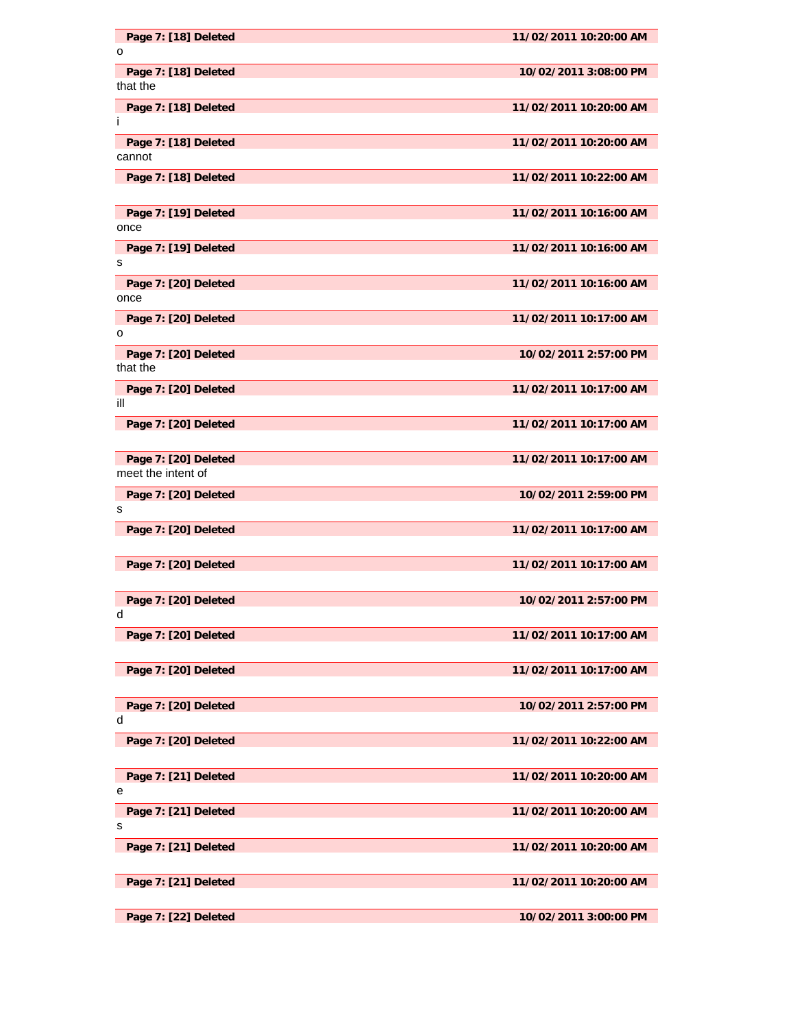| Page 7: [18] Deleted             | 11/02/2011 10:20:00 AM |
|----------------------------------|------------------------|
| o                                |                        |
| Page 7: [18] Deleted             | 10/02/2011 3:08:00 PM  |
| that the                         |                        |
| Page 7: [18] Deleted             | 11/02/2011 10:20:00 AM |
| Ť                                |                        |
| Page 7: [18] Deleted             | 11/02/2011 10:20:00 AM |
| cannot                           |                        |
| Page 7: [18] Deleted             | 11/02/2011 10:22:00 AM |
|                                  |                        |
| Page 7: [19] Deleted             | 11/02/2011 10:16:00 AM |
| once                             |                        |
| Page 7: [19] Deleted             | 11/02/2011 10:16:00 AM |
| s                                |                        |
| Page 7: [20] Deleted             | 11/02/2011 10:16:00 AM |
| once                             |                        |
|                                  |                        |
| Page 7: [20] Deleted<br>o        | 11/02/2011 10:17:00 AM |
|                                  |                        |
| Page 7: [20] Deleted<br>that the | 10/02/2011 2:57:00 PM  |
|                                  |                        |
| Page 7: [20] Deleted             | 11/02/2011 10:17:00 AM |
| ill                              |                        |
| Page 7: [20] Deleted             | 11/02/2011 10:17:00 AM |
|                                  |                        |
| Page 7: [20] Deleted             | 11/02/2011 10:17:00 AM |
| meet the intent of               |                        |
| Page 7: [20] Deleted             | 10/02/2011 2:59:00 PM  |
| s                                |                        |
| Page 7: [20] Deleted             | 11/02/2011 10:17:00 AM |
|                                  |                        |
| Page 7: [20] Deleted             | 11/02/2011 10:17:00 AM |
|                                  |                        |
| Page 7: [20] Deleted             | 10/02/2011 2:57:00 PM  |
|                                  |                        |
| Page 7: [20] Deleted             | 11/02/2011 10:17:00 AM |
|                                  |                        |
| Page 7: [20] Deleted             | 11/02/2011 10:17:00 AM |
|                                  |                        |
|                                  |                        |
| Page 7: [20] Deleted<br>d        | 10/02/2011 2:57:00 PM  |
|                                  |                        |
| Page 7: [20] Deleted             | 11/02/2011 10:22:00 AM |
|                                  |                        |
| Page 7: [21] Deleted             | 11/02/2011 10:20:00 AM |
| е                                |                        |
| Page 7: [21] Deleted             | 11/02/2011 10:20:00 AM |
| s                                |                        |
| Page 7: [21] Deleted             | 11/02/2011 10:20:00 AM |
|                                  |                        |
| Page 7: [21] Deleted             | 11/02/2011 10:20:00 AM |
|                                  |                        |
| Page 7: [22] Deleted             | 10/02/2011 3:00:00 PM  |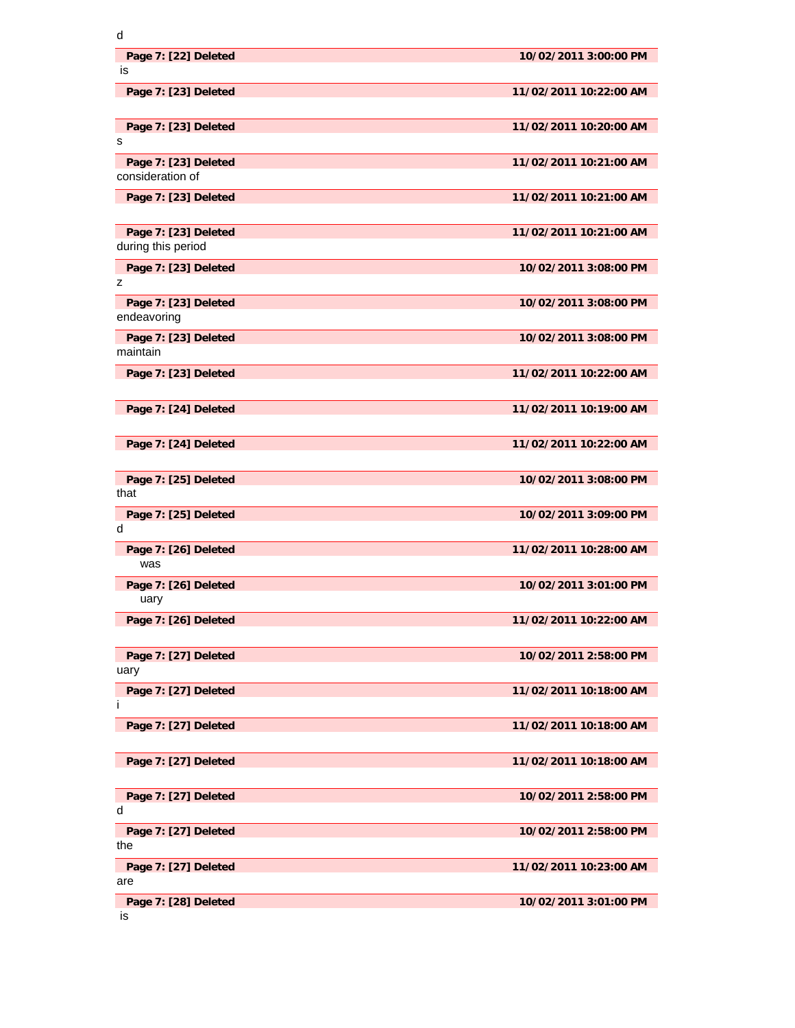| d                                          |                        |
|--------------------------------------------|------------------------|
| Page 7: [22] Deleted<br>is                 | 10/02/2011 3:00:00 PM  |
| Page 7: [23] Deleted                       | 11/02/2011 10:22:00 AM |
| Page 7: [23] Deleted<br>s                  | 11/02/2011 10:20:00 AM |
| Page 7: [23] Deleted<br>consideration of   | 11/02/2011 10:21:00 AM |
| Page 7: [23] Deleted                       | 11/02/2011 10:21:00 AM |
| Page 7: [23] Deleted<br>during this period | 11/02/2011 10:21:00 AM |
| Page 7: [23] Deleted<br>z                  | 10/02/2011 3:08:00 PM  |
| Page 7: [23] Deleted<br>endeavoring        | 10/02/2011 3:08:00 PM  |
| Page 7: [23] Deleted<br>maintain           | 10/02/2011 3:08:00 PM  |
| Page 7: [23] Deleted                       | 11/02/2011 10:22:00 AM |
| Page 7: [24] Deleted                       | 11/02/2011 10:19:00 AM |
| Page 7: [24] Deleted                       | 11/02/2011 10:22:00 AM |
| Page 7: [25] Deleted<br>that               | 10/02/2011 3:08:00 PM  |
| Page 7: [25] Deleted<br>d                  | 10/02/2011 3:09:00 PM  |
| Page 7: [26] Deleted<br>was                | 11/02/2011 10:28:00 AM |
| Page 7: [26] Deleted<br>uary               | 10/02/2011 3:01:00 PM  |
| Page 7: [26] Deleted                       | 11/02/2011 10:22:00 AM |
| Page 7: [27] Deleted<br>uary               | 10/02/2011 2:58:00 PM  |
| Page 7: [27] Deleted<br>İ                  | 11/02/2011 10:18:00 AM |
| Page 7: [27] Deleted                       | 11/02/2011 10:18:00 AM |
| Page 7: [27] Deleted                       | 11/02/2011 10:18:00 AM |
| Page 7: [27] Deleted<br>d                  | 10/02/2011 2:58:00 PM  |
| Page 7: [27] Deleted<br>the                | 10/02/2011 2:58:00 PM  |
| Page 7: [27] Deleted<br>are                | 11/02/2011 10:23:00 AM |
| Page 7: [28] Deleted<br>is                 | 10/02/2011 3:01:00 PM  |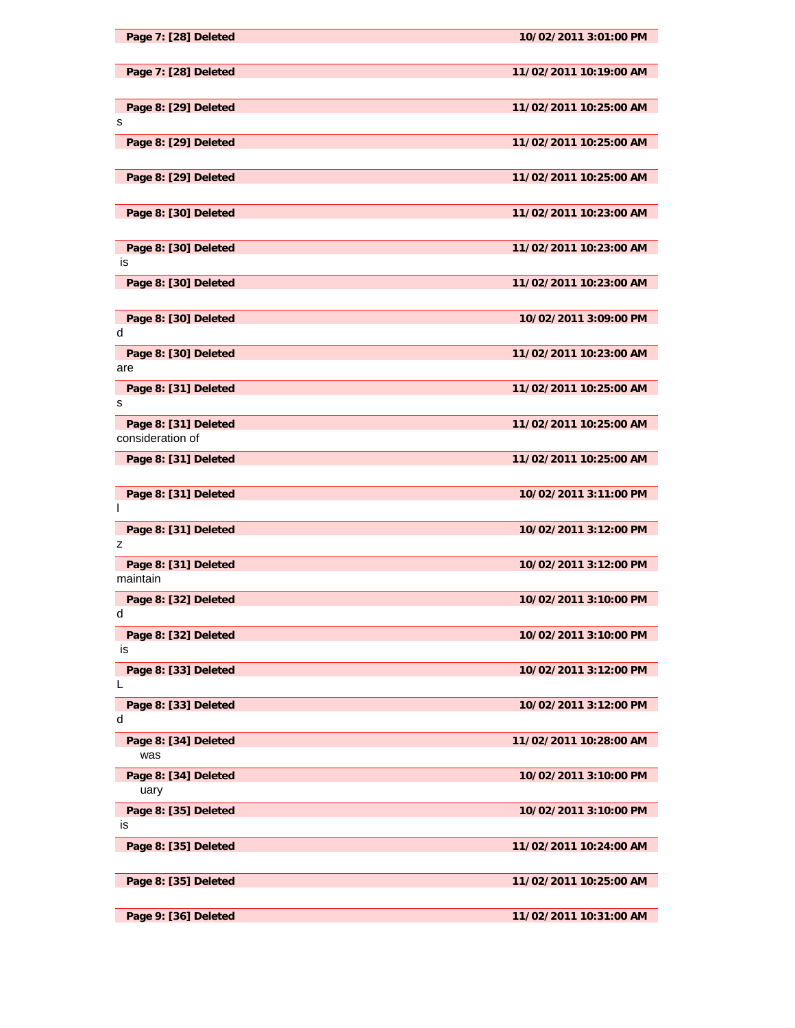| Page 7: [28] Deleted                     | 10/02/2011 3:01:00 PM  |
|------------------------------------------|------------------------|
| Page 7: [28] Deleted                     | 11/02/2011 10:19:00 AM |
| Page 8: [29] Deleted<br>s                | 11/02/2011 10:25:00 AM |
| Page 8: [29] Deleted                     | 11/02/2011 10:25:00 AM |
| Page 8: [29] Deleted                     | 11/02/2011 10:25:00 AM |
| Page 8: [30] Deleted                     | 11/02/2011 10:23:00 AM |
| Page 8: [30] Deleted<br>is               | 11/02/2011 10:23:00 AM |
| Page 8: [30] Deleted                     | 11/02/2011 10:23:00 AM |
| Page 8: [30] Deleted<br>d                | 10/02/2011 3:09:00 PM  |
| Page 8: [30] Deleted<br>are              | 11/02/2011 10:23:00 AM |
| Page 8: [31] Deleted<br>s                | 11/02/2011 10:25:00 AM |
| Page 8: [31] Deleted<br>consideration of | 11/02/2011 10:25:00 AM |
| Page 8: [31] Deleted                     | 11/02/2011 10:25:00 AM |
| Page 8: [31] Deleted<br>I.               | 10/02/2011 3:11:00 PM  |
| Page 8: [31] Deleted<br>z                | 10/02/2011 3:12:00 PM  |
| Page 8: [31] Deleted<br>maintain         | 10/02/2011 3:12:00 PM  |
| Page 8: [32] Deleted<br>d                | 10/02/2011 3:10:00 PM  |
| Page 8: [32] Deleted<br>IS               | 10/02/2011 3:10:00 PM  |
| Page 8: [33] Deleted<br>L                | 10/02/2011 3:12:00 PM  |
| Page 8: [33] Deleted<br>d                | 10/02/2011 3:12:00 PM  |
| Page 8: [34] Deleted<br>was              | 11/02/2011 10:28:00 AM |
| Page 8: [34] Deleted<br>uary             | 10/02/2011 3:10:00 PM  |
| Page 8: [35] Deleted<br>IS               | 10/02/2011 3:10:00 PM  |
| Page 8: [35] Deleted                     | 11/02/2011 10:24:00 AM |
| Page 8: [35] Deleted                     | 11/02/2011 10:25:00 AM |
| Page 9: [36] Deleted                     | 11/02/2011 10:31:00 AM |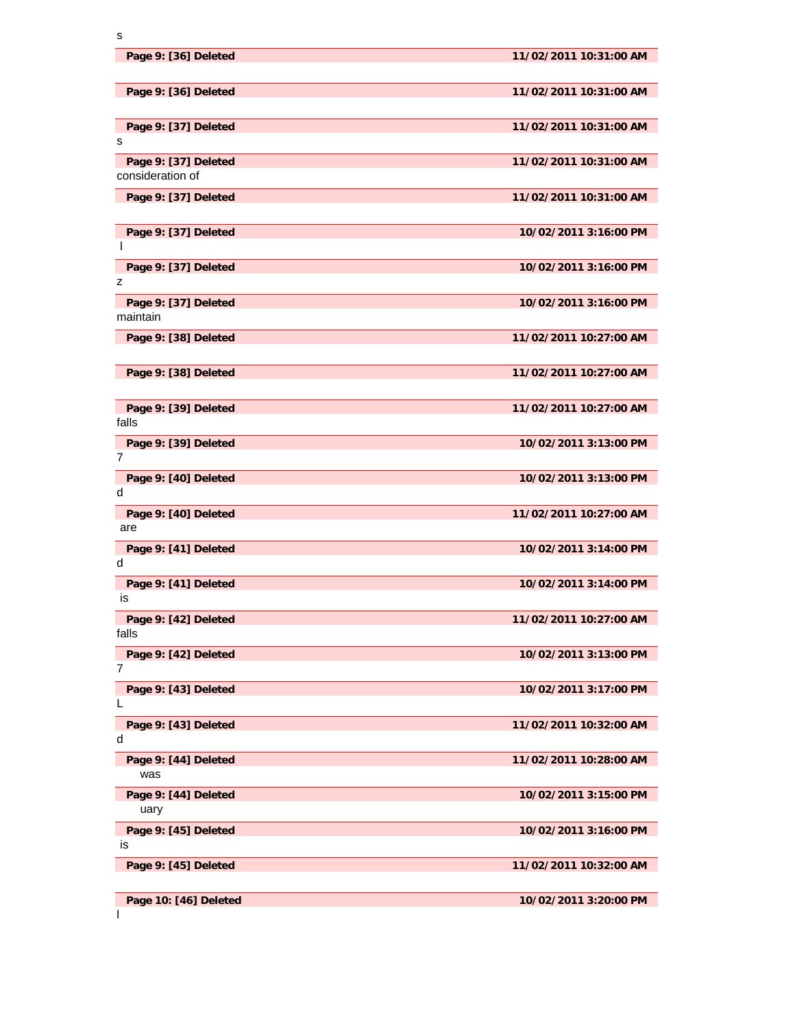| Page 9: [36] Deleted                     | 11/02/2011 10:31:00 AM |
|------------------------------------------|------------------------|
| Page 9: [36] Deleted                     | 11/02/2011 10:31:00 AM |
| Page 9: [37] Deleted                     | 11/02/2011 10:31:00 AM |
| s                                        |                        |
| Page 9: [37] Deleted<br>consideration of | 11/02/2011 10:31:00 AM |
| Page 9: [37] Deleted                     | 11/02/2011 10:31:00 AM |
| Page 9: [37] Deleted                     | 10/02/2011 3:16:00 PM  |
| T                                        |                        |
| Page 9: [37] Deleted<br>z                | 10/02/2011 3:16:00 PM  |
|                                          | 10/02/2011 3:16:00 PM  |
| Page 9: [37] Deleted<br>maintain         |                        |
| Page 9: [38] Deleted                     | 11/02/2011 10:27:00 AM |
|                                          |                        |
| Page 9: [38] Deleted                     | 11/02/2011 10:27:00 AM |
|                                          |                        |
| Page 9: [39] Deleted<br>falls            | 11/02/2011 10:27:00 AM |
| Page 9: [39] Deleted                     | 10/02/2011 3:13:00 PM  |
| 7                                        |                        |
| Page 9: [40] Deleted                     | 10/02/2011 3:13:00 PM  |
| d                                        |                        |
| Page 9: [40] Deleted<br>are              | 11/02/2011 10:27:00 AM |
| Page 9: [41] Deleted<br>d                | 10/02/2011 3:14:00 PM  |
| Page 9: [41] Deleted                     | 10/02/2011 3:14:00 PM  |
| is                                       |                        |
| Page 9: [42] Deleted<br>falls            | 11/02/2011 10:27:00 AM |
| Page 9: [42] Deleted                     | 10/02/2011 3:13:00 PM  |
| 7                                        |                        |
| Page 9: [43] Deleted<br>L                | 10/02/2011 3:17:00 PM  |
| Page 9: [43] Deleted                     | 11/02/2011 10:32:00 AM |
| d                                        |                        |
| Page 9: [44] Deleted                     | 11/02/2011 10:28:00 AM |
| was                                      |                        |
| Page 9: [44] Deleted<br>uary             | 10/02/2011 3:15:00 PM  |
| Page 9: [45] Deleted                     | 10/02/2011 3:16:00 PM  |
| is                                       |                        |
| Page 9: [45] Deleted                     | 11/02/2011 10:32:00 AM |
|                                          |                        |
| Page 10: [46] Deleted                    | 10/02/2011 3:20:00 PM  |
|                                          |                        |

s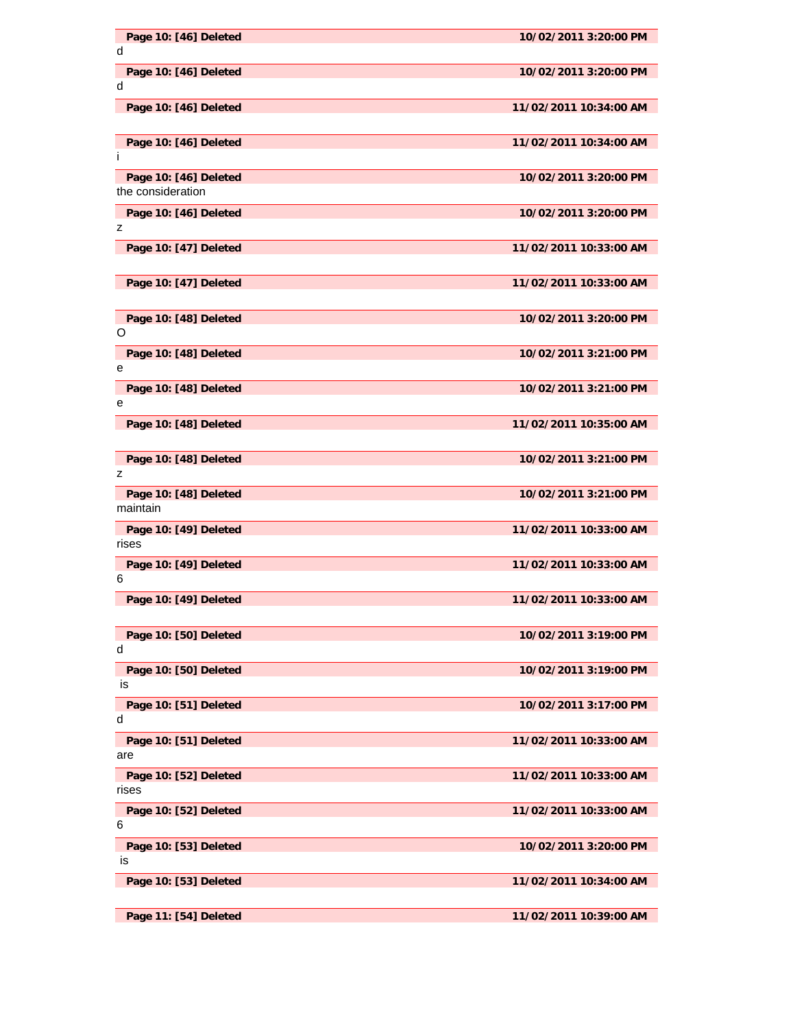| Page 10: [46] Deleted<br>d                 | 10/02/2011 3:20:00 PM  |
|--------------------------------------------|------------------------|
|                                            |                        |
| Page 10: [46] Deleted<br>d                 | 10/02/2011 3:20:00 PM  |
| Page 10: [46] Deleted                      | 11/02/2011 10:34:00 AM |
| Page 10: [46] Deleted<br>Ť                 | 11/02/2011 10:34:00 AM |
|                                            | 10/02/2011 3:20:00 PM  |
| Page 10: [46] Deleted<br>the consideration |                        |
| Page 10: [46] Deleted                      | 10/02/2011 3:20:00 PM  |
| z                                          |                        |
| Page 10: [47] Deleted                      | 11/02/2011 10:33:00 AM |
| Page 10: [47] Deleted                      | 11/02/2011 10:33:00 AM |
| Page 10: [48] Deleted<br>O                 | 10/02/2011 3:20:00 PM  |
| Page 10: [48] Deleted                      | 10/02/2011 3:21:00 PM  |
| е                                          |                        |
| Page 10: [48] Deleted<br>е                 | 10/02/2011 3:21:00 PM  |
| Page 10: [48] Deleted                      | 11/02/2011 10:35:00 AM |
| Page 10: [48] Deleted                      | 10/02/2011 3:21:00 PM  |
| z                                          |                        |
| Page 10: [48] Deleted<br>maintain          | 10/02/2011 3:21:00 PM  |
| Page 10: [49] Deleted<br>rises             | 11/02/2011 10:33:00 AM |
| Page 10: [49] Deleted<br>6                 | 11/02/2011 10:33:00 AM |
| Page 10: [49] Deleted                      | 11/02/2011 10:33:00 AM |
| Page 10: [50] Deleted<br>d                 | 10/02/2011 3:19:00 PM  |
| Page 10: [50] Deleted<br>is                | 10/02/2011 3:19:00 PM  |
| Page 10: [51] Deleted<br>d                 | 10/02/2011 3:17:00 PM  |
| Page 10: [51] Deleted<br>are               | 11/02/2011 10:33:00 AM |
| Page 10: [52] Deleted                      | 11/02/2011 10:33:00 AM |
| rises                                      |                        |
| Page 10: [52] Deleted<br>6                 | 11/02/2011 10:33:00 AM |
| Page 10: [53] Deleted                      | 10/02/2011 3:20:00 PM  |
| is                                         |                        |
| Page 10: [53] Deleted                      | 11/02/2011 10:34:00 AM |
| Page 11: [54] Deleted                      | 11/02/2011 10:39:00 AM |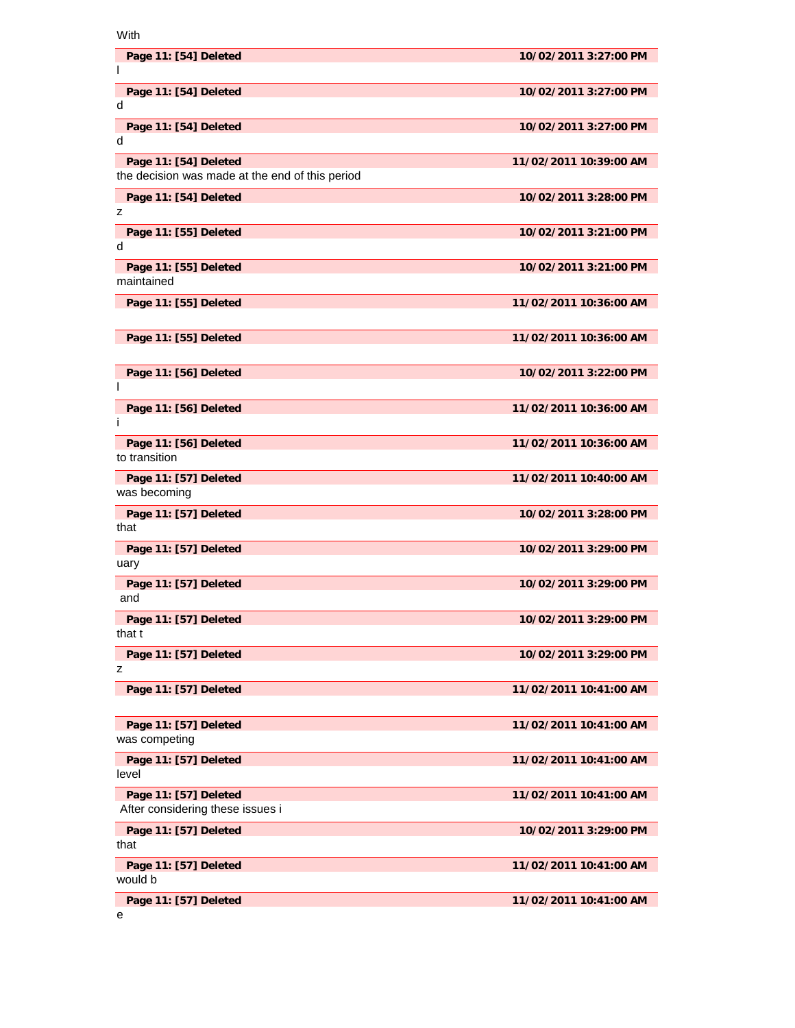With

| Page 11: [54] Deleted                                                    | 10/02/2011 3:27:00 PM  |
|--------------------------------------------------------------------------|------------------------|
| Page 11: [54] Deleted<br>d                                               | 10/02/2011 3:27:00 PM  |
| Page 11: [54] Deleted<br>d                                               | 10/02/2011 3:27:00 PM  |
| Page 11: [54] Deleted<br>the decision was made at the end of this period | 11/02/2011 10:39:00 AM |
| Page 11: [54] Deleted<br>z                                               | 10/02/2011 3:28:00 PM  |
| Page 11: [55] Deleted<br>d                                               | 10/02/2011 3:21:00 PM  |
| Page 11: [55] Deleted<br>maintained                                      | 10/02/2011 3:21:00 PM  |
| Page 11: [55] Deleted                                                    | 11/02/2011 10:36:00 AM |
| Page 11: [55] Deleted                                                    | 11/02/2011 10:36:00 AM |
| Page 11: [56] Deleted<br>I                                               | 10/02/2011 3:22:00 PM  |
| Page 11: [56] Deleted<br>Ť                                               | 11/02/2011 10:36:00 AM |
| Page 11: [56] Deleted<br>to transition                                   | 11/02/2011 10:36:00 AM |
| Page 11: [57] Deleted<br>was becoming                                    | 11/02/2011 10:40:00 AM |
| Page 11: [57] Deleted<br>that                                            | 10/02/2011 3:28:00 PM  |
| Page 11: [57] Deleted<br>uary                                            | 10/02/2011 3:29:00 PM  |
| Page 11: [57] Deleted<br>and                                             | 10/02/2011 3:29:00 PM  |
| Page 11: [57] Deleted<br>that t                                          | 10/02/2011 3:29:00 PM  |
| Page 11: [57] Deleted<br>z                                               | 10/02/2011 3:29:00 PM  |
| Page 11: [57] Deleted                                                    | 11/02/2011 10:41:00 AM |
| Page 11: [57] Deleted<br>was competing                                   | 11/02/2011 10:41:00 AM |
| Page 11: [57] Deleted<br>level                                           | 11/02/2011 10:41:00 AM |
| Page 11: [57] Deleted<br>After considering these issues i                | 11/02/2011 10:41:00 AM |
| Page 11: [57] Deleted<br>that                                            | 10/02/2011 3:29:00 PM  |
| Page 11: [57] Deleted<br>would b                                         | 11/02/2011 10:41:00 AM |
| Page 11: [57] Deleted                                                    | 11/02/2011 10:41:00 AM |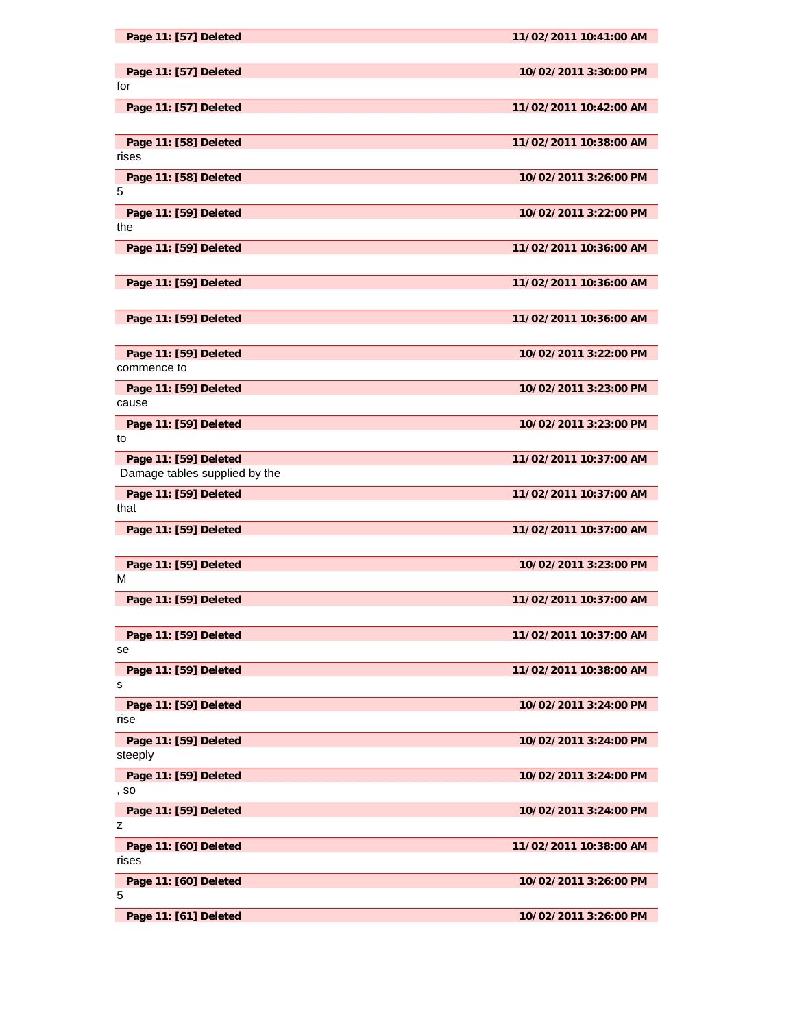| Page 11: [57] Deleted                                  | 11/02/2011 10:41:00 AM |
|--------------------------------------------------------|------------------------|
| Page 11: [57] Deleted<br>for                           | 10/02/2011 3:30:00 PM  |
| Page 11: [57] Deleted                                  | 11/02/2011 10:42:00 AM |
| Page 11: [58] Deleted<br>rises                         | 11/02/2011 10:38:00 AM |
| Page 11: [58] Deleted<br>5                             | 10/02/2011 3:26:00 PM  |
| Page 11: [59] Deleted<br>the                           | 10/02/2011 3:22:00 PM  |
| Page 11: [59] Deleted                                  | 11/02/2011 10:36:00 AM |
| Page 11: [59] Deleted                                  | 11/02/2011 10:36:00 AM |
| Page 11: [59] Deleted                                  | 11/02/2011 10:36:00 AM |
| Page 11: [59] Deleted<br>commence to                   | 10/02/2011 3:22:00 PM  |
| Page 11: [59] Deleted<br>cause                         | 10/02/2011 3:23:00 PM  |
| Page 11: [59] Deleted<br>to                            | 10/02/2011 3:23:00 PM  |
| Page 11: [59] Deleted<br>Damage tables supplied by the | 11/02/2011 10:37:00 AM |
| Page 11: [59] Deleted<br>that                          | 11/02/2011 10:37:00 AM |
| Page 11: [59] Deleted                                  | 11/02/2011 10:37:00 AM |
| Page 11: [59] Deleted<br>м                             | 10/02/2011 3:23:00 PM  |
| Page 11: [59] Deleted                                  | 11/02/2011 10:37:00 AM |
| Page 11: [59] Deleted<br>se                            | 11/02/2011 10:37:00 AM |
| Page 11: [59] Deleted<br>s                             | 11/02/2011 10:38:00 AM |
| Page 11: [59] Deleted<br>rise                          | 10/02/2011 3:24:00 PM  |
| Page 11: [59] Deleted<br>steeply                       | 10/02/2011 3:24:00 PM  |
| Page 11: [59] Deleted<br>, so                          | 10/02/2011 3:24:00 PM  |
| Page 11: [59] Deleted<br>z                             | 10/02/2011 3:24:00 PM  |
| Page 11: [60] Deleted<br>rises                         | 11/02/2011 10:38:00 AM |
| Page 11: [60] Deleted<br>5                             | 10/02/2011 3:26:00 PM  |
| Page 11: [61] Deleted                                  | 10/02/2011 3:26:00 PM  |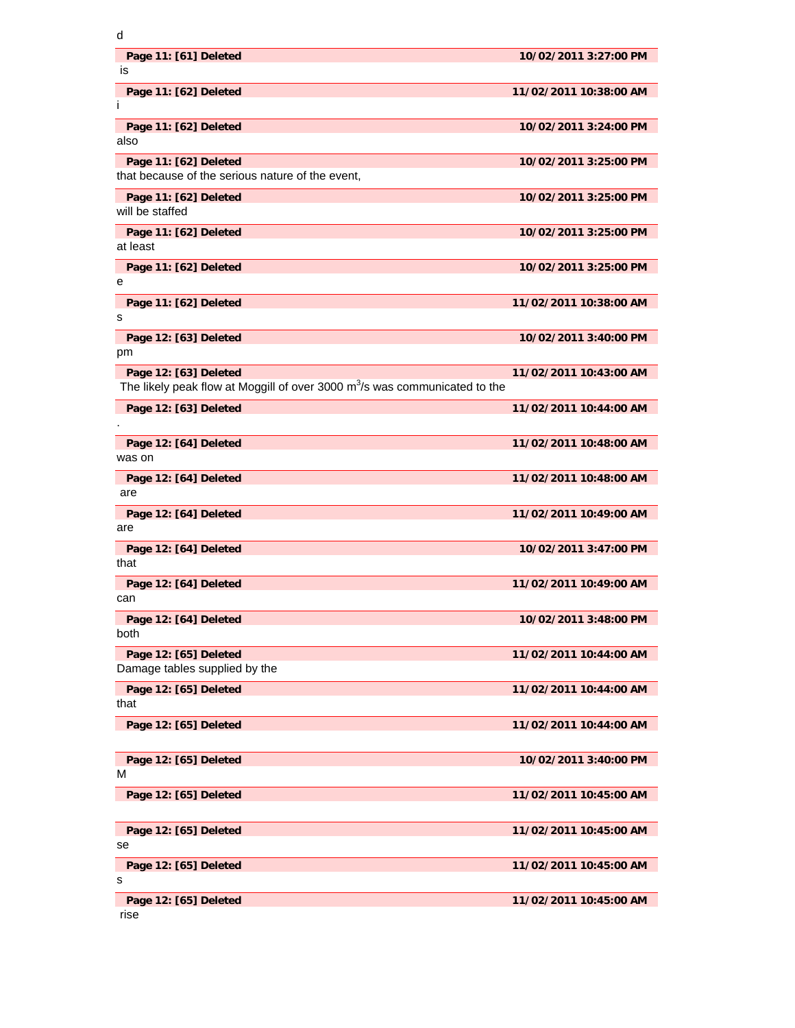| ۰<br>٠ |
|--------|
|        |
|        |
|        |
|        |

| Page 11: [61] Deleted<br>is<br>Page 11: [62] Deleted<br>п<br>Page 11: [62] Deleted<br>also<br>Page 11: [62] Deleted | 10/02/2011 3:27:00 PM<br>11/02/2011 10:38:00 AM<br>10/02/2011 3:24:00 PM |
|---------------------------------------------------------------------------------------------------------------------|--------------------------------------------------------------------------|
|                                                                                                                     |                                                                          |
|                                                                                                                     |                                                                          |
|                                                                                                                     |                                                                          |
| that because of the serious nature of the event,                                                                    | 10/02/2011 3:25:00 PM                                                    |
| Page 11: [62] Deleted<br>will be staffed                                                                            | 10/02/2011 3:25:00 PM                                                    |
| Page 11: [62] Deleted<br>at least                                                                                   | 10/02/2011 3:25:00 PM                                                    |
| Page 11: [62] Deleted<br>е                                                                                          | 10/02/2011 3:25:00 PM                                                    |
| Page 11: [62] Deleted<br>s                                                                                          | 11/02/2011 10:38:00 AM                                                   |
| Page 12: [63] Deleted<br>pm                                                                                         | 10/02/2011 3:40:00 PM                                                    |
| Page 12: [63] Deleted<br>The likely peak flow at Moggill of over 3000 $m3/s$ was communicated to the                | 11/02/2011 10:43:00 AM                                                   |
| Page 12: [63] Deleted                                                                                               | 11/02/2011 10:44:00 AM                                                   |
| Page 12: [64] Deleted<br>was on                                                                                     | 11/02/2011 10:48:00 AM                                                   |
| Page 12: [64] Deleted<br>are                                                                                        | 11/02/2011 10:48:00 AM                                                   |
| Page 12: [64] Deleted<br>are                                                                                        | 11/02/2011 10:49:00 AM                                                   |
| Page 12: [64] Deleted<br>that                                                                                       | 10/02/2011 3:47:00 PM                                                    |
| Page 12: [64] Deleted<br>can                                                                                        | 11/02/2011 10:49:00 AM                                                   |
| Page 12: [64] Deleted<br>both                                                                                       | 10/02/2011 3:48:00 PM                                                    |
| Page 12: [65] Deleted<br>Damage tables supplied by the                                                              | 11/02/2011 10:44:00 AM                                                   |
| Page 12: [65] Deleted<br>that                                                                                       | 11/02/2011 10:44:00 AM                                                   |
| Page 12: [65] Deleted                                                                                               | 11/02/2011 10:44:00 AM                                                   |
| Page 12: [65] Deleted<br>м                                                                                          | 10/02/2011 3:40:00 PM                                                    |
| Page 12: [65] Deleted                                                                                               | 11/02/2011 10:45:00 AM                                                   |
| Page 12: [65] Deleted                                                                                               | 11/02/2011 10:45:00 AM                                                   |
| se                                                                                                                  |                                                                          |
| Page 12: [65] Deleted<br>s                                                                                          | 11/02/2011 10:45:00 AM                                                   |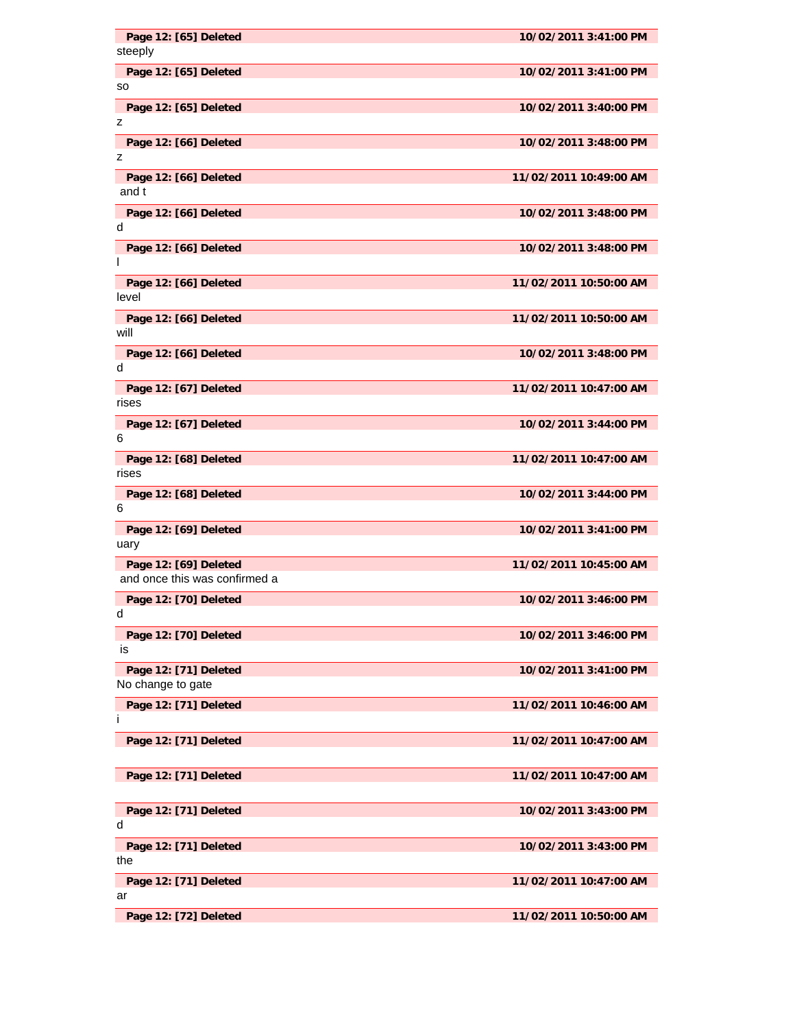| Page 12: [65] Deleted<br>steeply                       | 10/02/2011 3:41:00 PM  |
|--------------------------------------------------------|------------------------|
| Page 12: [65] Deleted<br>so                            | 10/02/2011 3:41:00 PM  |
| Page 12: [65] Deleted<br>z                             | 10/02/2011 3:40:00 PM  |
| Page 12: [66] Deleted<br>z                             | 10/02/2011 3:48:00 PM  |
| Page 12: [66] Deleted<br>and t                         | 11/02/2011 10:49:00 AM |
| Page 12: [66] Deleted<br>d                             | 10/02/2011 3:48:00 PM  |
| Page 12: [66] Deleted<br>I.                            | 10/02/2011 3:48:00 PM  |
| Page 12: [66] Deleted<br>level                         | 11/02/2011 10:50:00 AM |
| Page 12: [66] Deleted<br>will                          | 11/02/2011 10:50:00 AM |
| Page 12: [66] Deleted<br>d                             | 10/02/2011 3:48:00 PM  |
| Page 12: [67] Deleted<br>rises                         | 11/02/2011 10:47:00 AM |
| Page 12: [67] Deleted<br>6                             | 10/02/2011 3:44:00 PM  |
| Page 12: [68] Deleted<br>rises                         | 11/02/2011 10:47:00 AM |
| Page 12: [68] Deleted<br>6                             | 10/02/2011 3:44:00 PM  |
| Page 12: [69] Deleted<br>uary                          | 10/02/2011 3:41:00 PM  |
| Page 12: [69] Deleted<br>and once this was confirmed a | 11/02/2011 10:45:00 AM |
| Page 12: [70] Deleted<br>d                             | 10/02/2011 3:46:00 PM  |
| Page 12: [70] Deleted<br>is                            | 10/02/2011 3:46:00 PM  |
| Page 12: [71] Deleted<br>No change to gate             | 10/02/2011 3:41:00 PM  |
| Page 12: [71] Deleted<br>Ť                             | 11/02/2011 10:46:00 AM |
| Page 12: [71] Deleted                                  | 11/02/2011 10:47:00 AM |
| Page 12: [71] Deleted                                  | 11/02/2011 10:47:00 AM |
| Page 12: [71] Deleted<br>d                             | 10/02/2011 3:43:00 PM  |
| Page 12: [71] Deleted<br>the                           | 10/02/2011 3:43:00 PM  |
| Page 12: [71] Deleted<br>ar                            | 11/02/2011 10:47:00 AM |
|                                                        |                        |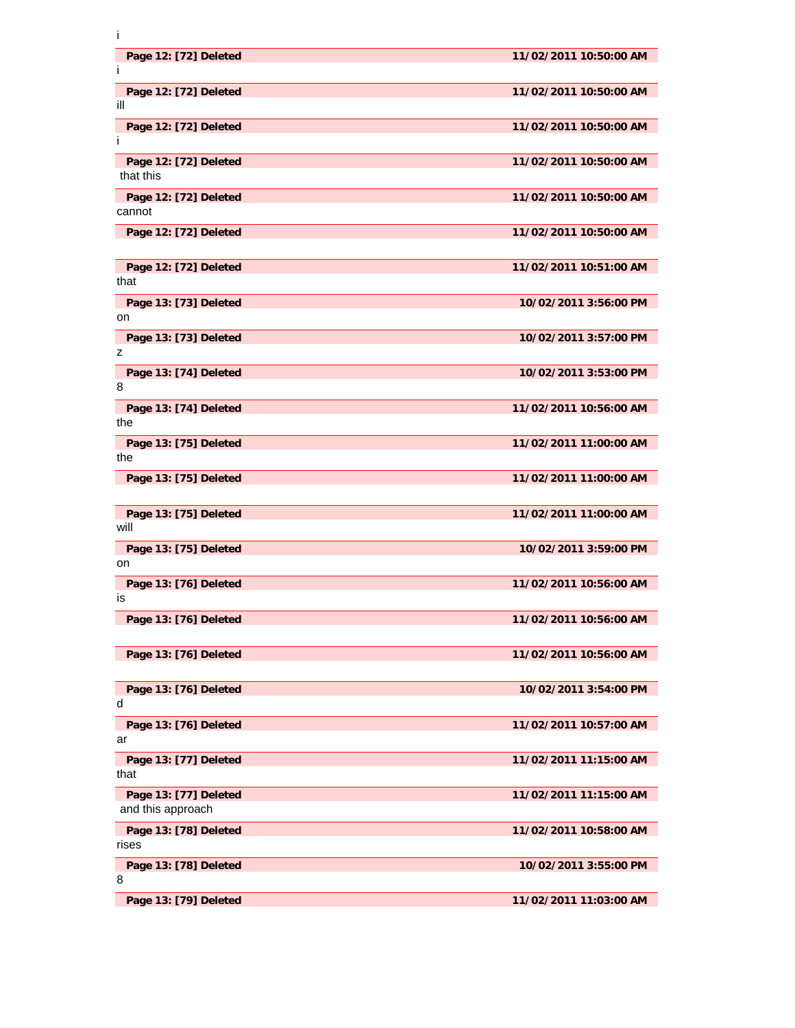| T                               |                        |
|---------------------------------|------------------------|
| Page 12: [72] Deleted           | 11/02/2011 10:50:00 AM |
| L                               |                        |
| Page 12: [72] Deleted<br>ill    | 11/02/2011 10:50:00 AM |
| Page 12: [72] Deleted           | 11/02/2011 10:50:00 AM |
| Ť                               |                        |
| Page 12: [72] Deleted           | 11/02/2011 10:50:00 AM |
| that this                       |                        |
| Page 12: [72] Deleted<br>cannot | 11/02/2011 10:50:00 AM |
| Page 12: [72] Deleted           | 11/02/2011 10:50:00 AM |
|                                 |                        |
| Page 12: [72] Deleted           | 11/02/2011 10:51:00 AM |
| that                            |                        |
| Page 13: [73] Deleted<br>on     | 10/02/2011 3:56:00 PM  |
| Page 13: [73] Deleted           | 10/02/2011 3:57:00 PM  |
| z                               |                        |
| Page 13: [74] Deleted<br>8      | 10/02/2011 3:53:00 PM  |
| Page 13: [74] Deleted           | 11/02/2011 10:56:00 AM |
| the                             |                        |
| Page 13: [75] Deleted           | 11/02/2011 11:00:00 AM |
| the                             |                        |
| Page 13: [75] Deleted           | 11/02/2011 11:00:00 AM |
| Page 13: [75] Deleted           | 11/02/2011 11:00:00 AM |
| will                            |                        |
| Page 13: [75] Deleted           | 10/02/2011 3:59:00 PM  |
| on                              |                        |
| Page 13: [76] Deleted<br>is     | 11/02/2011 10:56:00 AM |
| Page 13: [76] Deleted           | 11/02/2011 10:56:00 AM |
|                                 |                        |
| Page 13: [76] Deleted           | 11/02/2011 10:56:00 AM |
| Page 13: [76] Deleted           | 10/02/2011 3:54:00 PM  |
| d                               |                        |
| Page 13: [76] Deleted           | 11/02/2011 10:57:00 AM |
| ar                              |                        |
| Page 13: [77] Deleted<br>that   | 11/02/2011 11:15:00 AM |
| Page 13: [77] Deleted           | 11/02/2011 11:15:00 AM |
| and this approach               |                        |
| Page 13: [78] Deleted           | 11/02/2011 10:58:00 AM |
| rises                           |                        |
| Page 13: [78] Deleted<br>8      | 10/02/2011 3:55:00 PM  |
| Page 13: [79] Deleted           | 11/02/2011 11:03:00 AM |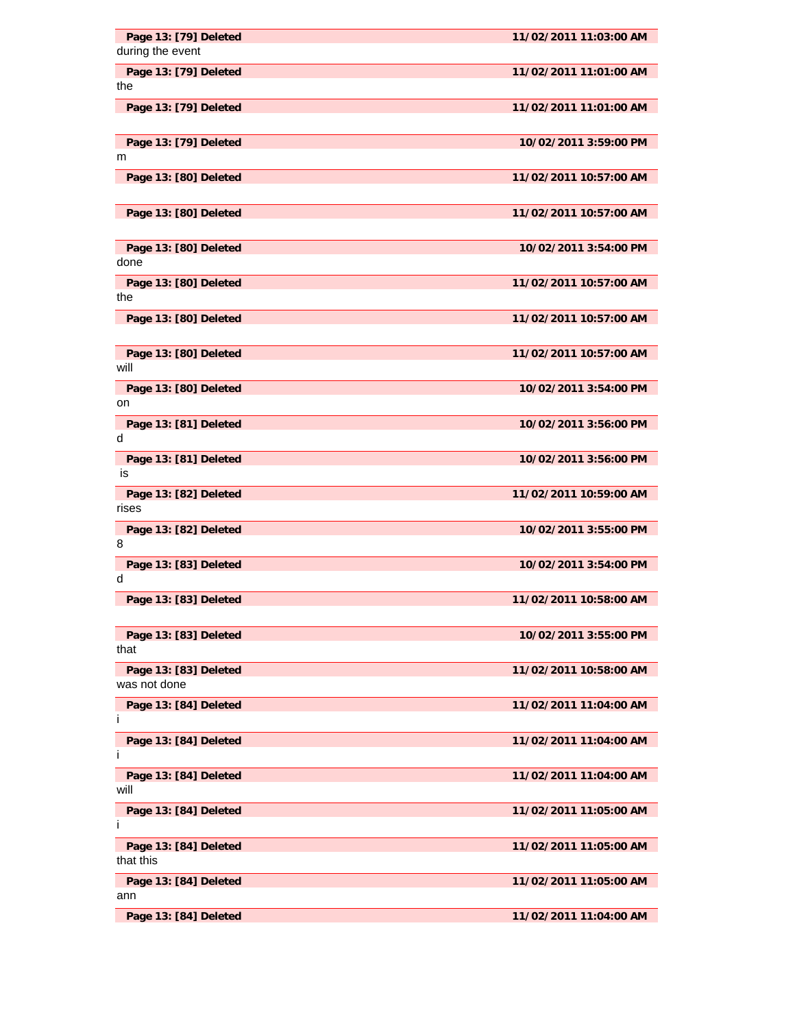| Page 13: [79] Deleted<br>during the event | 11/02/2011 11:03:00 AM |
|-------------------------------------------|------------------------|
| Page 13: [79] Deleted                     | 11/02/2011 11:01:00 AM |
| the                                       |                        |
| Page 13: [79] Deleted                     | 11/02/2011 11:01:00 AM |
| Page 13: [79] Deleted                     | 10/02/2011 3:59:00 PM  |
| m                                         |                        |
| Page 13: [80] Deleted                     | 11/02/2011 10:57:00 AM |
| Page 13: [80] Deleted                     | 11/02/2011 10:57:00 AM |
| Page 13: [80] Deleted<br>done             | 10/02/2011 3:54:00 PM  |
| Page 13: [80] Deleted<br>the              | 11/02/2011 10:57:00 AM |
| Page 13: [80] Deleted                     | 11/02/2011 10:57:00 AM |
| Page 13: [80] Deleted<br>will             | 11/02/2011 10:57:00 AM |
| Page 13: [80] Deleted<br>on               | 10/02/2011 3:54:00 PM  |
| Page 13: [81] Deleted<br>d                | 10/02/2011 3:56:00 PM  |
| Page 13: [81] Deleted<br>is               | 10/02/2011 3:56:00 PM  |
| Page 13: [82] Deleted<br>rises            | 11/02/2011 10:59:00 AM |
| Page 13: [82] Deleted<br>8                | 10/02/2011 3:55:00 PM  |
| Page 13: [83] Deleted<br>d                | 10/02/2011 3:54:00 PM  |
| Page 13: [83] Deleted                     | 11/02/2011 10:58:00 AM |
| Page 13: [83] Deleted<br>that             | 10/02/2011 3:55:00 PM  |
| Page 13: [83] Deleted<br>was not done     | 11/02/2011 10:58:00 AM |
| Page 13: [84] Deleted<br>Ť                | 11/02/2011 11:04:00 AM |
| Page 13: [84] Deleted<br>Ť                | 11/02/2011 11:04:00 AM |
| Page 13: [84] Deleted<br>will             | 11/02/2011 11:04:00 AM |
| Page 13: [84] Deleted<br>T                | 11/02/2011 11:05:00 AM |
| Page 13: [84] Deleted<br>that this        | 11/02/2011 11:05:00 AM |
| Page 13: [84] Deleted<br>ann              | 11/02/2011 11:05:00 AM |
| Page 13: [84] Deleted                     | 11/02/2011 11:04:00 AM |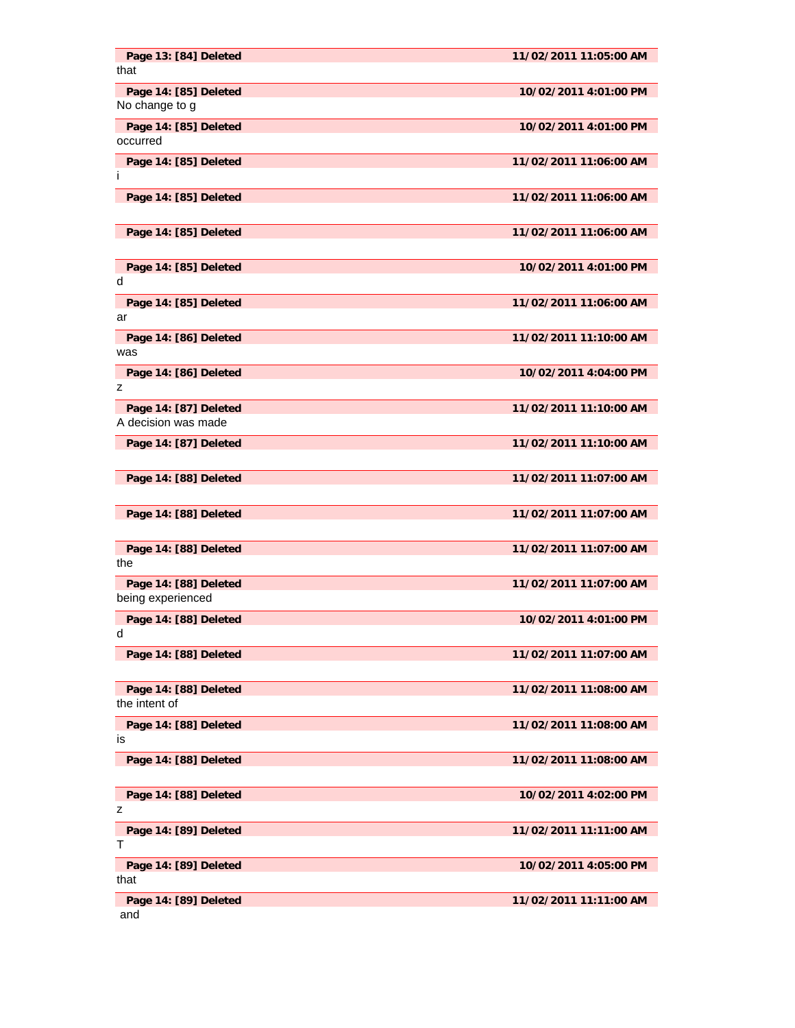| Page 13: [84] Deleted<br>that                | 11/02/2011 11:05:00 AM |
|----------------------------------------------|------------------------|
| Page 14: [85] Deleted<br>No change to g      | 10/02/2011 4:01:00 PM  |
| Page 14: [85] Deleted<br>occurred            | 10/02/2011 4:01:00 PM  |
| Page 14: [85] Deleted<br>Ť                   | 11/02/2011 11:06:00 AM |
| Page 14: [85] Deleted                        | 11/02/2011 11:06:00 AM |
| Page 14: [85] Deleted                        | 11/02/2011 11:06:00 AM |
| Page 14: [85] Deleted<br>d                   | 10/02/2011 4:01:00 PM  |
| Page 14: [85] Deleted<br>ar                  | 11/02/2011 11:06:00 AM |
| Page 14: [86] Deleted<br>was                 | 11/02/2011 11:10:00 AM |
| Page 14: [86] Deleted<br>z                   | 10/02/2011 4:04:00 PM  |
| Page 14: [87] Deleted<br>A decision was made | 11/02/2011 11:10:00 AM |
| Page 14: [87] Deleted                        | 11/02/2011 11:10:00 AM |
| Page 14: [88] Deleted                        | 11/02/2011 11:07:00 AM |
| Page 14: [88] Deleted                        | 11/02/2011 11:07:00 AM |
| Page 14: [88] Deleted<br>the                 | 11/02/2011 11:07:00 AM |
| Page 14: [88] Deleted<br>being experienced   | 11/02/2011 11:07:00 AM |
| Page 14: [88] Deleted<br>d                   | 10/02/2011 4:01:00 PM  |
| Page 14: [88] Deleted                        | 11/02/2011 11:07:00 AM |
| Page 14: [88] Deleted<br>the intent of       | 11/02/2011 11:08:00 AM |
| Page 14: [88] Deleted<br>is                  | 11/02/2011 11:08:00 AM |
| Page 14: [88] Deleted                        | 11/02/2011 11:08:00 AM |
| Page 14: [88] Deleted<br>z                   | 10/02/2011 4:02:00 PM  |
| Page 14: [89] Deleted<br>т                   | 11/02/2011 11:11:00 AM |
| Page 14: [89] Deleted<br>that                | 10/02/2011 4:05:00 PM  |
| Page 14: [89] Deleted<br>and                 | 11/02/2011 11:11:00 AM |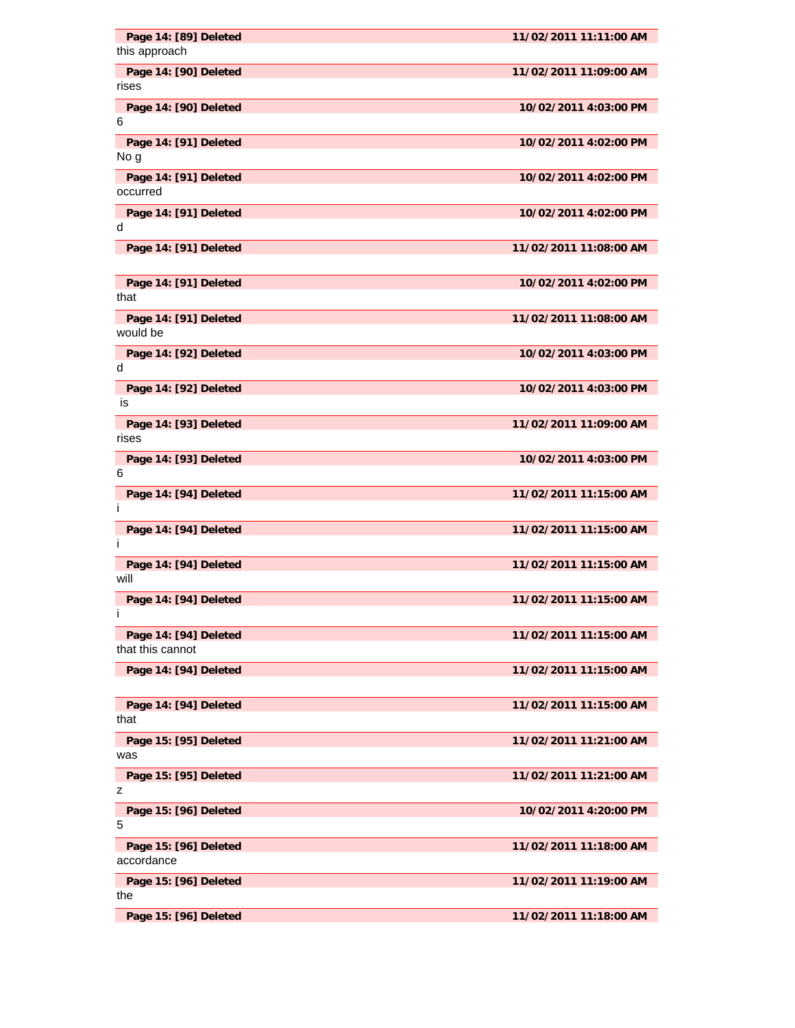| Page 14: [89] Deleted<br>this approach    | 11/02/2011 11:11:00 AM |
|-------------------------------------------|------------------------|
| Page 14: [90] Deleted<br>rises            | 11/02/2011 11:09:00 AM |
| Page 14: [90] Deleted<br>6                | 10/02/2011 4:03:00 PM  |
| Page 14: [91] Deleted                     | 10/02/2011 4:02:00 PM  |
| No g<br>Page 14: [91] Deleted             | 10/02/2011 4:02:00 PM  |
| occurred<br>Page 14: [91] Deleted         | 10/02/2011 4:02:00 PM  |
| d<br>Page 14: [91] Deleted                | 11/02/2011 11:08:00 AM |
|                                           |                        |
| Page 14: [91] Deleted<br>that             | 10/02/2011 4:02:00 PM  |
| Page 14: [91] Deleted<br>would be         | 11/02/2011 11:08:00 AM |
| Page 14: [92] Deleted<br>d                | 10/02/2011 4:03:00 PM  |
| Page 14: [92] Deleted<br>is               | 10/02/2011 4:03:00 PM  |
| Page 14: [93] Deleted<br>rises            | 11/02/2011 11:09:00 AM |
| Page 14: [93] Deleted                     | 10/02/2011 4:03:00 PM  |
| 6<br>Page 14: [94] Deleted                | 11/02/2011 11:15:00 AM |
| j.<br>Page 14: [94] Deleted               | 11/02/2011 11:15:00 AM |
| i<br>Page 14: [94] Deleted                | 11/02/2011 11:15:00 AM |
| will<br>Page 14: [94] Deleted             | 11/02/2011 11:15:00 AM |
|                                           |                        |
| Page 14: [94] Deleted<br>that this cannot | 11/02/2011 11:15:00 AM |
| Page 14: [94] Deleted                     | 11/02/2011 11:15:00 AM |
| Page 14: [94] Deleted<br>that             | 11/02/2011 11:15:00 AM |
| Page 15: [95] Deleted<br>was              | 11/02/2011 11:21:00 AM |
| Page 15: [95] Deleted<br>z                | 11/02/2011 11:21:00 AM |
| Page 15: [96] Deleted<br>5                | 10/02/2011 4:20:00 PM  |
| Page 15: [96] Deleted<br>accordance       | 11/02/2011 11:18:00 AM |
| Page 15: [96] Deleted<br>the              | 11/02/2011 11:19:00 AM |
| Page 15: [96] Deleted                     | 11/02/2011 11:18:00 AM |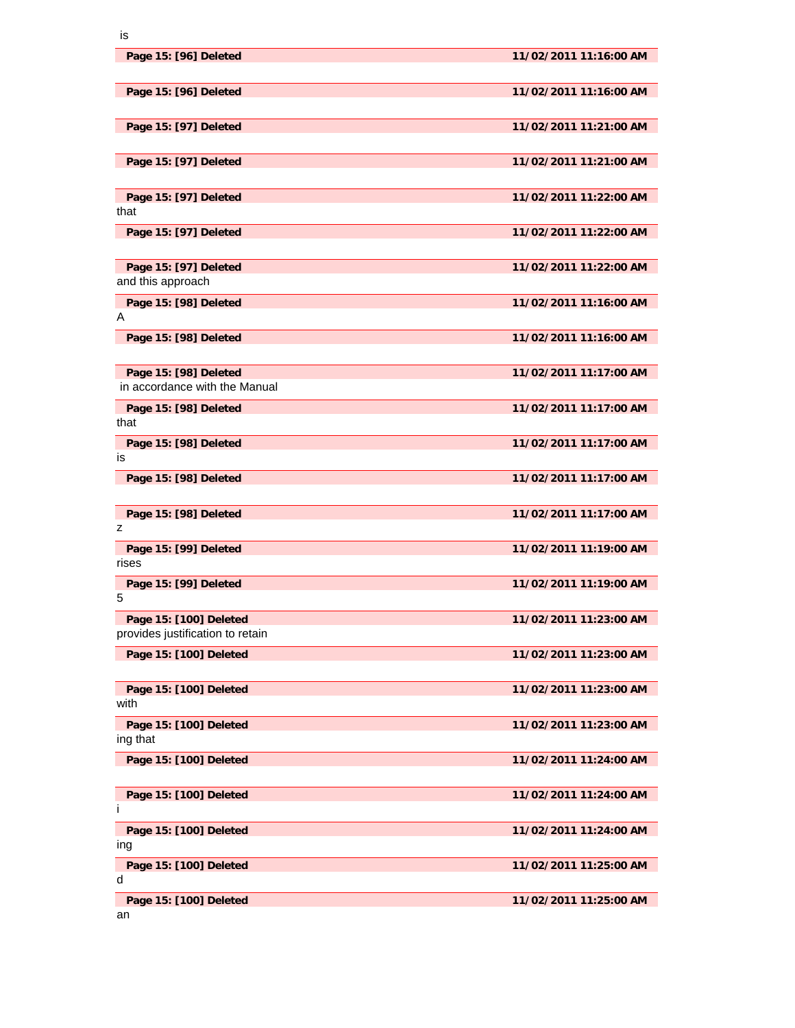| ł<br>×<br>M.<br>۰. |
|--------------------|

| Page 15: [96] Deleted                                      | 11/02/2011 11:16:00 AM |
|------------------------------------------------------------|------------------------|
| Page 15: [96] Deleted                                      | 11/02/2011 11:16:00 AM |
| Page 15: [97] Deleted                                      | 11/02/2011 11:21:00 AM |
| Page 15: [97] Deleted                                      | 11/02/2011 11:21:00 AM |
| Page 15: [97] Deleted<br>that                              | 11/02/2011 11:22:00 AM |
| Page 15: [97] Deleted                                      | 11/02/2011 11:22:00 AM |
| Page 15: [97] Deleted<br>and this approach                 | 11/02/2011 11:22:00 AM |
| Page 15: [98] Deleted<br>A                                 | 11/02/2011 11:16:00 AM |
| Page 15: [98] Deleted                                      | 11/02/2011 11:16:00 AM |
| Page 15: [98] Deleted<br>in accordance with the Manual     | 11/02/2011 11:17:00 AM |
| Page 15: [98] Deleted<br>that                              | 11/02/2011 11:17:00 AM |
| Page 15: [98] Deleted<br>is                                | 11/02/2011 11:17:00 AM |
| Page 15: [98] Deleted                                      | 11/02/2011 11:17:00 AM |
| Page 15: [98] Deleted<br>z                                 | 11/02/2011 11:17:00 AM |
| Page 15: [99] Deleted<br>rises                             | 11/02/2011 11:19:00 AM |
| Page 15: [99] Deleted<br>5                                 | 11/02/2011 11:19:00 AM |
| Page 15: [100] Deleted<br>provides justification to retain | 11/02/2011 11:23:00 AM |
| Page 15: [100] Deleted                                     | 11/02/2011 11:23:00 AM |
| Page 15: [100] Deleted<br>with                             | 11/02/2011 11:23:00 AM |
| Page 15: [100] Deleted<br>ing that                         | 11/02/2011 11:23:00 AM |
| Page 15: [100] Deleted                                     | 11/02/2011 11:24:00 AM |
| Page 15: [100] Deleted<br>Ť                                | 11/02/2011 11:24:00 AM |
| Page 15: [100] Deleted<br>ing                              | 11/02/2011 11:24:00 AM |
| Page 15: [100] Deleted<br>d                                | 11/02/2011 11:25:00 AM |
| Page 15: [100] Deleted<br>an                               | 11/02/2011 11:25:00 AM |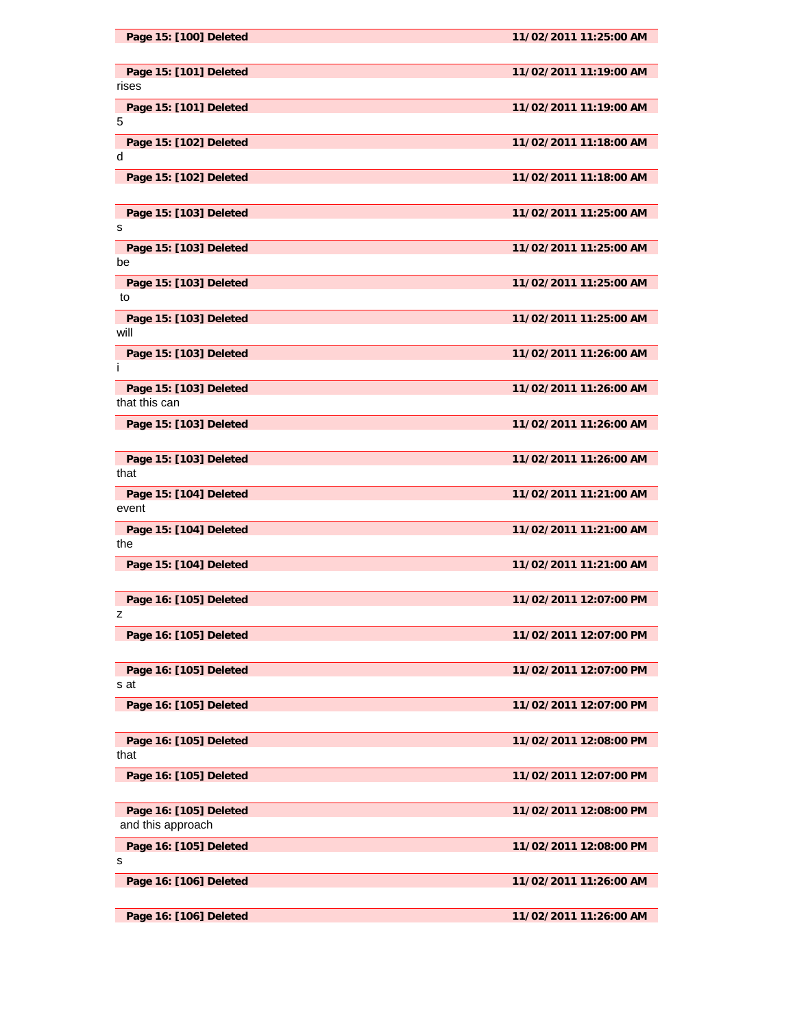| Page 15: [100] Deleted                      | 11/02/2011 11:25:00 AM |
|---------------------------------------------|------------------------|
| Page 15: [101] Deleted<br>rises             | 11/02/2011 11:19:00 AM |
| Page 15: [101] Deleted<br>5                 | 11/02/2011 11:19:00 AM |
| Page 15: [102] Deleted<br>d                 | 11/02/2011 11:18:00 AM |
| Page 15: [102] Deleted                      | 11/02/2011 11:18:00 AM |
| Page 15: [103] Deleted<br>s                 | 11/02/2011 11:25:00 AM |
| Page 15: [103] Deleted<br>be                | 11/02/2011 11:25:00 AM |
| Page 15: [103] Deleted<br>to                | 11/02/2011 11:25:00 AM |
| Page 15: [103] Deleted<br>will              | 11/02/2011 11:25:00 AM |
| Page 15: [103] Deleted<br>Ť                 | 11/02/2011 11:26:00 AM |
| Page 15: [103] Deleted<br>that this can     | 11/02/2011 11:26:00 AM |
| Page 15: [103] Deleted                      | 11/02/2011 11:26:00 AM |
| Page 15: [103] Deleted<br>that              | 11/02/2011 11:26:00 AM |
| Page 15: [104] Deleted<br>event             | 11/02/2011 11:21:00 AM |
| Page 15: [104] Deleted<br>the               | 11/02/2011 11:21:00 AM |
| Page 15: [104] Deleted                      | 11/02/2011 11:21:00 AM |
| Page 16: [105] Deleted<br>z                 | 11/02/2011 12:07:00 PM |
| Page 16: [105] Deleted                      | 11/02/2011 12:07:00 PM |
| Page 16: [105] Deleted<br>s at              | 11/02/2011 12:07:00 PM |
| Page 16: [105] Deleted                      | 11/02/2011 12:07:00 PM |
| Page 16: [105] Deleted<br>that              | 11/02/2011 12:08:00 PM |
| Page 16: [105] Deleted                      | 11/02/2011 12:07:00 PM |
| Page 16: [105] Deleted<br>and this approach | 11/02/2011 12:08:00 PM |
| Page 16: [105] Deleted<br>s                 | 11/02/2011 12:08:00 PM |
| Page 16: [106] Deleted                      | 11/02/2011 11:26:00 AM |
| Page 16: [106] Deleted                      | 11/02/2011 11:26:00 AM |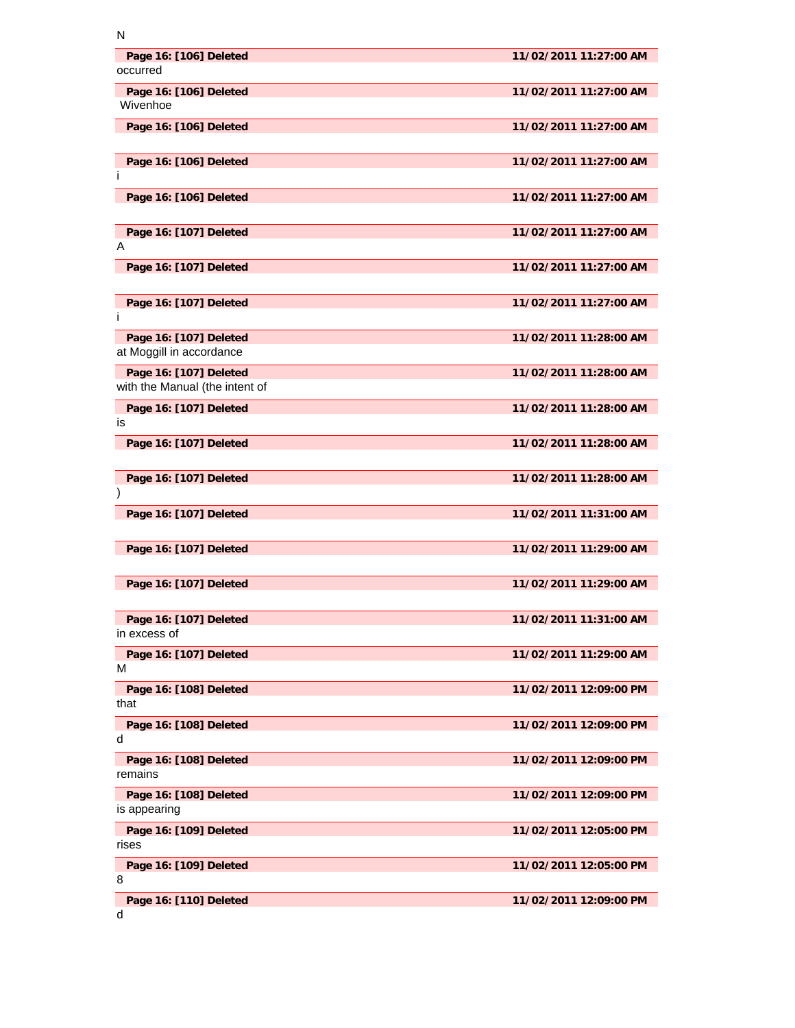| N                                                        |                        |
|----------------------------------------------------------|------------------------|
| Page 16: [106] Deleted<br>occurred                       | 11/02/2011 11:27:00 AM |
| Page 16: [106] Deleted<br>Wivenhoe                       | 11/02/2011 11:27:00 AM |
| Page 16: [106] Deleted                                   | 11/02/2011 11:27:00 AM |
| Page 16: [106] Deleted<br>Ť                              | 11/02/2011 11:27:00 AM |
| Page 16: [106] Deleted                                   | 11/02/2011 11:27:00 AM |
| Page 16: [107] Deleted<br>A                              | 11/02/2011 11:27:00 AM |
| Page 16: [107] Deleted                                   | 11/02/2011 11:27:00 AM |
| Page 16: [107] Deleted<br>Ť                              | 11/02/2011 11:27:00 AM |
| Page 16: [107] Deleted<br>at Moggill in accordance       | 11/02/2011 11:28:00 AM |
| Page 16: [107] Deleted<br>with the Manual (the intent of | 11/02/2011 11:28:00 AM |
| Page 16: [107] Deleted<br>is                             | 11/02/2011 11:28:00 AM |
| Page 16: [107] Deleted                                   | 11/02/2011 11:28:00 AM |
| Page 16: [107] Deleted<br>$\mathcal{E}$                  | 11/02/2011 11:28:00 AM |
| Page 16: [107] Deleted                                   | 11/02/2011 11:31:00 AM |
| Page 16: [107] Deleted                                   | 11/02/2011 11:29:00 AM |
| Page 16: [107] Deleted                                   | 11/02/2011 11:29:00 AM |
| Page 16: [107] Deleted<br>in excess of                   | 11/02/2011 11:31:00 AM |
| Page 16: [107] Deleted<br>м                              | 11/02/2011 11:29:00 AM |
| Page 16: [108] Deleted<br>that                           | 11/02/2011 12:09:00 PM |
| Page 16: [108] Deleted<br>d                              | 11/02/2011 12:09:00 PM |
| Page 16: [108] Deleted<br>remains                        | 11/02/2011 12:09:00 PM |
| Page 16: [108] Deleted<br>is appearing                   | 11/02/2011 12:09:00 PM |
| Page 16: [109] Deleted<br>rises                          | 11/02/2011 12:05:00 PM |
| Page 16: [109] Deleted<br>8                              | 11/02/2011 12:05:00 PM |
| Page 16: [110] Deleted                                   | 11/02/2011 12:09:00 PM |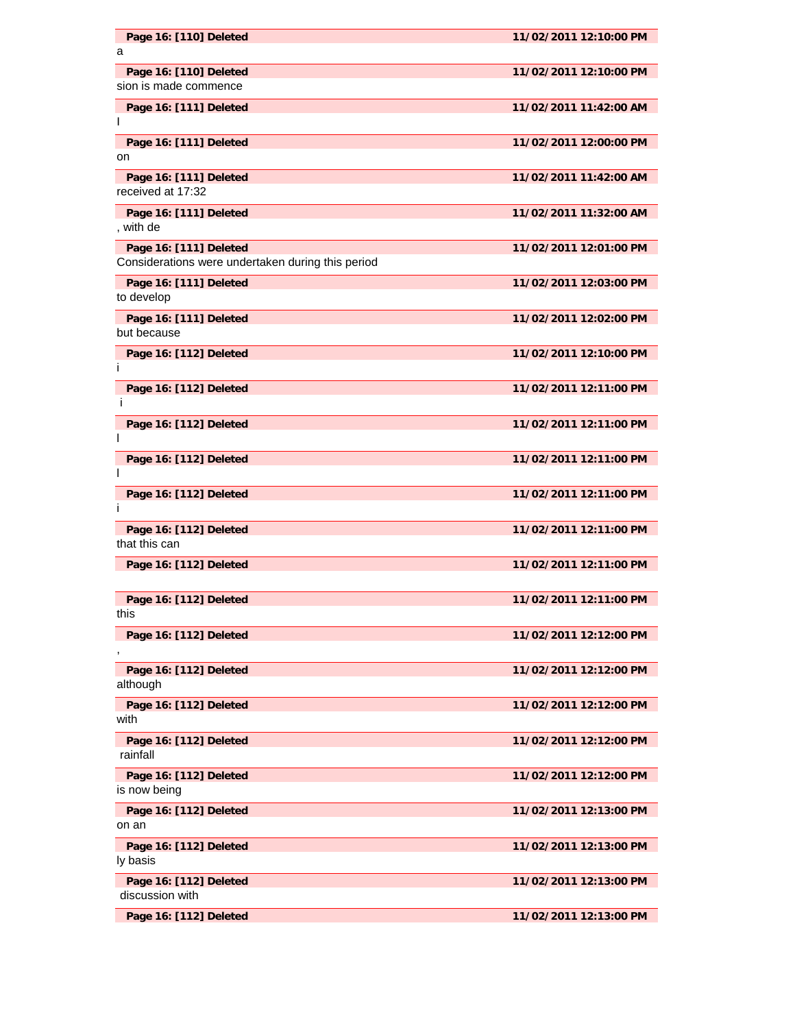| Page 16: [110] Deleted                                                      | 11/02/2011 12:10:00 PM |
|-----------------------------------------------------------------------------|------------------------|
| a                                                                           |                        |
| Page 16: [110] Deleted<br>sion is made commence                             | 11/02/2011 12:10:00 PM |
| Page 16: [111] Deleted                                                      | 11/02/2011 11:42:00 AM |
| Page 16: [111] Deleted<br>on                                                | 11/02/2011 12:00:00 PM |
| Page 16: [111] Deleted<br>received at 17:32                                 | 11/02/2011 11:42:00 AM |
| Page 16: [111] Deleted<br>, with de                                         | 11/02/2011 11:32:00 AM |
| Page 16: [111] Deleted<br>Considerations were undertaken during this period | 11/02/2011 12:01:00 PM |
| Page 16: [111] Deleted<br>to develop                                        | 11/02/2011 12:03:00 PM |
| Page 16: [111] Deleted<br>but because                                       | 11/02/2011 12:02:00 PM |
| Page 16: [112] Deleted<br>Ť                                                 | 11/02/2011 12:10:00 PM |
| Page 16: [112] Deleted<br>Ť                                                 | 11/02/2011 12:11:00 PM |
| Page 16: [112] Deleted<br><sup>1</sup>                                      | 11/02/2011 12:11:00 PM |
| Page 16: [112] Deleted<br>I                                                 | 11/02/2011 12:11:00 PM |
| Page 16: [112] Deleted<br>Ť                                                 | 11/02/2011 12:11:00 PM |
| Page 16: [112] Deleted<br>that this can                                     | 11/02/2011 12:11:00 PM |
| Page 16: [112] Deleted                                                      | 11/02/2011 12:11:00 PM |
| Page 16: [112] Deleted<br>this                                              | 11/02/2011 12:11:00 PM |
| Page 16: [112] Deleted                                                      | 11/02/2011 12:12:00 PM |
| Page 16: [112] Deleted<br>although                                          | 11/02/2011 12:12:00 PM |
| Page 16: [112] Deleted<br>with                                              | 11/02/2011 12:12:00 PM |
| Page 16: [112] Deleted<br>rainfall                                          | 11/02/2011 12:12:00 PM |
| Page 16: [112] Deleted<br>is now being                                      | 11/02/2011 12:12:00 PM |
| Page 16: [112] Deleted<br>on an                                             | 11/02/2011 12:13:00 PM |
| Page 16: [112] Deleted<br>ly basis                                          | 11/02/2011 12:13:00 PM |
| Page 16: [112] Deleted<br>discussion with                                   | 11/02/2011 12:13:00 PM |
| Page 16: [112] Deleted                                                      | 11/02/2011 12:13:00 PM |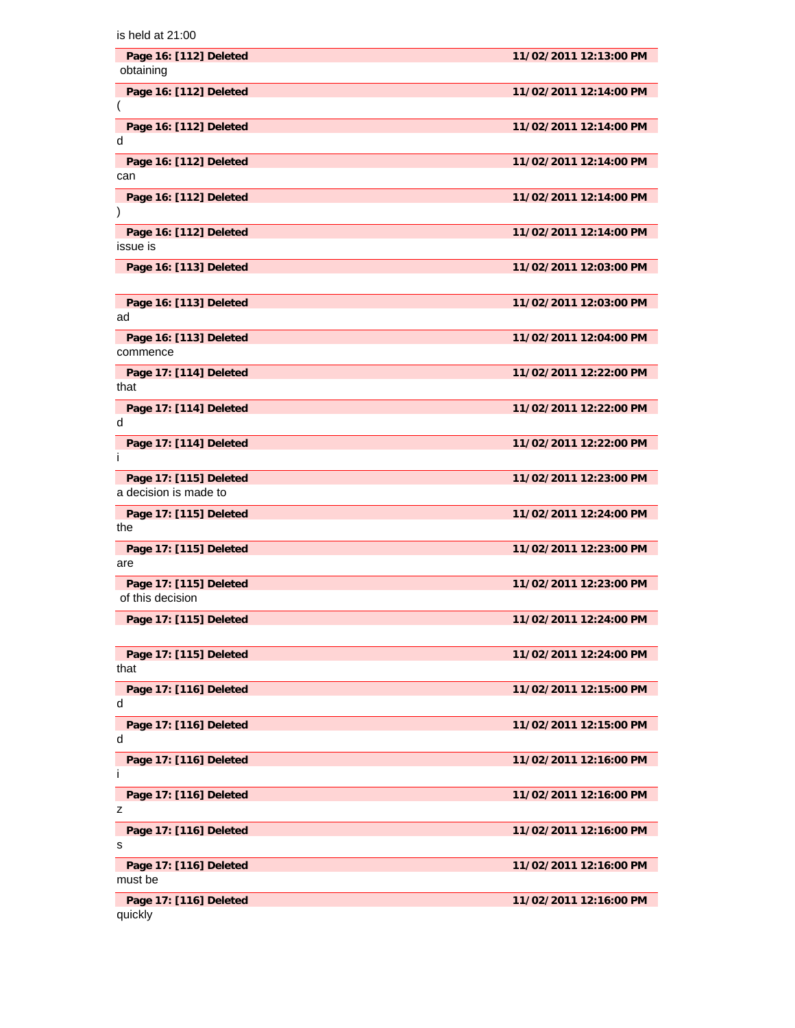| Page 16: [112] Deleted<br>obtaining             | 11/02/2011 12:13:00 PM |
|-------------------------------------------------|------------------------|
| Page 16: [112] Deleted                          | 11/02/2011 12:14:00 PM |
| Page 16: [112] Deleted<br>d                     | 11/02/2011 12:14:00 PM |
| Page 16: [112] Deleted<br>can                   | 11/02/2011 12:14:00 PM |
| Page 16: [112] Deleted                          | 11/02/2011 12:14:00 PM |
| Page 16: [112] Deleted<br>issue is              | 11/02/2011 12:14:00 PM |
| Page 16: [113] Deleted                          | 11/02/2011 12:03:00 PM |
| Page 16: [113] Deleted<br>ad                    | 11/02/2011 12:03:00 PM |
| Page 16: [113] Deleted<br>commence              | 11/02/2011 12:04:00 PM |
| Page 17: [114] Deleted<br>that                  | 11/02/2011 12:22:00 PM |
| Page 17: [114] Deleted<br>d                     | 11/02/2011 12:22:00 PM |
| Page 17: [114] Deleted<br>T                     | 11/02/2011 12:22:00 PM |
| Page 17: [115] Deleted<br>a decision is made to | 11/02/2011 12:23:00 PM |
| Page 17: [115] Deleted<br>the                   | 11/02/2011 12:24:00 PM |
| Page 17: [115] Deleted<br>are                   | 11/02/2011 12:23:00 PM |
| Page 17: [115] Deleted<br>of this decision      | 11/02/2011 12:23:00 PM |
| Page 17: [115] Deleted                          | 11/02/2011 12:24:00 PM |
| Page 17: [115] Deleted<br>that                  | 11/02/2011 12:24:00 PM |
| Page 17: [116] Deleted<br>d                     | 11/02/2011 12:15:00 PM |
| Page 17: [116] Deleted<br>d                     | 11/02/2011 12:15:00 PM |
| Page 17: [116] Deleted<br>Ť                     | 11/02/2011 12:16:00 PM |
| Page 17: [116] Deleted<br>z                     | 11/02/2011 12:16:00 PM |
| Page 17: [116] Deleted<br>s                     | 11/02/2011 12:16:00 PM |
| Page 17: [116] Deleted<br>must be               | 11/02/2011 12:16:00 PM |
| Page 17: [116] Deleted<br>quickly               | 11/02/2011 12:16:00 PM |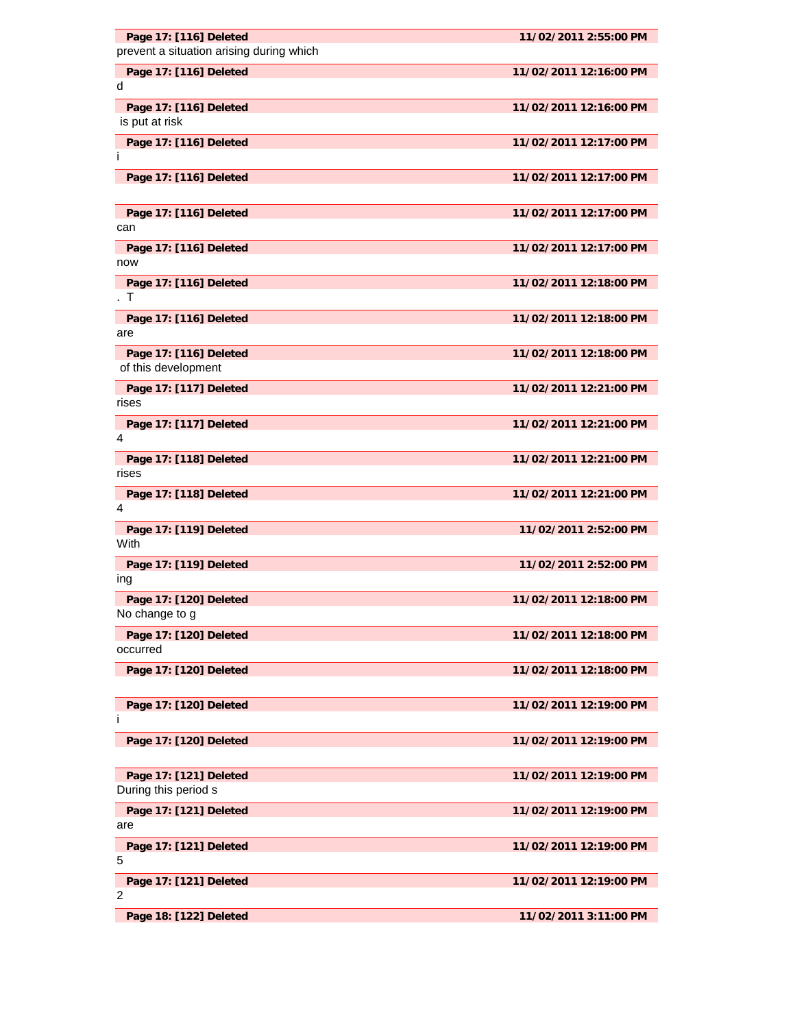| Page 17: [116] Deleted<br>prevent a situation arising during which | 11/02/2011 2:55:00 PM  |
|--------------------------------------------------------------------|------------------------|
|                                                                    |                        |
| Page 17: [116] Deleted<br>d                                        | 11/02/2011 12:16:00 PM |
| Page 17: [116] Deleted<br>is put at risk                           | 11/02/2011 12:16:00 PM |
| Page 17: [116] Deleted<br>Ť                                        | 11/02/2011 12:17:00 PM |
| Page 17: [116] Deleted                                             | 11/02/2011 12:17:00 PM |
| Page 17: [116] Deleted<br>can                                      | 11/02/2011 12:17:00 PM |
| Page 17: [116] Deleted<br>now                                      | 11/02/2011 12:17:00 PM |
| Page 17: [116] Deleted<br>T                                        | 11/02/2011 12:18:00 PM |
| Page 17: [116] Deleted<br>are                                      | 11/02/2011 12:18:00 PM |
| Page 17: [116] Deleted<br>of this development                      | 11/02/2011 12:18:00 PM |
| Page 17: [117] Deleted<br>rises                                    | 11/02/2011 12:21:00 PM |
| Page 17: [117] Deleted<br>4                                        | 11/02/2011 12:21:00 PM |
| Page 17: [118] Deleted<br>rises                                    | 11/02/2011 12:21:00 PM |
| Page 17: [118] Deleted<br>4                                        | 11/02/2011 12:21:00 PM |
| Page 17: [119] Deleted<br>With                                     | 11/02/2011 2:52:00 PM  |
| Page 17: [119] Deleted<br>ing                                      | 11/02/2011 2:52:00 PM  |
| Page 17: [120] Deleted<br>No change to g                           | 11/02/2011 12:18:00 PM |
| Page 17: [120] Deleted<br>occurred                                 | 11/02/2011 12:18:00 PM |
| Page 17: [120] Deleted                                             | 11/02/2011 12:18:00 PM |
| Page 17: [120] Deleted<br>Ť                                        | 11/02/2011 12:19:00 PM |
| Page 17: [120] Deleted                                             | 11/02/2011 12:19:00 PM |
| Page 17: [121] Deleted<br>During this period s                     | 11/02/2011 12:19:00 PM |
| Page 17: [121] Deleted<br>are                                      | 11/02/2011 12:19:00 PM |
| Page 17: [121] Deleted<br>5                                        | 11/02/2011 12:19:00 PM |
| Page 17: [121] Deleted<br>2                                        | 11/02/2011 12:19:00 PM |
| Page 18: [122] Deleted                                             | 11/02/2011 3:11:00 PM  |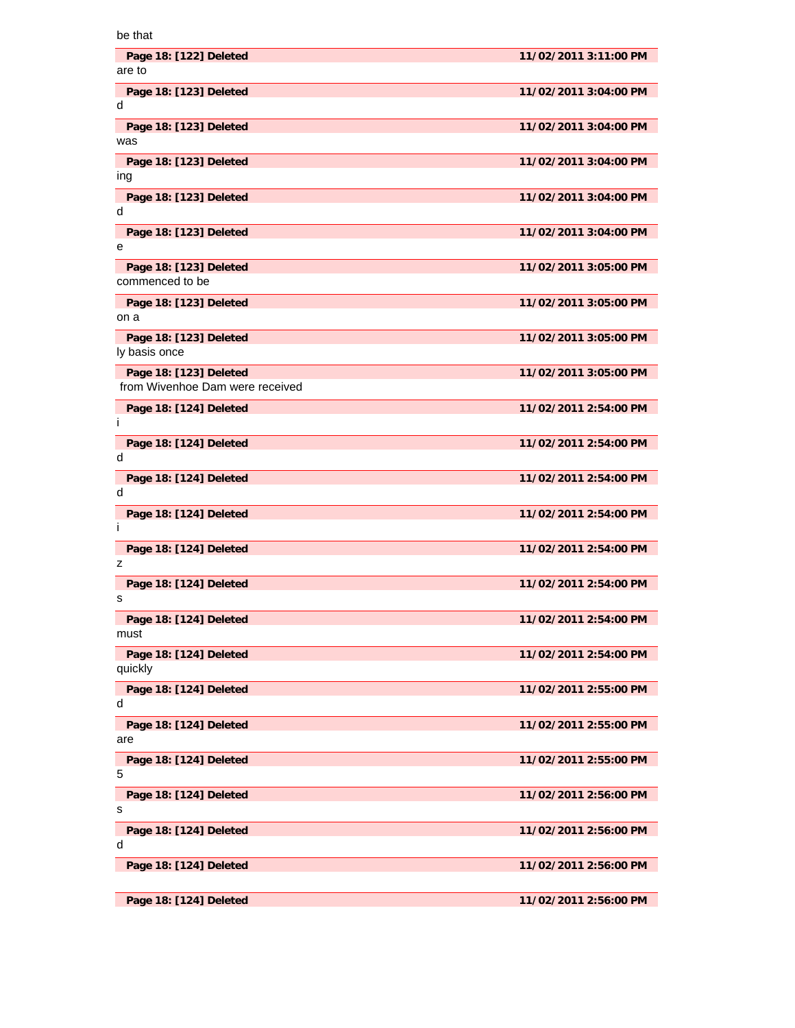| be that                                                   |                       |
|-----------------------------------------------------------|-----------------------|
| Page 18: [122] Deleted<br>are to                          | 11/02/2011 3:11:00 PM |
| Page 18: [123] Deleted<br>d                               | 11/02/2011 3:04:00 PM |
| Page 18: [123] Deleted<br>was                             | 11/02/2011 3:04:00 PM |
| Page 18: [123] Deleted<br>ing                             | 11/02/2011 3:04:00 PM |
| Page 18: [123] Deleted<br>d                               | 11/02/2011 3:04:00 PM |
| Page 18: [123] Deleted<br>е                               | 11/02/2011 3:04:00 PM |
| Page 18: [123] Deleted<br>commenced to be                 | 11/02/2011 3:05:00 PM |
| Page 18: [123] Deleted<br>on a                            | 11/02/2011 3:05:00 PM |
| Page 18: [123] Deleted<br>ly basis once                   | 11/02/2011 3:05:00 PM |
| Page 18: [123] Deleted<br>from Wivenhoe Dam were received | 11/02/2011 3:05:00 PM |
| Page 18: [124] Deleted<br>Ť                               | 11/02/2011 2:54:00 PM |
| Page 18: [124] Deleted<br>d                               | 11/02/2011 2:54:00 PM |
| Page 18: [124] Deleted<br>d                               | 11/02/2011 2:54:00 PM |
| Page 18: [124] Deleted<br>Ť                               | 11/02/2011 2:54:00 PM |
| Page 18: [124] Deleted<br>z                               | 11/02/2011 2:54:00 PM |
| Page 18: [124] Deleted<br>s                               | 11/02/2011 2:54:00 PM |
| Page 18: [124] Deleted<br>must                            | 11/02/2011 2:54:00 PM |
| Page 18: [124] Deleted<br>quickly                         | 11/02/2011 2:54:00 PM |
| Page 18: [124] Deleted<br>d                               | 11/02/2011 2:55:00 PM |
| Page 18: [124] Deleted<br>are                             | 11/02/2011 2:55:00 PM |
| Page 18: [124] Deleted<br>5                               | 11/02/2011 2:55:00 PM |
| Page 18: [124] Deleted<br>s                               | 11/02/2011 2:56:00 PM |
| Page 18: [124] Deleted<br>d                               | 11/02/2011 2:56:00 PM |
| Page 18: [124] Deleted                                    | 11/02/2011 2:56:00 PM |
| Page 18: [124] Deleted                                    | 11/02/2011 2:56:00 PM |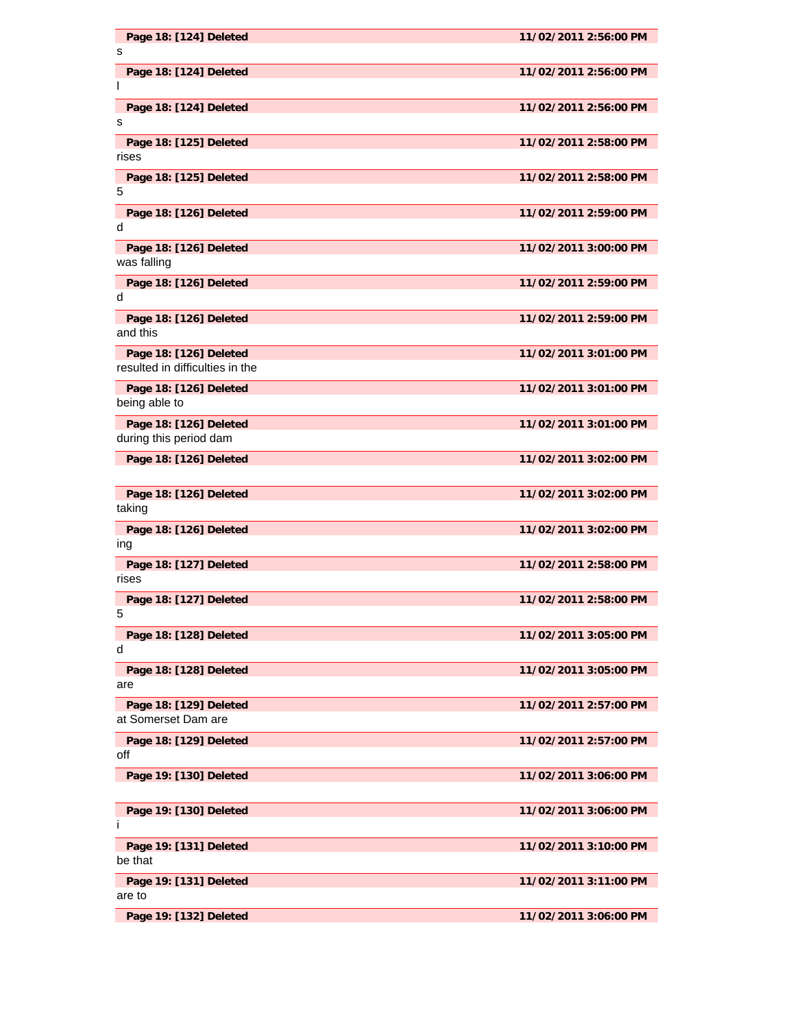| Page 18: [124] Deleted<br>s                      | 11/02/2011 2:56:00 PM |
|--------------------------------------------------|-----------------------|
| Page 18: [124] Deleted                           | 11/02/2011 2:56:00 PM |
| I.                                               |                       |
| Page 18: [124] Deleted<br>s                      | 11/02/2011 2:56:00 PM |
| Page 18: [125] Deleted                           | 11/02/2011 2:58:00 PM |
| rises<br>Page 18: [125] Deleted                  | 11/02/2011 2:58:00 PM |
| 5                                                |                       |
| Page 18: [126] Deleted<br>d                      | 11/02/2011 2:59:00 PM |
| Page 18: [126] Deleted                           | 11/02/2011 3:00:00 PM |
| was falling                                      |                       |
| Page 18: [126] Deleted<br>d                      | 11/02/2011 2:59:00 PM |
| Page 18: [126] Deleted<br>and this               | 11/02/2011 2:59:00 PM |
| Page 18: [126] Deleted                           | 11/02/2011 3:01:00 PM |
| resulted in difficulties in the                  |                       |
| Page 18: [126] Deleted<br>being able to          | 11/02/2011 3:01:00 PM |
| Page 18: [126] Deleted<br>during this period dam | 11/02/2011 3:01:00 PM |
| Page 18: [126] Deleted                           | 11/02/2011 3:02:00 PM |
|                                                  |                       |
| Page 18: [126] Deleted<br>taking                 | 11/02/2011 3:02:00 PM |
| Page 18: [126] Deleted<br>ing                    | 11/02/2011 3:02:00 PM |
| Page 18: [127] Deleted<br>rises                  | 11/02/2011 2:58:00 PM |
| Page 18: [127] Deleted<br>5                      | 11/02/2011 2:58:00 PM |
| Page 18: [128] Deleted<br>d                      | 11/02/2011 3:05:00 PM |
| Page 18: [128] Deleted<br>are                    | 11/02/2011 3:05:00 PM |
| Page 18: [129] Deleted<br>at Somerset Dam are    | 11/02/2011 2:57:00 PM |
| Page 18: [129] Deleted<br>off                    | 11/02/2011 2:57:00 PM |
| Page 19: [130] Deleted                           | 11/02/2011 3:06:00 PM |
| Page 19: [130] Deleted<br>Ť                      | 11/02/2011 3:06:00 PM |
| Page 19: [131] Deleted<br>be that                | 11/02/2011 3:10:00 PM |
| Page 19: [131] Deleted<br>are to                 | 11/02/2011 3:11:00 PM |
| Page 19: [132] Deleted                           | 11/02/2011 3:06:00 PM |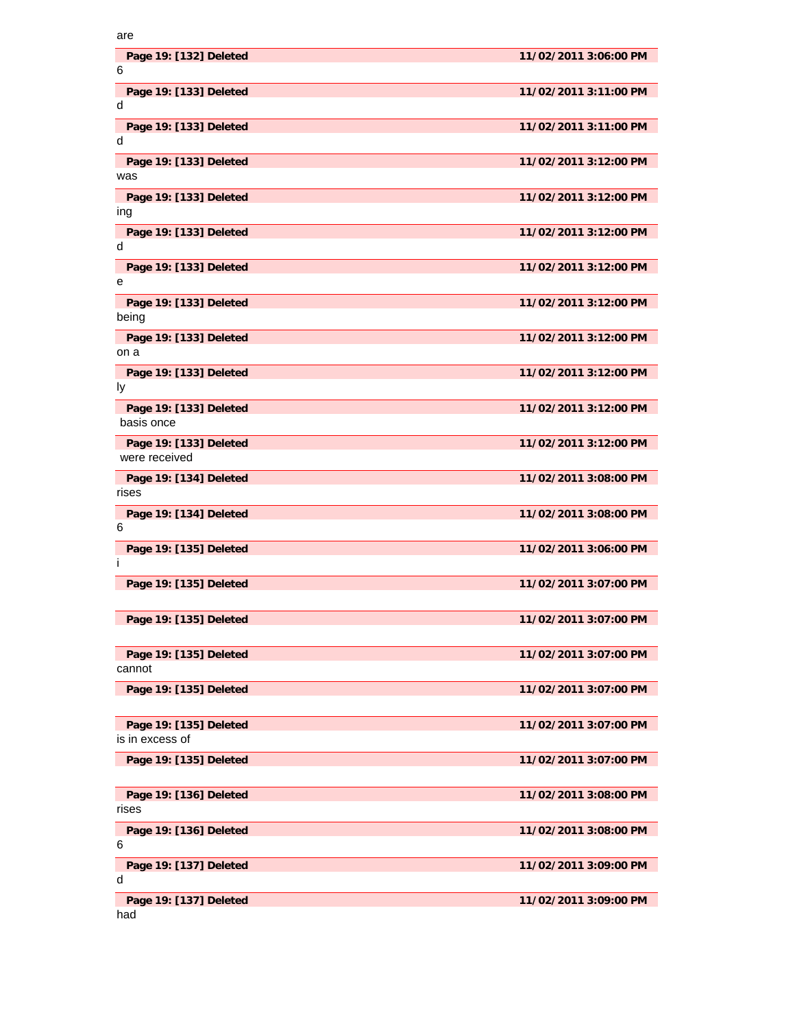| are                                       |                       |
|-------------------------------------------|-----------------------|
| Page 19: [132] Deleted<br>6               | 11/02/2011 3:06:00 PM |
| Page 19: [133] Deleted<br>d               | 11/02/2011 3:11:00 PM |
| Page 19: [133] Deleted<br>d               | 11/02/2011 3:11:00 PM |
| Page 19: [133] Deleted<br>was             | 11/02/2011 3:12:00 PM |
| Page 19: [133] Deleted<br>ing             | 11/02/2011 3:12:00 PM |
| Page 19: [133] Deleted<br>d               | 11/02/2011 3:12:00 PM |
| Page 19: [133] Deleted<br>е               | 11/02/2011 3:12:00 PM |
| Page 19: [133] Deleted<br>being           | 11/02/2011 3:12:00 PM |
| Page 19: [133] Deleted<br>on a            | 11/02/2011 3:12:00 PM |
| Page 19: [133] Deleted<br>Iу              | 11/02/2011 3:12:00 PM |
| Page 19: [133] Deleted<br>basis once      | 11/02/2011 3:12:00 PM |
| Page 19: [133] Deleted<br>were received   | 11/02/2011 3:12:00 PM |
| Page 19: [134] Deleted<br>rises           | 11/02/2011 3:08:00 PM |
| Page 19: [134] Deleted<br>6               | 11/02/2011 3:08:00 PM |
| Page 19: [135] Deleted<br>Ť               | 11/02/2011 3:06:00 PM |
| Page 19: [135] Deleted                    | 11/02/2011 3:07:00 PM |
| Page 19: [135] Deleted                    | 11/02/2011 3:07:00 PM |
| Page 19: [135] Deleted<br>cannot          | 11/02/2011 3:07:00 PM |
| Page 19: [135] Deleted                    | 11/02/2011 3:07:00 PM |
| Page 19: [135] Deleted<br>is in excess of | 11/02/2011 3:07:00 PM |
| Page 19: [135] Deleted                    | 11/02/2011 3:07:00 PM |
| Page 19: [136] Deleted<br>rises           | 11/02/2011 3:08:00 PM |
| Page 19: [136] Deleted<br>6               | 11/02/2011 3:08:00 PM |
| Page 19: [137] Deleted<br>d               | 11/02/2011 3:09:00 PM |
| Page 19: [137] Deleted<br>had             | 11/02/2011 3:09:00 PM |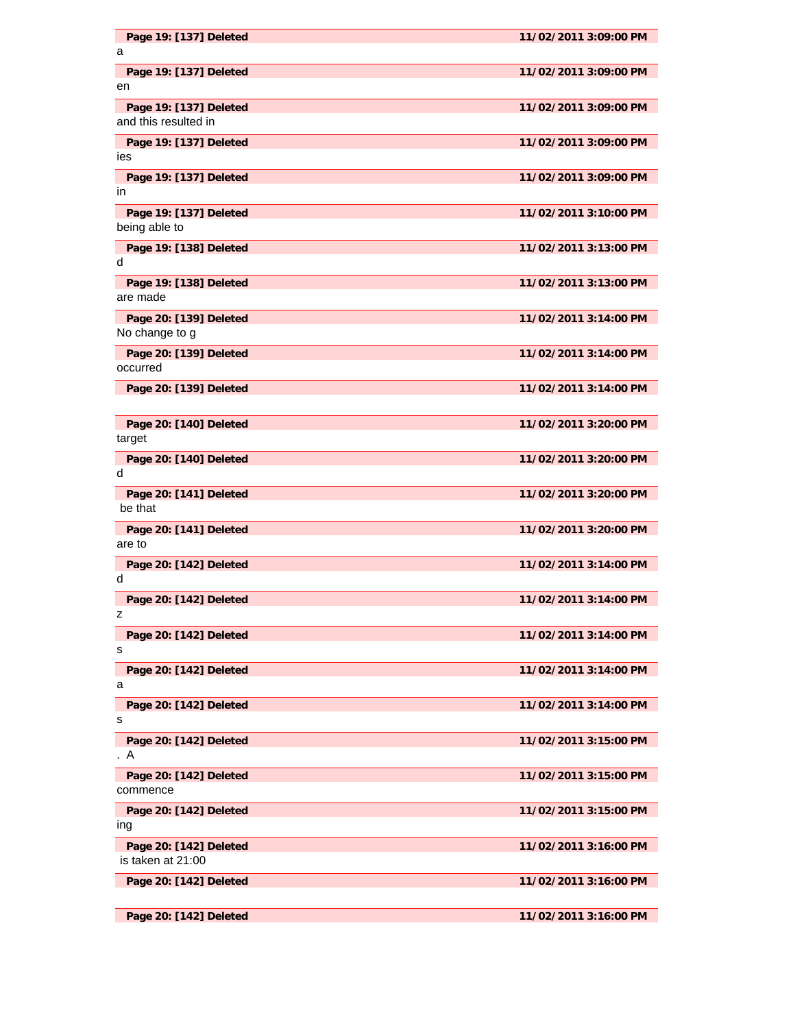| Page 19: [137] Deleted                         | 11/02/2011 3:09:00 PM |
|------------------------------------------------|-----------------------|
| a                                              |                       |
| Page 19: [137] Deleted<br>en                   | 11/02/2011 3:09:00 PM |
| Page 19: [137] Deleted<br>and this resulted in | 11/02/2011 3:09:00 PM |
| Page 19: [137] Deleted<br>ies                  | 11/02/2011 3:09:00 PM |
| Page 19: [137] Deleted                         | 11/02/2011 3:09:00 PM |
| in                                             |                       |
| Page 19: [137] Deleted<br>being able to        | 11/02/2011 3:10:00 PM |
| Page 19: [138] Deleted<br>d                    | 11/02/2011 3:13:00 PM |
| Page 19: [138] Deleted<br>are made             | 11/02/2011 3:13:00 PM |
| Page 20: [139] Deleted<br>No change to g       | 11/02/2011 3:14:00 PM |
| Page 20: [139] Deleted<br>occurred             | 11/02/2011 3:14:00 PM |
| Page 20: [139] Deleted                         | 11/02/2011 3:14:00 PM |
| Page 20: [140] Deleted<br>target               | 11/02/2011 3:20:00 PM |
| Page 20: [140] Deleted<br>d                    | 11/02/2011 3:20:00 PM |
| Page 20: [141] Deleted<br>be that              | 11/02/2011 3:20:00 PM |
| Page 20: [141] Deleted<br>are to               | 11/02/2011 3:20:00 PM |
| Page 20: [142] Deleted<br>d                    | 11/02/2011 3:14:00 PM |
| Page 20: [142] Deleted<br>z                    | 11/02/2011 3:14:00 PM |
| Page 20: [142] Deleted<br>s                    | 11/02/2011 3:14:00 PM |
| Page 20: [142] Deleted<br>a                    | 11/02/2011 3:14:00 PM |
| Page 20: [142] Deleted<br>s                    | 11/02/2011 3:14:00 PM |
| Page 20: [142] Deleted<br>. A                  | 11/02/2011 3:15:00 PM |
| Page 20: [142] Deleted<br>commence             | 11/02/2011 3:15:00 PM |
| Page 20: [142] Deleted<br>ıng                  | 11/02/2011 3:15:00 PM |
| Page 20: [142] Deleted<br>is taken at 21:00    | 11/02/2011 3:16:00 PM |
| Page 20: [142] Deleted                         | 11/02/2011 3:16:00 PM |
| Page 20: [142] Deleted                         | 11/02/2011 3:16:00 PM |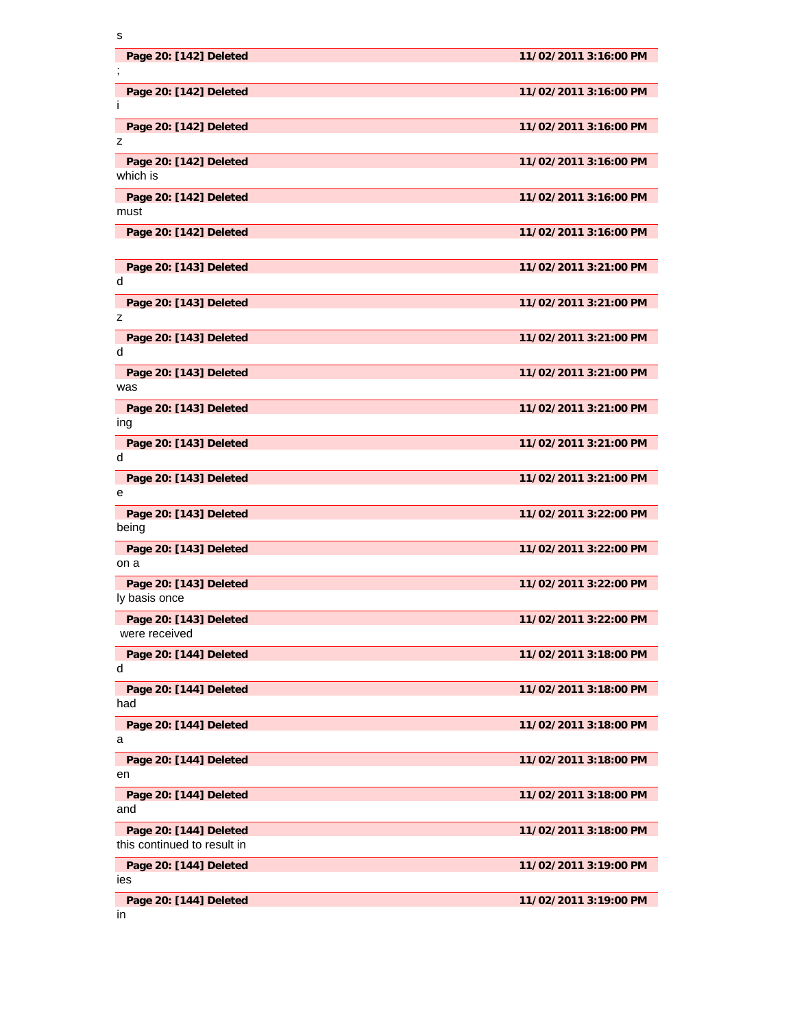| s                                                     |                       |
|-------------------------------------------------------|-----------------------|
| Page 20: [142] Deleted<br>-2                          | 11/02/2011 3:16:00 PM |
| Page 20: [142] Deleted<br>Ť                           | 11/02/2011 3:16:00 PM |
| Page 20: [142] Deleted<br>z                           | 11/02/2011 3:16:00 PM |
| Page 20: [142] Deleted<br>which is                    | 11/02/2011 3:16:00 PM |
| Page 20: [142] Deleted<br>must                        | 11/02/2011 3:16:00 PM |
| Page 20: [142] Deleted                                | 11/02/2011 3:16:00 PM |
| Page 20: [143] Deleted<br>d                           | 11/02/2011 3:21:00 PM |
| Page 20: [143] Deleted<br>z                           | 11/02/2011 3:21:00 PM |
| Page 20: [143] Deleted<br>d                           | 11/02/2011 3:21:00 PM |
| Page 20: [143] Deleted<br>was                         | 11/02/2011 3:21:00 PM |
| Page 20: [143] Deleted<br>ing                         | 11/02/2011 3:21:00 PM |
| Page 20: [143] Deleted<br>d                           | 11/02/2011 3:21:00 PM |
| Page 20: [143] Deleted<br>е                           | 11/02/2011 3:21:00 PM |
| Page 20: [143] Deleted<br>being                       | 11/02/2011 3:22:00 PM |
| Page 20: [143] Deleted<br>on a                        | 11/02/2011 3:22:00 PM |
| Page 20: [143] Deleted<br>ly basis once               | 11/02/2011 3:22:00 PM |
| Page 20: [143] Deleted<br>were received               | 11/02/2011 3:22:00 PM |
| Page 20: [144] Deleted<br>d                           | 11/02/2011 3:18:00 PM |
| Page 20: [144] Deleted<br>had                         | 11/02/2011 3:18:00 PM |
| Page 20: [144] Deleted<br>a                           | 11/02/2011 3:18:00 PM |
| Page 20: [144] Deleted<br>en                          | 11/02/2011 3:18:00 PM |
| Page 20: [144] Deleted<br>and                         | 11/02/2011 3:18:00 PM |
| Page 20: [144] Deleted<br>this continued to result in | 11/02/2011 3:18:00 PM |
| Page 20: [144] Deleted<br>ies                         | 11/02/2011 3:19:00 PM |
| Page 20: [144] Deleted                                | 11/02/2011 3:19:00 PM |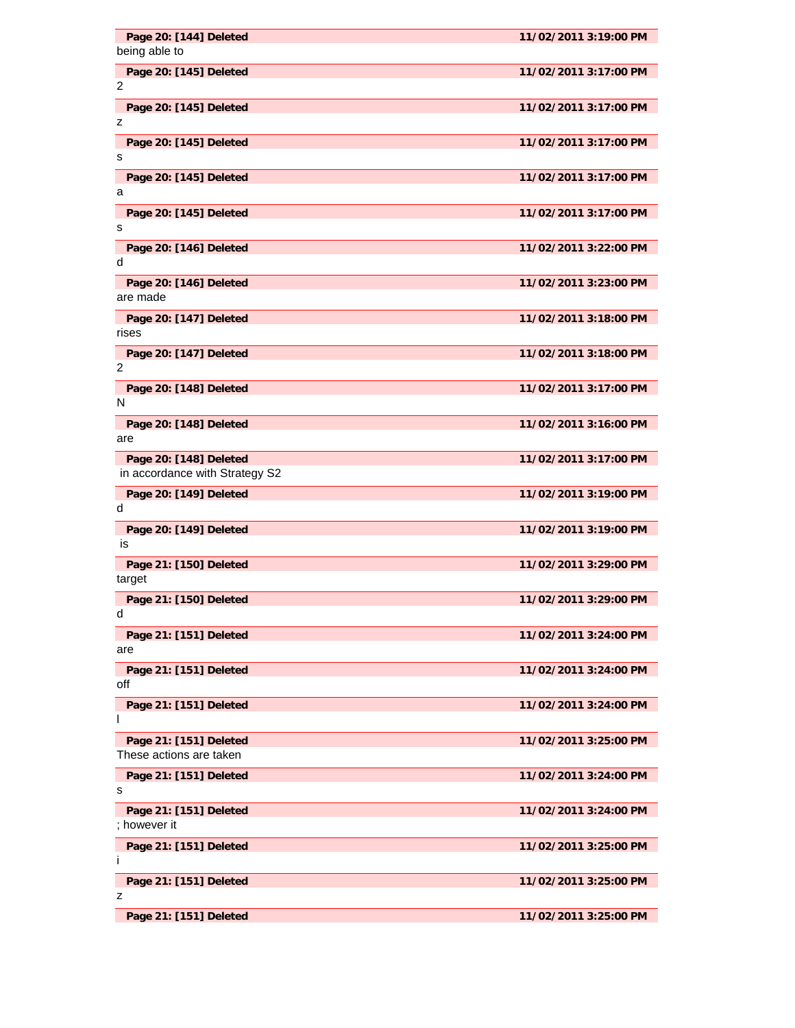| Page 20: [144] Deleted                                   | 11/02/2011 3:19:00 PM |
|----------------------------------------------------------|-----------------------|
| being able to                                            |                       |
| Page 20: [145] Deleted<br>2                              | 11/02/2011 3:17:00 PM |
| Page 20: [145] Deleted<br>z                              | 11/02/2011 3:17:00 PM |
| Page 20: [145] Deleted<br>s                              | 11/02/2011 3:17:00 PM |
| Page 20: [145] Deleted                                   | 11/02/2011 3:17:00 PM |
| a<br>Page 20: [145] Deleted                              | 11/02/2011 3:17:00 PM |
| s                                                        |                       |
| Page 20: [146] Deleted<br>d                              | 11/02/2011 3:22:00 PM |
| Page 20: [146] Deleted<br>are made                       | 11/02/2011 3:23:00 PM |
| Page 20: [147] Deleted<br>rises                          | 11/02/2011 3:18:00 PM |
| Page 20: [147] Deleted<br>2                              | 11/02/2011 3:18:00 PM |
| Page 20: [148] Deleted<br>N                              | 11/02/2011 3:17:00 PM |
| Page 20: [148] Deleted<br>are                            | 11/02/2011 3:16:00 PM |
| Page 20: [148] Deleted<br>in accordance with Strategy S2 | 11/02/2011 3:17:00 PM |
| Page 20: [149] Deleted<br>d                              | 11/02/2011 3:19:00 PM |
| Page 20: [149] Deleted<br>is                             | 11/02/2011 3:19:00 PM |
| Page 21: [150] Deleted<br>target                         | 11/02/2011 3:29:00 PM |
| Page 21: [150] Deleted<br>d                              | 11/02/2011 3:29:00 PM |
| Page 21: [151] Deleted<br>are                            | 11/02/2011 3:24:00 PM |
| Page 21: [151] Deleted<br>off                            | 11/02/2011 3:24:00 PM |
| Page 21: [151] Deleted<br>I.                             | 11/02/2011 3:24:00 PM |
| Page 21: [151] Deleted<br>These actions are taken        | 11/02/2011 3:25:00 PM |
| Page 21: [151] Deleted<br>s                              | 11/02/2011 3:24:00 PM |
| Page 21: [151] Deleted<br>; however it                   | 11/02/2011 3:24:00 PM |
| Page 21: [151] Deleted                                   | 11/02/2011 3:25:00 PM |
| Ť                                                        |                       |
| Page 21: [151] Deleted<br>z                              | 11/02/2011 3:25:00 PM |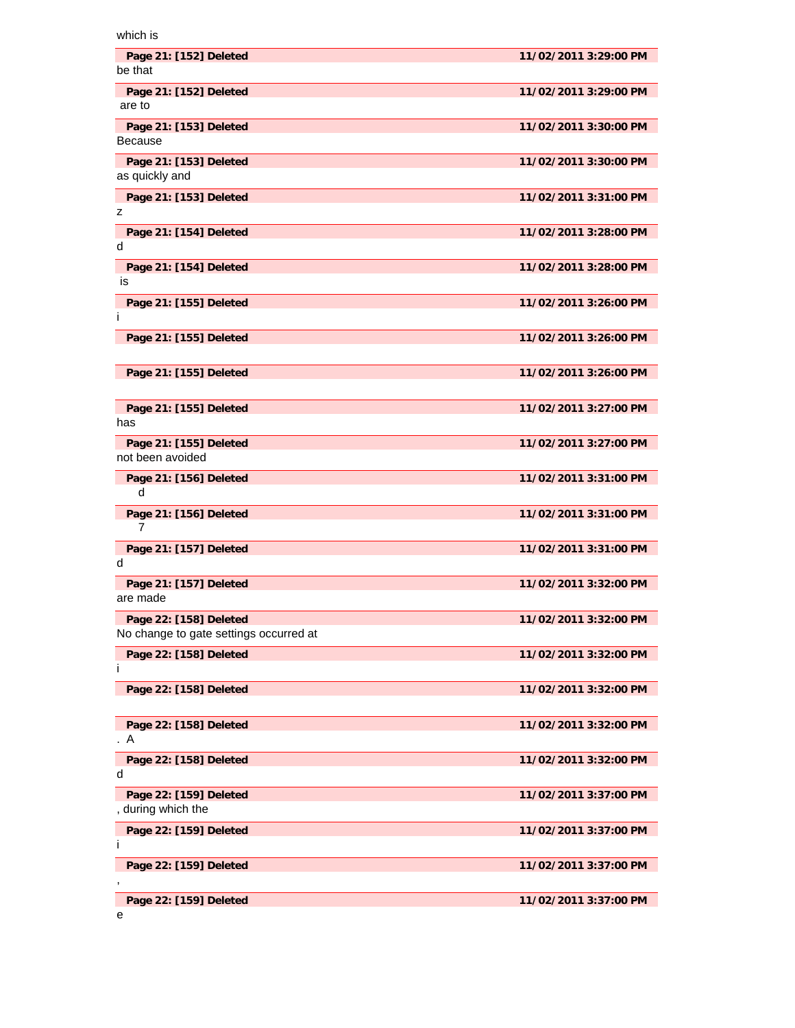| which is                                                         |                       |
|------------------------------------------------------------------|-----------------------|
| Page 21: [152] Deleted<br>be that                                | 11/02/2011 3:29:00 PM |
| Page 21: [152] Deleted<br>are to                                 | 11/02/2011 3:29:00 PM |
| Page 21: [153] Deleted<br><b>Because</b>                         | 11/02/2011 3:30:00 PM |
| Page 21: [153] Deleted<br>as quickly and                         | 11/02/2011 3:30:00 PM |
| Page 21: [153] Deleted<br>z                                      | 11/02/2011 3:31:00 PM |
| Page 21: [154] Deleted<br>d                                      | 11/02/2011 3:28:00 PM |
| Page 21: [154] Deleted<br>is                                     | 11/02/2011 3:28:00 PM |
| Page 21: [155] Deleted<br>Ť                                      | 11/02/2011 3:26:00 PM |
| Page 21: [155] Deleted                                           | 11/02/2011 3:26:00 PM |
| Page 21: [155] Deleted                                           | 11/02/2011 3:26:00 PM |
| Page 21: [155] Deleted<br>has                                    | 11/02/2011 3:27:00 PM |
| Page 21: [155] Deleted<br>not been avoided                       | 11/02/2011 3:27:00 PM |
| Page 21: [156] Deleted<br>d                                      | 11/02/2011 3:31:00 PM |
| Page 21: [156] Deleted<br>7                                      | 11/02/2011 3:31:00 PM |
| Page 21: [157] Deleted<br>d                                      | 11/02/2011 3:31:00 PM |
| Page 21: [157] Deleted<br>are made                               | 11/02/2011 3:32:00 PM |
| Page 22: [158] Deleted<br>No change to gate settings occurred at | 11/02/2011 3:32:00 PM |
| Page 22: [158] Deleted<br>Ť                                      | 11/02/2011 3:32:00 PM |
| Page 22: [158] Deleted                                           | 11/02/2011 3:32:00 PM |
| Page 22: [158] Deleted<br>A                                      | 11/02/2011 3:32:00 PM |
| Page 22: [158] Deleted<br>d                                      | 11/02/2011 3:32:00 PM |
| Page 22: [159] Deleted<br>, during which the                     | 11/02/2011 3:37:00 PM |
| Page 22: [159] Deleted<br>j.                                     | 11/02/2011 3:37:00 PM |
| Page 22: [159] Deleted                                           | 11/02/2011 3:37:00 PM |
| Page 22: [159] Deleted                                           | 11/02/2011 3:37:00 PM |